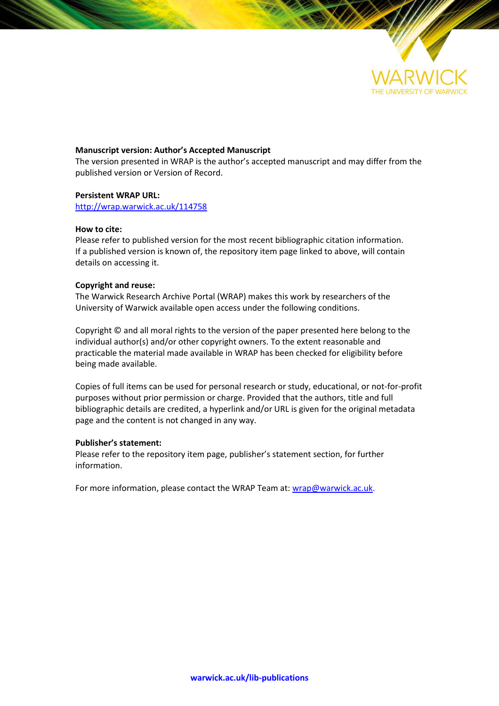

## **Manuscript version: Author's Accepted Manuscript**

The version presented in WRAP is the author's accepted manuscript and may differ from the published version or Version of Record.

## **Persistent WRAP URL:**

<http://wrap.warwick.ac.uk/114758>

## **How to cite:**

Please refer to published version for the most recent bibliographic citation information. If a published version is known of, the repository item page linked to above, will contain details on accessing it.

## **Copyright and reuse:**

The Warwick Research Archive Portal (WRAP) makes this work by researchers of the University of Warwick available open access under the following conditions.

Copyright © and all moral rights to the version of the paper presented here belong to the individual author(s) and/or other copyright owners. To the extent reasonable and practicable the material made available in WRAP has been checked for eligibility before being made available.

Copies of full items can be used for personal research or study, educational, or not-for-profit purposes without prior permission or charge. Provided that the authors, title and full bibliographic details are credited, a hyperlink and/or URL is given for the original metadata page and the content is not changed in any way.

## **Publisher's statement:**

Please refer to the repository item page, publisher's statement section, for further information.

For more information, please contact the WRAP Team at[: wrap@warwick.ac.uk.](mailto:wrap@warwick.ac.uk)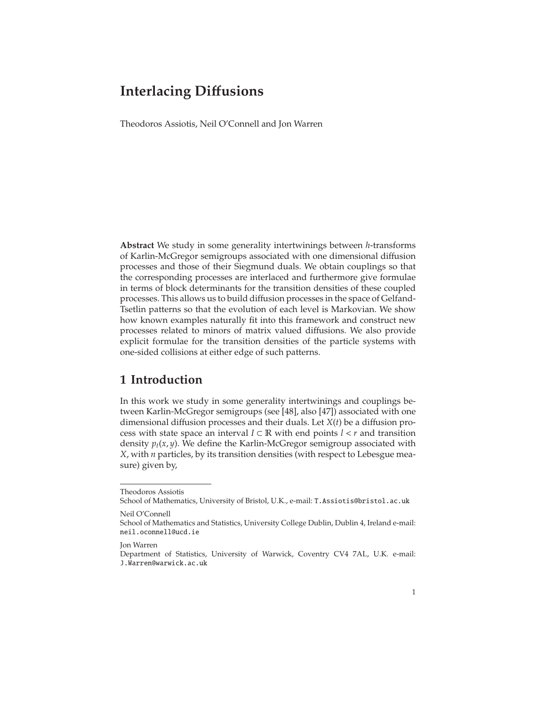Theodoros Assiotis, Neil O'Connell and Jon Warren

**Abstract** We study in some generality intertwinings between *h*-transforms of Karlin-McGregor semigroups associated with one dimensional diffusion processes and those of their Siegmund duals. We obtain couplings so that the corresponding processes are interlaced and furthermore give formulae in terms of block determinants for the transition densities of these coupled processes. This allows us to build diffusion processes in the space of Gelfand-Tsetlin patterns so that the evolution of each level is Markovian. We show how known examples naturally fit into this framework and construct new processes related to minors of matrix valued diffusions. We also provide explicit formulae for the transition densities of the particle systems with one-sided collisions at either edge of such patterns.

# **1 Introduction**

In this work we study in some generality intertwinings and couplings between Karlin-McGregor semigroups (see [\[48\]](#page-75-0), also [\[47\]](#page-75-1)) associated with one dimensional diffusion processes and their duals. Let *X*(*t*) be a diffusion process with state space an interval  $I \subset \mathbb{R}$  with end points  $l < r$  and transition density  $p_t(x, y)$ . We define the Karlin-McGregor semigroup associated with *X*, with *n* particles, by its transition densities (with respect to Lebesgue measure) given by,

Theodoros Assiotis

School of Mathematics, University of Bristol, U.K., e-mail: <T.Assiotis@bristol.ac.uk> Neil O'Connell

School of Mathematics and Statistics, University College Dublin, Dublin 4, Ireland e-mail: <neil.oconnell@ucd.ie>

Jon Warren

Department of Statistics, University of Warwick, Coventry CV4 7AL, U.K. e-mail: <J.Warren@warwick.ac.uk>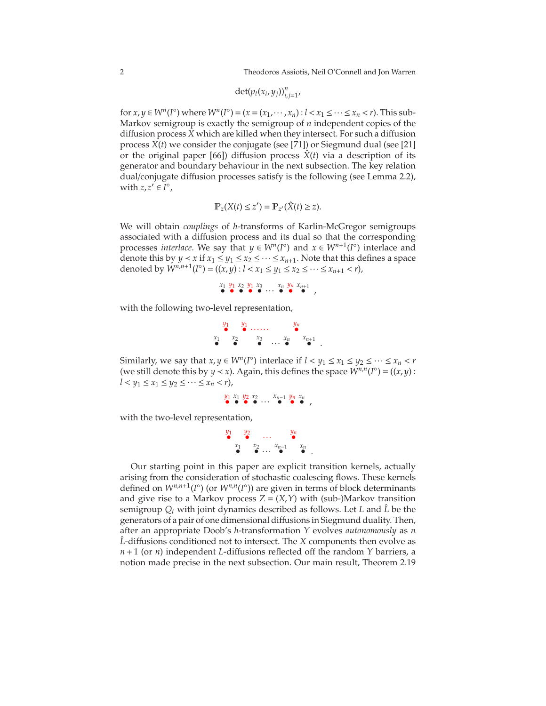$$
\det(p_t(x_i,y_j))_{i,j=1}^n
$$

for  $x, y \in W^n(I^{\circ})$  where  $W^n(I^{\circ}) = (x = (x_1, \dots, x_n) : l < x_1 \leq \dots \leq x_n < r)$ . This sub-Markov semigroup is exactly the semigroup of *n* independent copies of the diffusion process *X* which are killed when they intersect. For such a diffusion process *X*(*t*) we consider the conjugate (see [\[71\]](#page-76-0)) or Siegmund dual (see [\[21\]](#page-74-0) or the original paper [\[66\]](#page-76-1)) diffusion process  $\ddot{X}(t)$  via a description of its generator and boundary behaviour in the next subsection. The key relation dual/conjugate diffusion processes satisfy is the following (see Lemma [2.2\)](#page-8-0), with  $z, z' \in I^{\circ}$ ,

$$
\mathbb{P}_z(X(t)\leq z')=\mathbb{P}_{z'}(\hat{X}(t)\geq z).
$$

We will obtain *couplings* of *h*-transforms of Karlin-McGregor semigroups associated with a diffusion process and its dual so that the corresponding processes *interlace*. We say that  $y \in W^n(I^{\circ})$  and  $x \in W^{n+1}(I^{\circ})$  interlace and denote this by *y* < *x* if  $x_1 \le y_1 \le x_2 \le \cdots \le x_{n+1}$ . Note that this defines a space denoted by  $W^{n,n+1}(I^{\circ}) = ((x,y): l < x_1 \le y_1 \le x_2 \le \cdots \le x_{n+1} < r),$ 

$$
\begin{array}{c}\nx_1 \ y_1 \ x_2 \ y_1 \ x_3 \\
\bullet \quad \bullet \quad \bullet \quad \bullet \quad \bullet \quad \bullet \quad \bullet \quad \bullet \\
\end{array}
$$

with the following two-level representation,

$$
\begin{array}{ccccccccc}\ny_1 & y_1 & \dots & \dots & y_n \\
x_1 & x_2 & x_3 & \dots & x_n \\
\bullet & \bullet & \bullet & \cdots & \bullet & \bullet\n\end{array}.
$$

Similarly, we say that  $x, y \in W^n(I^{\circ})$  interlace if  $l < y_1 \le x_1 \le y_2 \le \cdots \le x_n < r$ (we still denote this by *y* < *x*). Again, this defines the space  $W^{n,n}(I^{\circ}) = ((x, y) :$ *l* < *y*<sub>1</sub> ≤ *x*<sub>1</sub> ≤ *y*<sub>2</sub> ≤ ··· ≤ *x*<sub>*n*</sub> < *r*),

$$
\begin{array}{cccc}\ny_1 & x_1 & y_2 & x_2 & \dots & x_{n-1} & y_n & x_n \\
\bullet & \bullet & \bullet & \dots & \bullet & \bullet & \bullet\n\end{array}
$$

with the two-level representation,

$$
\begin{array}{ccccccccc}\ny_1 & y_2 & \dots & y_n \\
x_1 & x_2 & \dots & \bullet \\
\bullet & \bullet & \cdots & \bullet & \bullet\n\end{array}.
$$

Our starting point in this paper are explicit transition kernels, actually arising from the consideration of stochastic coalescing flows. These kernels defined on  $W^{n,n+1}(I^{\circ})$  (or  $W^{n,n}(I^{\circ})$ ) are given in terms of block determinants and give rise to a Markov process  $Z = (X, Y)$  with (sub-)Markov transition semigroup  $Q_t$  with joint dynamics described as follows. Let *L* and  $\hat{L}$  be the generators of a pair of one dimensional diffusions in Siegmund duality. Then, after an appropriate Doob's *h*-transformation *Y* evolves *autonomously* as *n* L-diffusions conditioned not to intersect. The *X* components then evolve as *n*+1 (or *n*) independent *L*-diffusions reflected off the random *Y* barriers, a notion made precise in the next subsection. Our main result, Theorem [2.19](#page-21-0)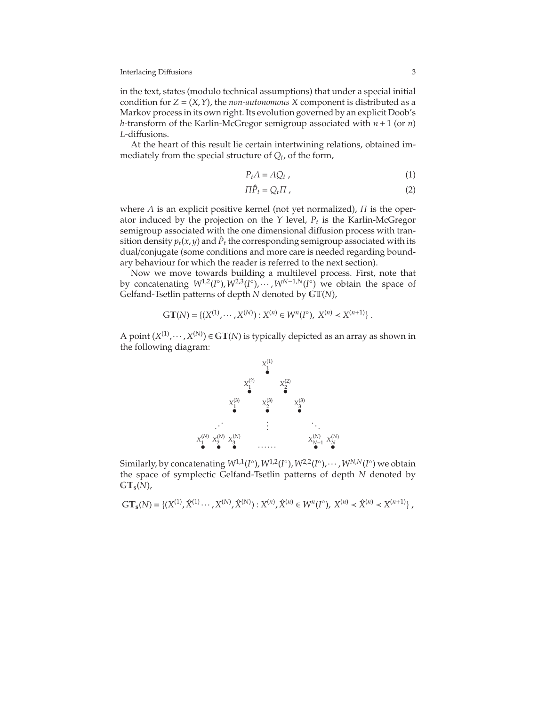in the text, states (modulo technical assumptions) that under a special initial condition for  $Z = (X, Y)$ , the *non-autonomous* X component is distributed as a Markov process in its own right. Its evolution governed by an explicit Doob's *h*-transform of the Karlin-McGregor semigroup associated with *n*+1 (or *n*) *L*-diffusions.

At the heart of this result lie certain intertwining relations, obtained immediately from the special structure of *Q<sup>t</sup>* , of the form,

$$
P_t \Lambda = \Lambda Q_t \tag{1}
$$

$$
\Pi \hat{P}_t = Q_t \Pi \tag{2}
$$

where  $\Lambda$  is an explicit positive kernel (not yet normalized),  $\Pi$  is the operator induced by the projection on the *Y* level, *P<sup>t</sup>* is the Karlin-McGregor semigroup associated with the one dimensional diffusion process with transition density  $p_t(x, y)$  and  $\hat{P}_t$  the corresponding semigroup associated with its dual/conjugate (some conditions and more care is needed regarding boundary behaviour for which the reader is referred to the next section).

Now we move towards building a multilevel process. First, note that by concatenating  $W^{1,2}(I^{\circ}), W^{2,3}(I^{\circ}), \cdots, W^{N-1,N}(I^{\circ})$  we obtain the space of Gelfand-Tsetlin patterns of depth *N* denoted by GT(*N*),

$$
\mathbb{GT}(N) = \{ (X^{(1)}, \cdots, X^{(N)}) : X^{(n)} \in W^n(I^{\circ}), X^{(n)} \prec X^{(n+1)} \}.
$$

A point  $(X^{(1)}, \dots, X^{(N)}) \in \mathbb{GT}(N)$  is typically depicted as an array as shown in the following diagram:



Similarly, by concatenating  $W^{1,1}(I^{\circ})$ ,  $W^{1,2}(I^{\circ})$ ,  $W^{2,2}(I^{\circ})$ ,  $\cdots$  ,  $W^{N,N}(I^{\circ})$  we obtain the space of symplectic Gelfand-Tsetlin patterns of depth *N* denoted by GT**s**(*N*),

$$
\mathbb{GT}_{\mathbf{s}}(N) = \{ (X^{(1)}, \hat{X}^{(1)} \cdots, X^{(N)}, \hat{X}^{(N)}) : X^{(n)}, \hat{X}^{(n)} \in W^{n}(I^{\circ}), X^{(n)} \prec \hat{X}^{(n)} \prec X^{(n+1)} \},
$$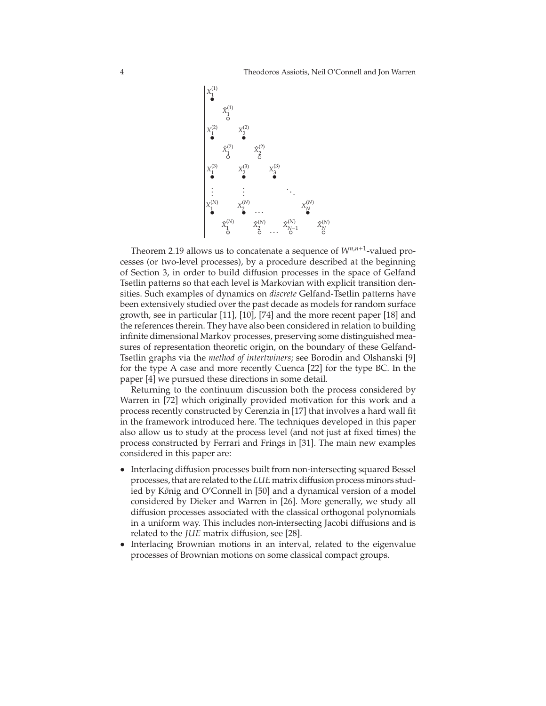

Theorem [2.19](#page-21-0) allows us to concatenate a sequence of  $W^{n,n+1}$ -valued processes (or two-level processes), by a procedure described at the beginning of Section 3, in order to build diffusion processes in the space of Gelfand Tsetlin patterns so that each level is Markovian with explicit transition densities. Such examples of dynamics on *discrete* Gelfand-Tsetlin patterns have been extensively studied over the past decade as models for random surface growth, see in particular [\[11\]](#page-74-1), [\[10\]](#page-74-2), [\[74\]](#page-76-2) and the more recent paper [\[18\]](#page-74-3) and the references therein. They have also been considered in relation to building infinite dimensional Markov processes, preserving some distinguished measures of representation theoretic origin, on the boundary of these Gelfand-Tsetlin graphs via the *method of intertwiners*; see Borodin and Olshanski [\[9\]](#page-74-4) for the type A case and more recently Cuenca [\[22\]](#page-74-5) for the type BC. In the paper [4] we pursued these directions in some detail.

Returning to the continuum discussion both the process considered by Warren in [\[72\]](#page-76-3) which originally provided motivation for this work and a process recently constructed by Cerenzia in [\[17\]](#page-74-6) that involves a hard wall fit in the framework introduced here. The techniques developed in this paper also allow us to study at the process level (and not just at fixed times) the process constructed by Ferrari and Frings in [\[31\]](#page-75-2). The main new examples considered in this paper are:

- Interlacing diffusion processes built from non-intersecting squared Bessel processes, that are related to the *LUE* matrix diffusion process minors studied by König and O'Connell in [50] and a dynamical version of a model considered by Dieker and Warren in [\[26\]](#page-75-3). More generally, we study all diffusion processes associated with the classical orthogonal polynomials in a uniform way. This includes non-intersecting Jacobi diffusions and is related to the *JUE* matrix diffusion, see [\[28\]](#page-75-4).
- Interlacing Brownian motions in an interval, related to the eigenvalue processes of Brownian motions on some classical compact groups.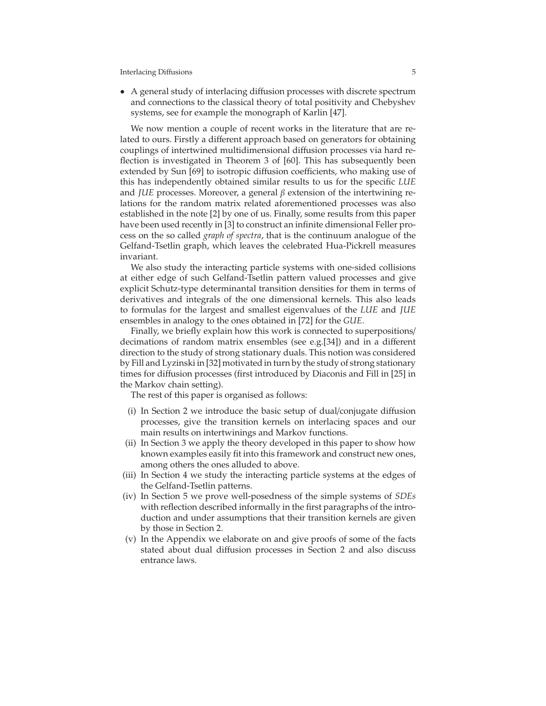• A general study of interlacing diffusion processes with discrete spectrum and connections to the classical theory of total positivity and Chebyshev systems, see for example the monograph of Karlin [\[47\]](#page-75-1).

We now mention a couple of recent works in the literature that are related to ours. Firstly a different approach based on generators for obtaining couplings of intertwined multidimensional diffusion processes via hard reflection is investigated in Theorem 3 of [\[60\]](#page-76-4). This has subsequently been extended by Sun [\[69\]](#page-76-5) to isotropic diffusion coefficients, who making use of this has independently obtained similar results to us for the specific *LUE* and *JUE* processes. Moreover, a general β extension of the intertwining relations for the random matrix related aforementioned processes was also established in the note [\[2\]](#page-74-7) by one of us. Finally, some results from this paper have been used recently in [\[3\]](#page-74-8) to construct an infinite dimensional Feller process on the so called *graph of spectra*, that is the continuum analogue of the Gelfand-Tsetlin graph, which leaves the celebrated Hua-Pickrell measures invariant.

We also study the interacting particle systems with one-sided collisions at either edge of such Gelfand-Tsetlin pattern valued processes and give explicit Schutz-type determinantal transition densities for them in terms of derivatives and integrals of the one dimensional kernels. This also leads to formulas for the largest and smallest eigenvalues of the *LUE* and *JUE* ensembles in analogy to the ones obtained in [\[72\]](#page-76-3) for the *GUE*.

Finally, we briefly explain how this work is connected to superpositions/ decimations of random matrix ensembles (see e.g.[\[34\]](#page-75-5)) and in a different direction to the study of strong stationary duals. This notion was considered by Fill and Lyzinski in [\[32\]](#page-75-6) motivated in turn by the study of strong stationary times for diffusion processes (first introduced by Diaconis and Fill in [\[25\]](#page-75-7) in the Markov chain setting).

The rest of this paper is organised as follows:

- (i) In Section 2 we introduce the basic setup of dual/conjugate diffusion processes, give the transition kernels on interlacing spaces and our main results on intertwinings and Markov functions.
- (ii) In Section 3 we apply the theory developed in this paper to show how known examples easily fit into this framework and construct new ones, among others the ones alluded to above.
- (iii) In Section 4 we study the interacting particle systems at the edges of the Gelfand-Tsetlin patterns.
- (iv) In Section 5 we prove well-posedness of the simple systems of *SDEs* with reflection described informally in the first paragraphs of the introduction and under assumptions that their transition kernels are given by those in Section 2.
- (v) In the Appendix we elaborate on and give proofs of some of the facts stated about dual diffusion processes in Section 2 and also discuss entrance laws.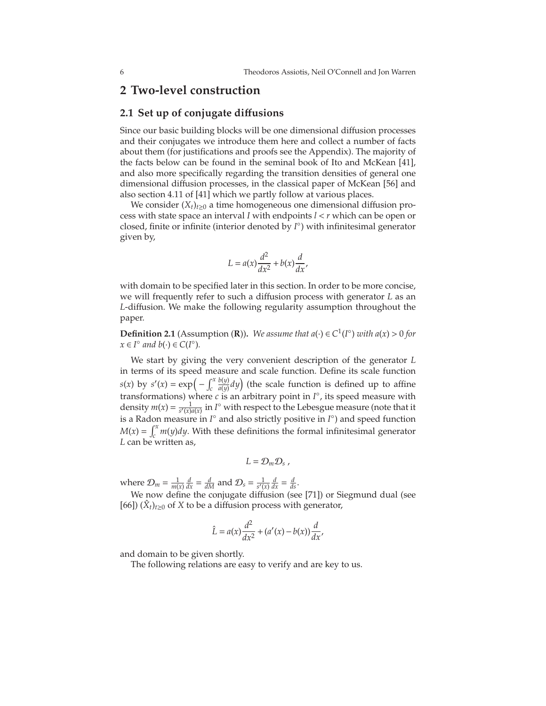## **2 Two-level construction**

## **2.1 Set up of conjugate di**ff**usions**

Since our basic building blocks will be one dimensional diffusion processes and their conjugates we introduce them here and collect a number of facts about them (for justifications and proofs see the Appendix). The majority of the facts below can be found in the seminal book of Ito and McKean [\[41\]](#page-75-8), and also more specifically regarding the transition densities of general one dimensional diffusion processes, in the classical paper of McKean [\[56\]](#page-76-6) and also section 4.11 of [\[41\]](#page-75-8) which we partly follow at various places.

We consider  $(X_t)_{t\geq0}$  a time homogeneous one dimensional diffusion process with state space an interval *I* with endpoints *l* < *r* which can be open or closed, finite or infinite (interior denoted by *I* ◦ ) with infinitesimal generator given by,

$$
L = a(x)\frac{d^2}{dx^2} + b(x)\frac{d}{dx},
$$

with domain to be specified later in this section. In order to be more concise, we will frequently refer to such a diffusion process with generator *L* as an *L*-diffusion. We make the following regularity assumption throughout the paper.

**Definition 2.1** (Assumption **(R)**). We assume that  $a(\cdot) \in C^1(I^{\circ})$  with  $a(x) > 0$  for  $x \in I^{\circ}$  and  $b(\cdot) \in C(I^{\circ}).$ 

We start by giving the very convenient description of the generator *L* in terms of its speed measure and scale function. Define its scale function  $s(x)$  by  $s'(x) = \exp\left(-\int_c^x$ *c b*(*y*)  $\frac{b(y)}{a(y)} dy$  (the scale function is defined up to affine transformations) where *c* is an arbitrary point in *I* ◦ , its speed measure with density  $m(x) = \frac{1}{s'(x)a(x)}$  in *I*<sup>°</sup> with respect to the Lebesgue measure (note that it is a Radon measure in *I* ◦ and also strictly positive in *I* ◦ ) and speed function  $M(x) = \int_{c}^{x}$ *c m*(*y*)*dy*. With these definitions the formal infinitesimal generator *L* can be written as,

$$
L=\mathcal{D}_m\mathcal{D}_s,
$$

where  $\mathcal{D}_m = \frac{1}{m(x)} \frac{d}{dx} = \frac{d}{dM}$  and  $\mathcal{D}_s = \frac{1}{s'(x)} \frac{d}{dx} = \frac{d}{ds}$ .

We now define the conjugate diffusion (see [\[71\]](#page-76-0)) or Siegmund dual (see [\[66\]](#page-76-1))  $(\hat{X}_t)_{t\geq0}$  of *X* to be a diffusion process with generator,

$$
\hat{L} = a(x)\frac{d^2}{dx^2} + (a'(x) - b(x))\frac{d}{dx},
$$

and domain to be given shortly.

The following relations are easy to verify and are key to us.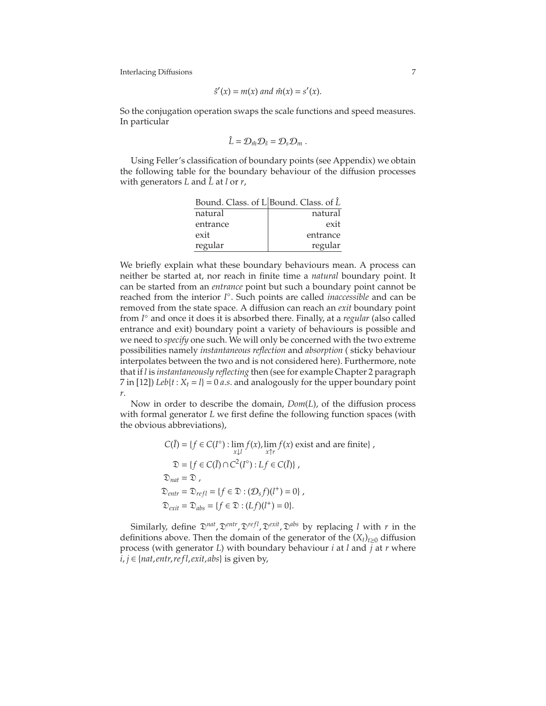$$
\hat{s}'(x) = m(x) \text{ and } \hat{m}(x) = s'(x).
$$

So the conjugation operation swaps the scale functions and speed measures. In particular

$$
\hat{L}=\mathcal{D}_{\hat{m}}\mathcal{D}_{\hat{s}}=\mathcal{D}_s\mathcal{D}_m.
$$

Using Feller's classification of boundary points (see Appendix) we obtain the following table for the boundary behaviour of the diffusion processes with generators *L* and *L*ˆ at *l* or *r*,

| Bound. Class. of L Bound. Class. of $\hat{L}$ |          |
|-----------------------------------------------|----------|
| natural                                       | natural  |
| entrance                                      | exit     |
| exit                                          | entrance |
| regular                                       | regular  |

We briefly explain what these boundary behaviours mean. A process can neither be started at, nor reach in finite time a *natural* boundary point. It can be started from an *entrance* point but such a boundary point cannot be reached from the interior *I* ◦ . Such points are called *inaccessible* and can be removed from the state space. A diffusion can reach an *exit* boundary point from *I* ◦ and once it does it is absorbed there. Finally, at a *regular* (also called entrance and exit) boundary point a variety of behaviours is possible and we need to *specify* one such. We will only be concerned with the two extreme possibilities namely *instantaneous reflection* and *absorption* ( sticky behaviour interpolates between the two and is not considered here). Furthermore, note that if *l* is *instantaneously reflecting* then (see for example Chapter 2 paragraph 7 in [\[12\]](#page-74-9)) *Leb*{ $t$  :  $X_t = l$ } = 0 *a.s*. and analogously for the upper boundary point *r*.

Now in order to describe the domain, *Dom*(*L*), of the diffusion process with formal generator *L* we first define the following function spaces (with the obvious abbreviations),

$$
C(\overline{I}) = \{ f \in C(I^{\circ}) : \lim_{x \downarrow l} f(x), \lim_{x \uparrow r} f(x) \text{ exist and are finite} \},
$$
  
\n
$$
\mathfrak{D} = \{ f \in C(\overline{I}) \cap C^{2}(I^{\circ}) : Lf \in C(\overline{I}) \},
$$
  
\n
$$
\mathfrak{D}_{nat} = \mathfrak{D},
$$
  
\n
$$
\mathfrak{D}_{entr} = \mathfrak{D}_{refl} = \{ f \in \mathfrak{D} : (\mathcal{D}_{s}f)(l^{+}) = 0 \},
$$
  
\n
$$
\mathfrak{D}_{exit} = \mathfrak{D}_{abs} = \{ f \in \mathfrak{D} : (Lf)(l^{+}) = 0 \}.
$$

Similarly, define  $\mathfrak{D}^{nat}$ ,  $\mathfrak{D}^{entr}$ ,  $\mathfrak{D}^{refl}$ ,  $\mathfrak{D}^{exit}$ ,  $\mathfrak{D}^{abs}$  by replacing *l* with *r* in the definitions above. Then the domain of the generator of the  $(X_t)_{t\geq0}$  diffusion process (with generator *L*) with boundary behaviour *i* at *l* and *j* at *r* where *i*, *j* ∈ {*nat*,*entr*,*re fl*,*exit*, *abs*} is given by,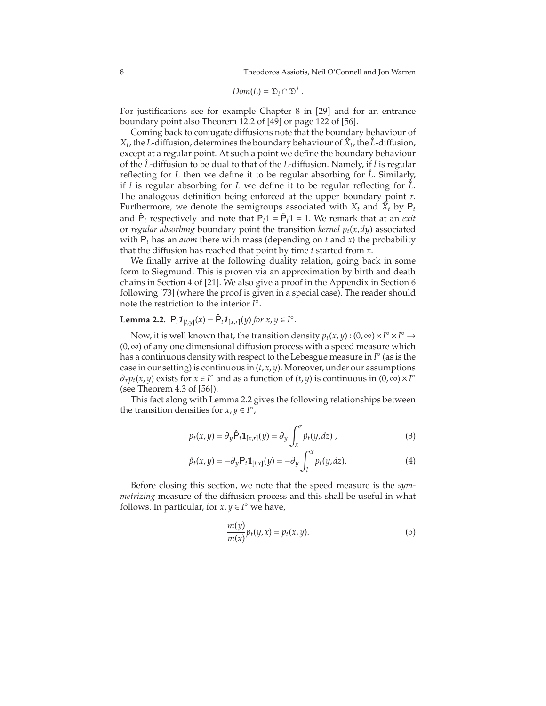$$
Dom(L) = \mathfrak{D}_i \cap \mathfrak{D}^j.
$$

For justifications see for example Chapter 8 in [\[29\]](#page-75-9) and for an entrance boundary point also Theorem 12.2 of [\[49\]](#page-75-10) or page 122 of [\[56\]](#page-76-6).

Coming back to conjugate diffusions note that the boundary behaviour of  $X_t$ , the *L*-diffusion, determines the boundary behaviour of  $\hat{X}_t$ , the  $\hat{L}$ -diffusion, except at a regular point. At such a point we define the boundary behaviour of the *L*ˆ -diffusion to be dual to that of the *L*-diffusion. Namely, if *l* is regular reflecting for  $L$  then we define it to be regular absorbing for  $\hat{L}$ . Similarly, if *l* is regular absorbing for *L* we define it to be regular reflecting for  $\hat{L}$ . The analogous definition being enforced at the upper boundary point *r*. Furthermore, we denote the semigroups associated with  $X_t$  and  $\hat{X}_t$  by  $P_t$ and  $\hat{P}_t$  respectively and note that  $\hat{P}_t$ 1 =  $\hat{P}_t$ 1 = 1. We remark that at an *exit* or *regular absorbing* boundary point the transition *kernel pt*(*x*,*dy*) associated with P*<sup>t</sup>* has an *atom* there with mass (depending on *t* and *x*) the probability that the diffusion has reached that point by time *t* started from *x*.

We finally arrive at the following duality relation, going back in some form to Siegmund. This is proven via an approximation by birth and death chains in Section 4 of [\[21\]](#page-74-0). We also give a proof in the Appendix in Section [6](#page-68-0) following [\[73\]](#page-76-7) (where the proof is given in a special case). The reader should note the restriction to the interior *I* ◦ .

# <span id="page-8-0"></span>**Lemma 2.2.**  $P_t \mathbf{1}_{[l,y]}(x) = \hat{P}_t \mathbf{1}_{[x,r]}(y)$  *for*  $x, y \in I^\circ$ *.*

Now, it is well known that, the transition density  $p_t(x, y) : (0, \infty) \times I^\circ \times I^\circ \to$ (0,∞) of any one dimensional diffusion process with a speed measure which has a continuous density with respect to the Lebesgue measure in *I* ◦ (as is the case in our setting) is continuous in (*t*,*x*, *y*). Moreover, under our assumptions  $\partial_x p_t(x, y)$  exists for  $x \in I^\circ$  and as a function of  $(t, y)$  is continuous in  $(0, \infty) \times I^\circ$ (see Theorem 4.3 of [\[56\]](#page-76-6)).

This fact along with Lemma [2.2](#page-8-0) gives the following relationships between the transition densities for  $x, y \in I^{\circ}$ ,

$$
p_t(x,y) = \partial_y \hat{P}_t \mathbf{1}_{[x,r]}(y) = \partial_y \int_x^r \hat{p}_t(y,dz) , \qquad (3)
$$

$$
\hat{p}_t(x,y) = -\partial_y \mathsf{P}_t \mathbf{1}_{[l,x]}(y) = -\partial_y \int_l^x p_t(y,dz). \tag{4}
$$

Before closing this section, we note that the speed measure is the *symmetrizing* measure of the diffusion process and this shall be useful in what follows. In particular, for  $x, y \in I^{\circ}$  we have,

<span id="page-8-1"></span>
$$
\frac{m(y)}{m(x)}p_t(y,x) = p_t(x,y). \tag{5}
$$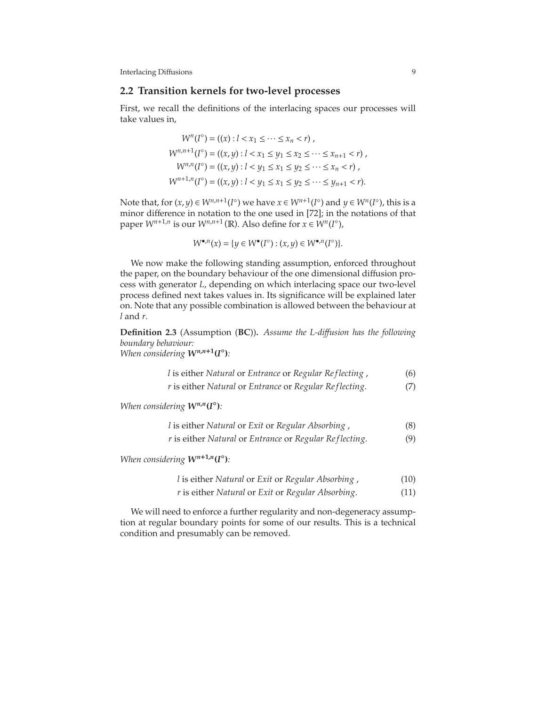### **2.2 Transition kernels for two-level processes**

First, we recall the definitions of the interlacing spaces our processes will take values in,

$$
W^{n}(I^{\circ}) = ((x) : l < x_{1} \leq \dots \leq x_{n} < r),
$$
\n
$$
W^{n,n+1}(I^{\circ}) = ((x,y) : l < x_{1} \leq y_{1} \leq x_{2} \leq \dots \leq x_{n+1} < r),
$$
\n
$$
W^{n,n}(I^{\circ}) = ((x,y) : l < y_{1} \leq x_{1} \leq y_{2} \leq \dots \leq x_{n} < r),
$$
\n
$$
W^{n+1,n}(I^{\circ}) = ((x,y) : l < y_{1} \leq x_{1} \leq y_{2} \leq \dots \leq y_{n+1} < r).
$$

Note that, for  $(x, y) \in W^{n,n+1}(I^{\circ})$  we have  $x \in W^{n+1}(I^{\circ})$  and  $y \in W^{n}(I^{\circ})$ , this is a minor difference in notation to the one used in [\[72\]](#page-76-3); in the notations of that paper  $W^{n+1,n}$  is our  $W^{n,n+1}(\mathbb{R})$ . Also define for  $x \in W^n(I^{\circ})$ ,

$$
W^{\bullet,n}(x) = \{ y \in W^{\bullet}(I^{\circ}) : (x,y) \in W^{\bullet,n}(I^{\circ}) \}.
$$

We now make the following standing assumption, enforced throughout the paper, on the boundary behaviour of the one dimensional diffusion process with generator *L*, depending on which interlacing space our two-level process defined next takes values in. Its significance will be explained later on. Note that any possible combination is allowed between the behaviour at *l* and *r*.

**Definition 2.3** (Assumption (**BC**))**.** *Assume the L-di*ff*usion has the following boundary behaviour: When considering*  $W^{n,n+1}(I^{\circ})$ *:* 

<span id="page-9-0"></span>*l* is either *Natural* or *Entrance* or *Regular Re flecting* , (6)

<span id="page-9-1"></span>*r* is either *Natural* or *Entrance* or *Regular Re flecting*. (7)

*When considering*  $W^{n,n}(\mathbf{I}^{\circ})$ *:* 

|  | l is either Natural or Exit or Regular Absorbing, |  |
|--|---------------------------------------------------|--|
|--|---------------------------------------------------|--|

*r* is either *Natural* or *Entrance* or *Regular Re flecting*. (9)

*When considering*  $W^{n+1,n}(I^{\circ})$ *:* 

- <span id="page-9-5"></span><span id="page-9-4"></span><span id="page-9-3"></span><span id="page-9-2"></span>*l* is either *Natural* or *Exit* or *Regular Absorbing* , (10)
- *r* is either *Natural* or *Exit* or *Regular Absorbing*. (11)

We will need to enforce a further regularity and non-degeneracy assumption at regular boundary points for some of our results. This is a technical condition and presumably can be removed.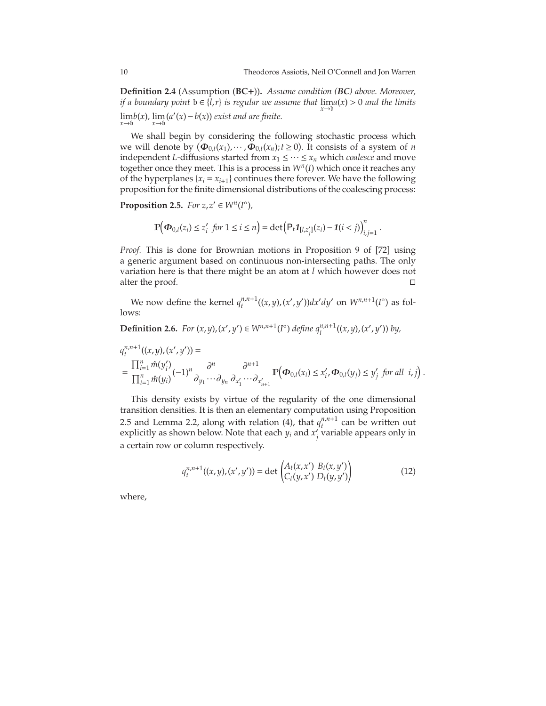**Definition 2.4** (Assumption (**BC**+))**.** *Assume condition (BC) above. Moreover, if a boundary point*  $b \in \{l, r\}$  *is regular we assume that*  $\lim_{x \to b} a(x) > 0$  *and the limits* lim *x*→b *b*(*x*)*,* lim *x*→b (*a* ′ (*x*)−*b*(*x*)) *exist and are finite.*

We shall begin by considering the following stochastic process which we will denote by  $(\Phi_{0,t}(x_1), \dots, \Phi_{0,t}(x_n); t \ge 0)$ . It consists of a system of *n* independent *L*-diffusions started from  $x_1 \leq \cdots \leq x_n$  which *coalesce* and move together once they meet. This is a process in *W<sup>n</sup>* (*I*) which once it reaches any of the hyperplanes  $\{x_i = x_{i+1}\}$  continues there forever. We have the following proposition for the finite dimensional distributions of the coalescing process:

<span id="page-10-0"></span>**Proposition 2.5.** *For*  $z, z' \in W^n(I^\circ)$ *,* 

$$
\mathbb{P}\Big(\mathbf{\Phi}_{0,t}(z_i) \leq z'_i \text{ for } 1 \leq i \leq n\Big) = \det\Big(\mathsf{P}_t \mathbf{1}_{[l,z'_j]}(z_i) - \mathbf{1}(i < j)\Big)_{i,j=1}^n.
$$

*Proof.* This is done for Brownian motions in Proposition 9 of [\[72\]](#page-76-3) using a generic argument based on continuous non-intersecting paths. The only variation here is that there might be an atom at *l* which however does not alter the proof. □

We now define the kernel  $q_t^{n,n+1}$  $f_t^{n,n+1}((x,y),(x',y'))dx'dy'$  on  $W^{n,n+1}(I^{\circ})$  as follows:

# **Definition 2.6.** For  $(x, y)$ ,  $(x', y') \in W^{n, n+1}(I^{\circ})$  define  $q_t^{n, n+1}((x, y), (x', y'))$  by,

$$
q_t^{n,n+1}((x,y),(x',y')) =
$$
  
= 
$$
\frac{\prod_{i=1}^n \hat{m}(y_i')}{\prod_{i=1}^n \hat{m}(y_i)} (-1)^n \frac{\partial^n}{\partial_{y_1} \cdots \partial_{y_n}} \frac{\partial^{n+1}}{\partial_{x'_1} \cdots \partial_{x'_{n+1}}} \mathbb{P}\Big(\Phi_{0,t}(x_i) \leq x'_i, \Phi_{0,t}(y_j) \leq y'_j \text{ for all } i,j\Big).
$$

This density exists by virtue of the regularity of the one dimensional transition densities. It is then an elementary computation using Proposition [2.5](#page-10-0) and Lemma [2.2,](#page-8-0) along with relation [\(4\)](#page-8-1), that  $q_t^{n,n+1}$  $t^{n,n+1}$  can be written out explicitly as shown below. Note that each  $y_i$  and  $x'_j$  variable appears only in a certain row or column respectively.

$$
q_t^{n,n+1}((x,y),(x',y')) = \det \begin{pmatrix} A_t(x,x') & B_t(x,y') \\ C_t(y,x') & D_t(y,y') \end{pmatrix}
$$
 (12)

where,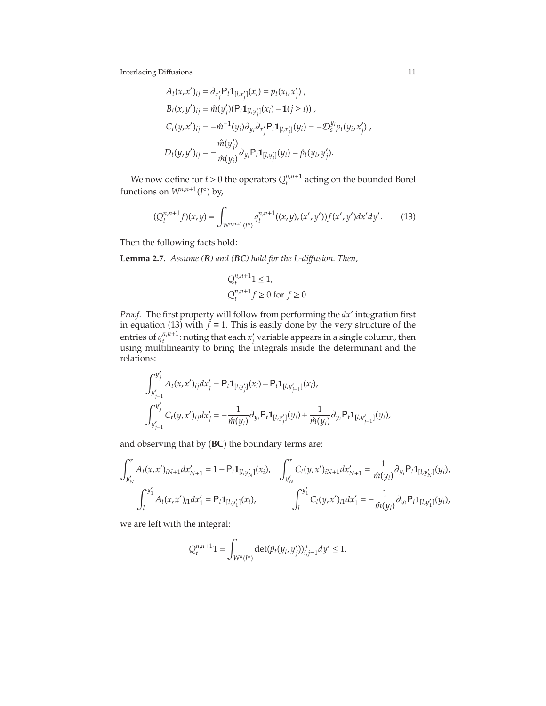$$
A_t(x, x')_{ij} = \partial_{x'_j} P_t \mathbf{1}_{[l, x'_j]}(x_i) = p_t(x_i, x'_j),
$$
  
\n
$$
B_t(x, y')_{ij} = \hat{m}(y'_j)(P_t \mathbf{1}_{[l, y'_j]}(x_i) - \mathbf{1}(j \ge i)),
$$
  
\n
$$
C_t(y, x')_{ij} = -\hat{m}^{-1}(y_i)\partial_{y_i}\partial_{x'_j} P_t \mathbf{1}_{[l, x'_j]}(y_i) = -\mathcal{D}_s^{y_i} p_t(y_i, x'_j),
$$
  
\n
$$
D_t(y, y')_{ij} = -\frac{\hat{m}(y'_j)}{\hat{m}(y_i)} \partial_{y_i} P_t \mathbf{1}_{[l, y'_j]}(y_i) = \hat{p}_t(y_i, y'_j).
$$

We now define for  $t > 0$  the operators  $Q_t^{n,n+1}$  $t^{n,n+1}$  acting on the bounded Borel functions on  $W^{n,n+1}(I^{\circ})$  by,

$$
(Q_t^{n,n+1}f)(x,y) = \int_{W^{n,n+1}(I^c)} q_t^{n,n+1}((x,y),(x',y'))f(x',y')dx'dy'.\tag{13}
$$

Then the following facts hold:

**Lemma 2.7.** *Assume (R) and (BC) hold for the L-di*ff*usion. Then,*

<span id="page-11-0"></span>
$$
Q_t^{n,n+1}1 \le 1,
$$
  
\n
$$
Q_t^{n,n+1}f \ge 0 \text{ for } f \ge 0.
$$

*Proof.* The first property will follow from performing the *dx*′ integration first in equation [\(13\)](#page-11-0) with *f*  $\equiv$  1. This is easily done by the very structure of the entries of  $q_t^{n,n+1}$  $t_{t}^{n,n+1}$ : noting that each  $x'_{i}$  variable appears in a single column, then using multilinearity to bring the integrals inside the determinant and the relations:

$$
\int_{y'_{j-1}}^{y'_j} A_t(x, x')_{ij} dx'_j = P_t \mathbf{1}_{[l, y'_j]}(x_i) - P_t \mathbf{1}_{[l, y'_{j-1}]}(x_i),
$$
  

$$
\int_{y'_{j-1}}^{y'_j} C_t(y, x')_{ij} dx'_j = -\frac{1}{\hat{m}(y_i)} \partial_{y_i} P_t \mathbf{1}_{[l, y'_j]}(y_i) + \frac{1}{\hat{m}(y_i)} \partial_{y_i} P_t \mathbf{1}_{[l, y'_{j-1}]}(y_i),
$$

and observing that by (**BC**) the boundary terms are:

$$
\int_{y'_{N}}^{r} A_{t}(x, x')_{iN+1} dx'_{N+1} = 1 - P_{t} \mathbf{1}_{[l, y'_{N}]}(x_{i}), \quad \int_{y'_{N}}^{r} C_{t}(y, x')_{iN+1} dx'_{N+1} = \frac{1}{\hat{m}(y_{i})} \partial_{y_{i}} P_{t} \mathbf{1}_{[l, y'_{N}]}(y_{i}),
$$

$$
\int_{l}^{y'_{1}} A_{t}(x, x')_{i1} dx'_{1} = P_{t} \mathbf{1}_{[l, y'_{1}]}(x_{i}), \qquad \int_{l}^{y'_{1}} C_{t}(y, x')_{i1} dx'_{1} = -\frac{1}{\hat{m}(y_{i})} \partial_{y_{i}} P_{t} \mathbf{1}_{[l, y'_{1}]}(y_{i}),
$$

we are left with the integral:

$$
Q_t^{n,n+1}1 = \int_{W^n(I^\circ)} \det(\hat{p}_t(y_i, y'_j))_{i,j=1}^n dy' \leq 1.
$$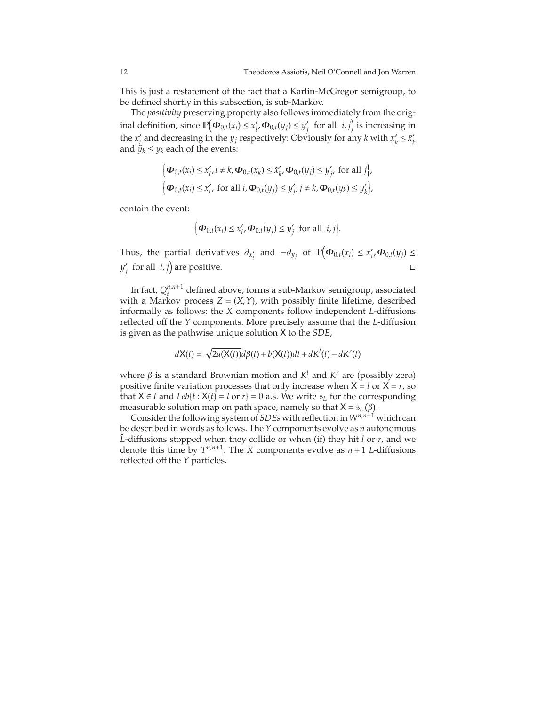This is just a restatement of the fact that a Karlin-McGregor semigroup, to be defined shortly in this subsection, is sub-Markov.

The *positivity* preserving property also follows immediately from the original definition, since  $\mathbb{P}\left(\boldsymbol{\Phi}_{0,t}(x_i) \leq x_i', \boldsymbol{\Phi}_{0,t}(y_i) \leq y_j' \text{ for all } i,j\right)$  is increasing in the  $x'_i$  and decreasing in the  $y_j$  respectively: Obviously for any *k* with  $x'_k \leq \tilde{x}'_k$ and  $\tilde{y}_k \leq y_k$  each of the events:

$$
\begin{aligned} &\Big\{\boldsymbol{\Phi}_{0,t}(x_i)\leq x_i', i\neq k, \boldsymbol{\Phi}_{0,t}(x_k)\leq \tilde{x}_k', \boldsymbol{\Phi}_{0,t}(y_j)\leq y_j', \text{ for all } j\Big\},\\ &\Big\{\boldsymbol{\Phi}_{0,t}(x_i)\leq x_i', \text{ for all } i, \boldsymbol{\Phi}_{0,t}(y_j)\leq y_j', j\neq k, \boldsymbol{\Phi}_{0,t}(\tilde{y}_k)\leq y_k'\Big\}, \end{aligned}
$$

contain the event:

$$
\Big\{\boldsymbol{\Phi}_{0,t}(x_i)\leq x_i', \boldsymbol{\Phi}_{0,t}(y_j)\leq y_j' \text{ for all } i,j\Big\}.
$$

Thus, the partial derivatives  $\partial_{x_i'}$  and  $-\partial_{y_j}$  of  $\mathbb{P}\left(\Phi_{0,t}(x_i) \leq x_i', \Phi_{0,t}(y_j) \leq \emptyset\right)$ *y*<sup> $'$ </sup> for all *i*, *j*) are positive. □

In fact,  $Q^{n,n+1}_{t}$  $t_t^{n,n+1}$  defined above, forms a sub-Markov semigroup, associated with a Markov process *Z* = (*X*,*Y*), with possibly finite lifetime, described informally as follows: the *X* components follow independent *L*-diffusions reflected off the *Y* components. More precisely assume that the *L*-diffusion is given as the pathwise unique solution X to the *SDE*,

$$
dX(t) = \sqrt{2a(X(t))}d\beta(t) + b(X(t))dt + dK^{l}(t) - dK^{r}(t)
$$

where β is a standard Brownian motion and *K <sup>l</sup>* and *K <sup>r</sup>* are (possibly zero) positive finite variation processes that only increase when  $X = l$  or  $X = r$ , so that *X* ∈ *I* and *Leb*{*t* : *X*(*t*) = *l* or *r*} = 0 a.s. We write  $\epsilon$ <sub>*L*</sub> for the corresponding measurable solution map on path space, namely so that  $X = s_L(\beta)$ .

Consider the following system of *SDEs* with reflection in *Wn*,*n*+<sup>1</sup> which can be described in words as follows. The *Y* components evolve as *n* autonomous  $\hat{L}$ -diffusions stopped when they collide or when (if) they hit *l* or *r*, and we denote this time by  $T^{n,n+1}$ . The *X* components evolve as  $n+1$  *L*-diffusions reflected off the *Y* particles.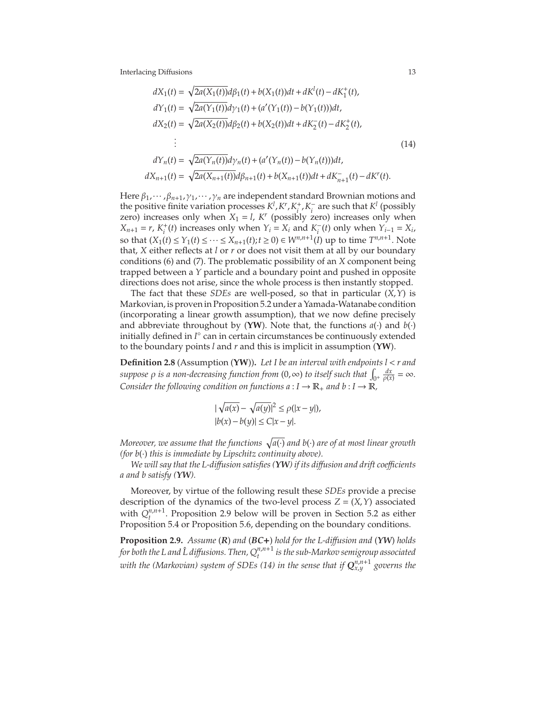<span id="page-13-1"></span>
$$
dX_1(t) = \sqrt{2a(X_1(t))}d\beta_1(t) + b(X_1(t))dt + dK^1(t) - dK^+_1(t),
$$
  
\n
$$
dY_1(t) = \sqrt{2a(Y_1(t))}d\gamma_1(t) + (a'(Y_1(t)) - b(Y_1(t)))dt,
$$
  
\n
$$
dX_2(t) = \sqrt{2a(X_2(t))}d\beta_2(t) + b(X_2(t))dt + dK^-_2(t) - dK^+_2(t),
$$
  
\n
$$
\vdots
$$
  
\n
$$
dY_n(t) = \sqrt{2a(Y_n(t))}d\gamma_n(t) + (a'(Y_n(t)) - b(Y_n(t)))dt,
$$
  
\n
$$
dX_{n+1}(t) = \sqrt{2a(X_{n+1}(t))}d\beta_{n+1}(t) + b(X_{n+1}(t))dt + dK^-_{n+1}(t) - dK^r(t).
$$
\n(14)

Here  $\beta_1$ ,  $\cdots$ ,  $\beta_{n+1}$ ,  $\gamma_1$ ,  $\cdots$ ,  $\gamma_n$  are independent standard Brownian motions and the positive finite variation processes  $K^l$ ,  $K^r$ ,  $K^+_i$  $\frac{1}{i}$ , *K*<sup> $-$ </sup> are such that *K*<sup>*l*</sup> (possibly zero) increases only when  $X_1 = l$ ,  $K^r$  (possibly zero) increases only when  $X_{n+1} = r$ ,  $K_i^+$ *i*<sup> $\tau$ </sup><sub>*i*</sub> i (*t*) increases only when *Y*<sup>*i*</sup> = *X<sub>i</sub>*</sub> and *K*<sup> $−$ </sup><sub>*i*</sub><sup>*t*</sup> (*t*) only when *Y*<sub>*i*−1</sub> = *X<sub>i</sub>* so that  $(X_1(t) \le Y_1(t) \le \dots \le X_{n+1}(t)$ ;  $t \ge 0$ )  $\in W^{n,n+1}(I)$  up to time  $T^{n,n+1}$ . Note that, *X* either reflects at *l* or *r* or does not visit them at all by our boundary conditions [\(6\)](#page-9-0) and [\(7\)](#page-9-1). The problematic possibility of an *X* component being trapped between a *Y* particle and a boundary point and pushed in opposite directions does not arise, since the whole process is then instantly stopped.

The fact that these *SDEs* are well-posed, so that in particular (*X*,*Y*) is Markovian, is proven in Proposition [5.2](#page-63-0) under a Yamada-Watanabe condition (incorporating a linear growth assumption), that we now define precisely and abbreviate throughout by (YW). Note that, the functions  $a(\cdot)$  and  $b(\cdot)$ initially defined in *I* ◦ can in certain circumstances be continuously extended to the boundary points *l* and *r* and this is implicit in assumption (**YW**).

**Definition 2.8** (Assumption (**YW**))**.** *Let I be an interval with endpoints l* < *r and*  $suppose \rho$  *is a non-decreasing function from* (0, ∞) *to itself such that*  $\int_{0^+} \frac{dx}{\rho(x)} = \infty$ *. Consider the following condition on functions*  $a: I \to \mathbb{R}_+$  *and*  $b: I \to \mathbb{R}$ *,* 

$$
|\sqrt{a(x)} - \sqrt{a(y)}|^2 \le \rho(|x - y|),
$$
  
\n
$$
|b(x) - b(y)| \le C|x - y|.
$$

Moreover, we assume that the functions  $\sqrt{a(\cdot)}$  and b( $\cdot$ ) are of at most linear growth *(for b*(·) *this is immediate by Lipschitz continuity above).*

*We will say that the L-di*ff*usion satisfies (YW) if its di*ff*usion and drift coe*ffi*cients a and b satisfy (YW).*

Moreover, by virtue of the following result these *SDEs* provide a precise description of the dynamics of the two-level process  $Z = (X, Y)$  associated with  $Q_t^{n,n+1}$  $t_t^{n,n+1}$ . Proposition [2.9](#page-13-0) below will be proven in Section [5.2](#page-63-1) as either Proposition [5.4](#page-65-0) or Proposition [5.6,](#page-67-0) depending on the boundary conditions.

<span id="page-13-0"></span>**Proposition 2.9.** *Assume* (*R*) *and* (*BC*+) *hold for the L-di*ff*usion and* (*YW*) *holds* for both the L and  $\hat{\text{L}}$  diffusions. Then,  $Q^{n,n+1}_{t}$  is the sub-Markov semigroup associated  $w$ ith the (Markovian) system of SDEs [\(14\)](#page-13-1) in the sense that if  $\mathbf{Q}_{x,y}^{n,n+1}$  governs the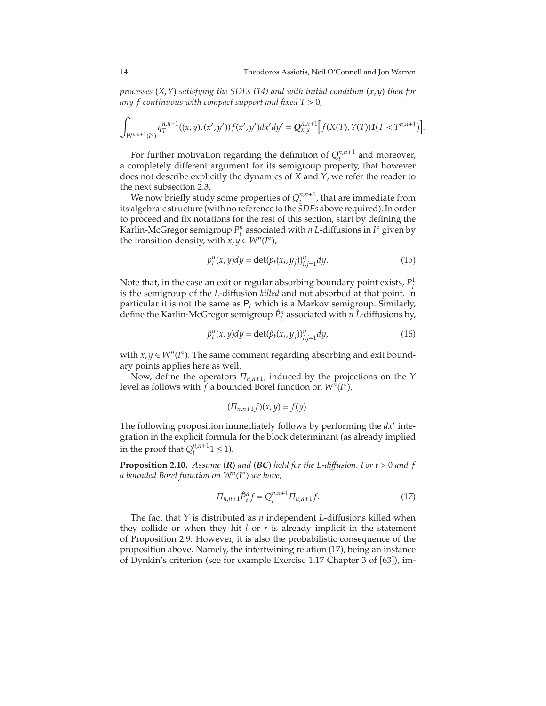<span id="page-14-1"></span>.

*processes* (*X*,*Y*) *satisfying the SDEs [\(14\)](#page-13-1) and with initial condition* (*x*, *y*) *then for any f continuous with compact support and fixed T* > 0*,*

$$
\int_{W^{n,n+1}(I^{\circ})} q_T^{n,n+1}((x,y),(x',y'))f(x',y')dx'dy' = Q_{x,y}^{n,n+1}\Big[ f(X(T),Y(T))\mathbf{1}(T < T^{n,n+1}) \Big]
$$

For further motivation regarding the definition of  $Q_t^{n,n+1}$  $t^{n,n+1}$  and moreover, a completely different argument for its semigroup property, that however does not describe explicitly the dynamics of *X* and *Y*, we refer the reader to the next subsection [2.3.](#page-17-0)

We now briefly study some properties of  $Q_t^{n,n+1}$  $t_{t-1}^{n,n+1}$ , that are immediate from its algebraic structure (with no reference to the *SDEs* above required). In order to proceed and fix notations for the rest of this section, start by defining the Karlin-McGregor semigroup  $P_t^n$  associated with *n L*-diffusions in  $I^{\circ}$  given by the transition density, with  $x, y \in W^n(I^{\circ})$ ,

$$
p_t^n(x, y)dy = \det(p_t(x_i, y_j))_{i,j=1}^n dy.
$$
 (15)

Note that, in the case an exit or regular absorbing boundary point exists,  $P_t^1$ is the semigroup of the *L*-diffusion *killed* and not absorbed at that point. In particular it is not the same as P*<sup>t</sup>* which is a Markov semigroup. Similarly, define the Karlin-McGregor semigroup  $\hat{P}^n_t$  associated with  $\hat{n}$   $\hat{L}$ -diffusions by,

$$
\hat{p}_t^n(x, y)dy = \det(\hat{p}_t(x_i, y_j))_{i,j=1}^n dy,\tag{16}
$$

with  $x, y \in W^n(I^{\circ})$ . The same comment regarding absorbing and exit boundary points applies here as well.

Now, define the operators Π*n*,*n*+1, induced by the projections on the *Y* level as follows with  $\overline{f}$  a bounded Borel function on  $W^n(I^{\circ})$ ,

<span id="page-14-2"></span>
$$
(\Pi_{n,n+1}f)(x,y)=f(y).
$$

The following proposition immediately follows by performing the *dx*′ integration in the explicit formula for the block determinant (as already implied in the proof that  $Q_t^{n,n+1}$  $t^{n,n+1}$  1  $\leq$  1).

**Proposition 2.10.** *Assume* (*R*) *and* (*BC*) *hold for the L-di*ff*usion. For t* > 0 *and f a bounded Borel function on W<sup>n</sup>* (*I* ◦ ) *we have,*

<span id="page-14-0"></span>
$$
\Pi_{n,n+1} \hat{P}_t^n f = Q_t^{n,n+1} \Pi_{n,n+1} f. \tag{17}
$$

The fact that *Y* is distributed as *n* independent *L*-diffusions killed when they collide or when they hit *l* or *r* is already implicit in the statement of Proposition [2.9.](#page-13-0) However, it is also the probabilistic consequence of the proposition above. Namely, the intertwining relation [\(17\)](#page-14-0), being an instance of Dynkin's criterion (see for example Exercise 1.17 Chapter 3 of [\[63\]](#page-76-8)), im-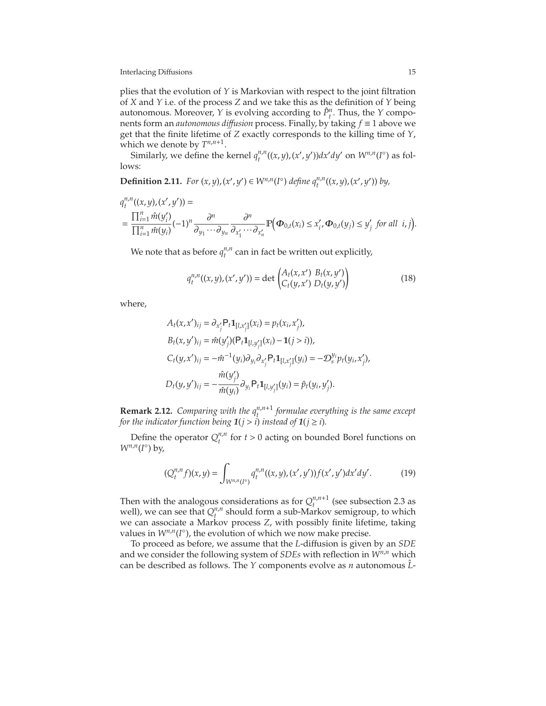plies that the evolution of *Y* is Markovian with respect to the joint filtration of *X* and *Y* i.e. of the process *Z* and we take this as the definition of *Y* being autonomous. Moreover, *Y* is evolving according to  $\hat{P}^n_t$ . Thus, the *Y* components form an *autonomous di*ff*usion* process. Finally, by taking *f* ≡ 1 above we get that the finite lifetime of *Z* exactly corresponds to the killing time of *Y*, which we denote by  $T^{n,n+1}$ .

Similarly, we define the kernel  $q_t^{n,n}$  $y^{n,n}$ ((*x*, *y*),(*x'*, *y'*))*dx'dy'* on  $W^{n,n}(I^{\circ})$  as follows:

**Definition 2.11.** For  $(x, y)$ ,  $(x', y') \in W^{n,n}(I^{\circ})$  define  $q_t^{n,n}((x, y), (x', y'))$  by,

$$
q_t^{n,n}((x,y),(x',y')) =
$$
  
= 
$$
\frac{\prod_{i=1}^n \hat{m}(y_i')}{\prod_{i=1}^n \hat{m}(y_i)} (-1)^n \frac{\partial^n}{\partial y_1 \cdots \partial y_n} \frac{\partial^n}{\partial x_1' \cdots \partial x_n'} \mathbb{P}\Big(\Phi_{0,t}(x_i) \leq x_i', \Phi_{0,t}(y_j) \leq y_j' \text{ for all } i,j\Big).
$$

We note that as before  $q_t^{n,n}$  $t_t^{n,n}$  can in fact be written out explicitly,

$$
q_t^{n,n}((x,y),(x',y')) = \det \begin{pmatrix} A_t(x,x') & B_t(x,y') \\ C_t(y,x') & D_t(y,y') \end{pmatrix}
$$
 (18)

where,

$$
A_t(x, x')_{ij} = \partial_{x'_j} P_t \mathbf{1}_{[l, x'_j]}(x_i) = p_t(x_i, x'_j),
$$
  
\n
$$
B_t(x, y')_{ij} = \hat{m}(y'_j)(P_t \mathbf{1}_{[l, y'_j]}(x_i) - \mathbf{1}(j > i)),
$$
  
\n
$$
C_t(y, x')_{ij} = -\hat{m}^{-1}(y_i)\partial_{y_i}\partial_{x'_j} P_t \mathbf{1}_{[l, x'_j]}(y_i) = -\mathcal{D}_s^{y_i} p_t(y_i, x'_j),
$$
  
\n
$$
D_t(y, y')_{ij} = -\frac{\hat{m}(y'_j)}{\hat{m}(y_i)} \partial_{y_i} P_t \mathbf{1}_{[l, y'_j]}(y_i) = \hat{p}_t(y_i, y'_j).
$$

**Remark 2.12.** *Comparing with the*  $q_t^{n,n+1}$  *formulae everything is the same except for the indicator function being*  $1(j>i)$  *instead of*  $1(j \ge i)$ *.* 

Define the operator  $Q_t^{n,n}$  $t_t^{n,n}$  for  $t > 0$  acting on bounded Borel functions on  $W^{n,n}(I^{\circ})$  by,

<span id="page-15-0"></span>
$$
(Q_t^{n,n}f)(x,y) = \int_{W^{n,n}(I^{\circ})} q_t^{n,n}((x,y),(x',y'))f(x',y')dx'dy'. \tag{19}
$$

Then with the analogous considerations as for  $Q_t^{n,n+1}$  $t_t^{n,n+1}$  (see subsection [2.3](#page-17-0) as well), we can see that  $Q_t^{n,n}$  $t^{n,n}$  should form a sub-Markov semigroup, to which we can associate a Markov process *Z*, with possibly finite lifetime, taking values in  $W^{n,n}(I^{\circ})$ , the evolution of which we now make precise.

To proceed as before, we assume that the *L*-diffusion is given by an *SDE* and we consider the following system of *SDEs* with reflection in *Wn*,*<sup>n</sup>* which can be described as follows. The *Y* components evolve as *n* autonomous  $\hat{L}$ -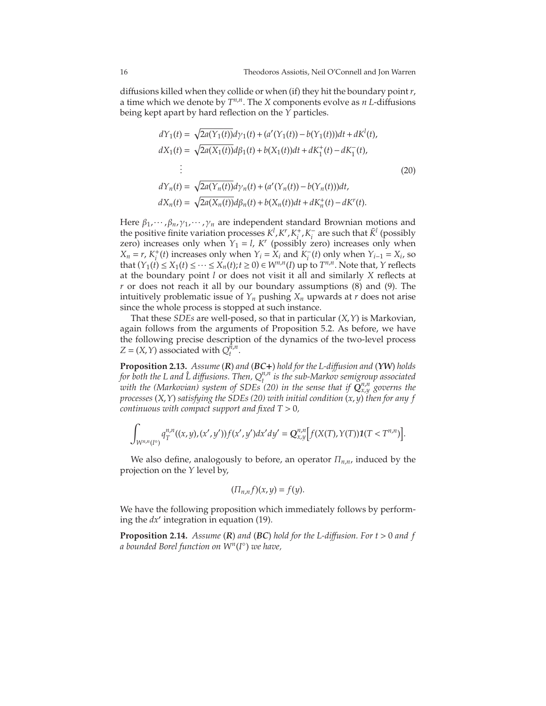diffusions killed when they collide or when (if) they hit the boundary point*r*, a time which we denote by *T n*,*n* . The *X* components evolve as *n L*-diffusions being kept apart by hard reflection on the *Y* particles.

<span id="page-16-0"></span>
$$
dY_1(t) = \sqrt{2a(Y_1(t))}d\gamma_1(t) + (a'(Y_1(t)) - b(Y_1(t)))dt + dK^l(t),
$$
  
\n
$$
dX_1(t) = \sqrt{2a(X_1(t))}d\beta_1(t) + b(X_1(t))dt + dK^+_1(t) - dK^-_1(t),
$$
  
\n
$$
\vdots
$$
  
\n
$$
dY_n(t) = \sqrt{2a(Y_n(t))}d\gamma_n(t) + (a'(Y_n(t)) - b(Y_n(t)))dt,
$$
  
\n
$$
dX_n(t) = \sqrt{2a(X_n(t))}d\beta_n(t) + b(X_n(t))dt + dK^+_n(t) - dK^r(t).
$$
\n(20)

Here  $β_1, · · · , β_n, γ_1, · · · , γ_n$  are independent standard Brownian motions and the positive finite variation processes  $K^l$ ,  $K^r$ ,  $K^+_i$  $\bar{K}_i^+$ ,  $K_i^-$  are such that  $\bar{K}^l$  (possibly zero) increases only when  $Y_1 = l$ ,  $K^r$  (possibly zero) increases only when  $X_n = r, K_i^+$  $\sum_{i=1}^{i}$  (*t*) increases only when  $Y_i = X_i$  and  $K_i^-(t)$  only when  $Y_{i-1} = X_i$ , so that  $(Y_1(t) \le X_1(t) \le \dots \le X_n(t); t \ge 0) \in W^{n,n}(I)$  up to  $T^{n,n}$ . Note that, *Y* reflects at the boundary point *l* or does not visit it all and similarly *X* reflects at *r* or does not reach it all by our boundary assumptions [\(8\)](#page-9-2) and [\(9\)](#page-9-3). The intuitively problematic issue of  $Y_n$  pushing  $X_n$  upwards at *r* does not arise since the whole process is stopped at such instance.

That these *SDEs* are well-posed, so that in particular (*X*,*Y*) is Markovian, again follows from the arguments of Proposition [5.2.](#page-63-0) As before, we have the following precise description of the dynamics of the two-level process  $Z = (X, Y)$  associated with  $Q_t^{\hat{n}, n}$ *t* .

<span id="page-16-1"></span>**Proposition 2.13.** *Assume* (*R*) *and* (*BC*+) *hold for the L-di*ff*usion and* (*YW*) *holds for both the L and L diffusions. Then,*  $Q_t^{n,n}$  *is the sub-Markov semigroup associated with the (Markovian) system of SDEs* [\(20\)](#page-16-0) *in the sense that if*  $\mathbf{Q}_{x,y}^{n,n}$  *governs the processes* (*X*,*Y*) *satisfying the SDEs [\(20\)](#page-16-0) with initial condition* (*x*, *y*) *then for any f continuous with compact support and fixed T* > 0*,*

$$
\int_{W^{n,n}(I^c)}q_{T}^{n,n}((x,y),(x',y'))f(x',y')dx'dy'=Q_{x,y}^{n,n}[f(X(T),Y(T))\mathbf{1}(T
$$

We also define, analogously to before, an operator Π*n*,*n*, induced by the projection on the *Y* level by,

$$
(\Pi_{n,n}f)(x,y)=f(y).
$$

We have the following proposition which immediately follows by performing the *dx'* integration in equation [\(19\)](#page-15-0).

**Proposition 2.14.** *Assume* (*R*) *and* (*BC*) *hold for the L-di*ff*usion. For t* > 0 *and f a bounded Borel function on W<sup>n</sup>* (*I* ◦ ) *we have,*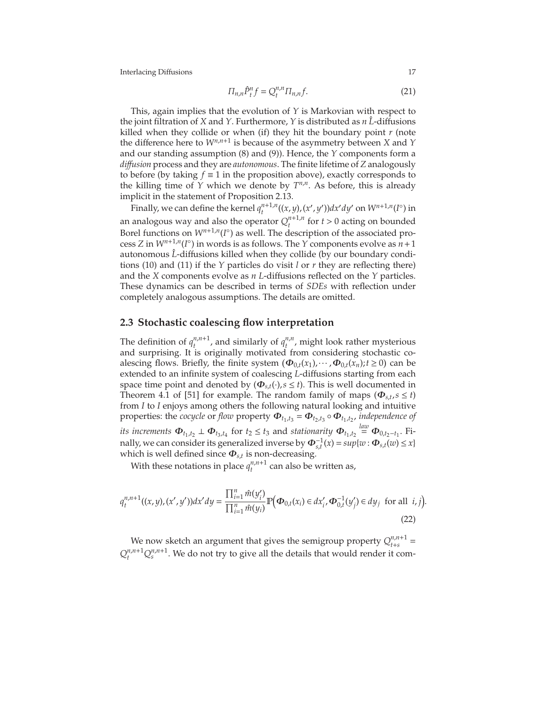$$
\Pi_{n,n}\hat{P}_t^n f = Q_t^{n,n} \Pi_{n,n} f. \tag{21}
$$

This, again implies that the evolution of *Y* is Markovian with respect to the joint filtration of *X* and *Y*. Furthermore, *Y* is distributed as *n*  $\hat{L}$ -diffusions killed when they collide or when (if) they hit the boundary point *r* (note the difference here to *Wn*,*n*+<sup>1</sup> is because of the asymmetry between *X* and *Y* and our standing assumption [\(8\)](#page-9-2) and [\(9\)](#page-9-3)). Hence, the *Y* components form a *di*ff*usion* process and they are *autonomous*. The finite lifetime of *Z* analogously to before (by taking  $f \equiv 1$  in the proposition above), exactly corresponds to the killing time of *Y* which we denote by  $T^{n,n}$ . As before, this is already implicit in the statement of Proposition [2.13.](#page-16-1)

Finally, we can define the kernel  $q_t^{n+1,n}$ *t*<sup>*n*+1,*n*</sup>((*x*, *y*),(*x'*, *y'*))*dx'dy'* on  $W^{n+1,n}(I^{\circ})$  in an analogous way and also the operator  $Q_t^{n+1,n}$  $t_t^{n+1,n}$  for  $t > 0$  acting on bounded Borel functions on  $W^{n+1,n}(I^{\circ})$  as well. The description of the associated process *Z* in  $W^{n+1,n}(I^{\circ})$  in words is as follows. The *Y* components evolve as  $n+1$ autonomous L<sup>2</sup>-diffusions killed when they collide (by our boundary conditions [\(10\)](#page-9-4) and [\(11\)](#page-9-5) if the *Y* particles do visit *l* or *r* they are reflecting there) and the *X* components evolve as *n L*-diffusions reflected on the *Y* particles. These dynamics can be described in terms of *SDEs* with reflection under completely analogous assumptions. The details are omitted.

## <span id="page-17-0"></span>**2.3 Stochastic coalescing flow interpretation**

The definition of  $q_t^{n,n+1}$  $t^{n,n+1}$ , and similarly of  $q_t^{n,n}$  $t_{t}^{n,n}$ , might look rather mysterious and surprising. It is originally motivated from considering stochastic coalescing flows. Briefly, the finite system  $(\Phi_{0,t}(x_1), \dots, \Phi_{0,t}(x_n); t \ge 0)$  can be extended to an infinite system of coalescing *L*-diffusions starting from each space time point and denoted by  $(\Phi_{s,t}(\cdot), s \leq t)$ . This is well documented in Theorem 4.1 of [\[51\]](#page-76-9) for example. The random family of maps ( $\Phi_{s,t}$ ,  $s \le t$ ) from *I* to *I* enjoys among others the following natural looking and intuitive properties: the *cocycle* or *flow* property  $\Phi_{t_1,t_3} = \Phi_{t_2,t_3} \circ \Phi_{t_1,t_2}$ , independence of *its increments*  $\Phi_{t_1,t_2} \perp \Phi_{t_3,t_4}$  for  $t_2 \le t_3$  and *stationarity*  $\Phi_{t_1,t_2} \stackrel{law}{=} \Phi_{0,t_2-t_1}$ . Finally, we can consider its generalized inverse by  $\Phi_{s,t}^{-1}(x) = \sup \{w : \Phi_{s,t}(w) \leq x\}$ which is well defined since Φ*s*,*<sup>t</sup>* is non-decreasing.

With these notations in place  $q_t^{n,n+1}$  $t^{n,n+1}$  can also be written as,

$$
q_t^{n,n+1}((x,y),(x',y'))dx'dy = \frac{\prod_{i=1}^n \hat{m}(y_i')}{\prod_{i=1}^n \hat{m}(y_i)} \mathbb{P}\Big(\boldsymbol{\Phi}_{0,t}(x_i) \in dx'_i, \boldsymbol{\Phi}_{0,t}^{-1}(y_j') \in dy_j \text{ for all } i,j\Big).
$$
\n(22)

We now sketch an argument that gives the semigroup property  $Q_{t+s}^{n,n+1}$  $n_{t+s}^{n,n+1} =$  $Q_t^{n,n+1}Q_s^{n,n+1}$ . We do not try to give all the details that would render it com-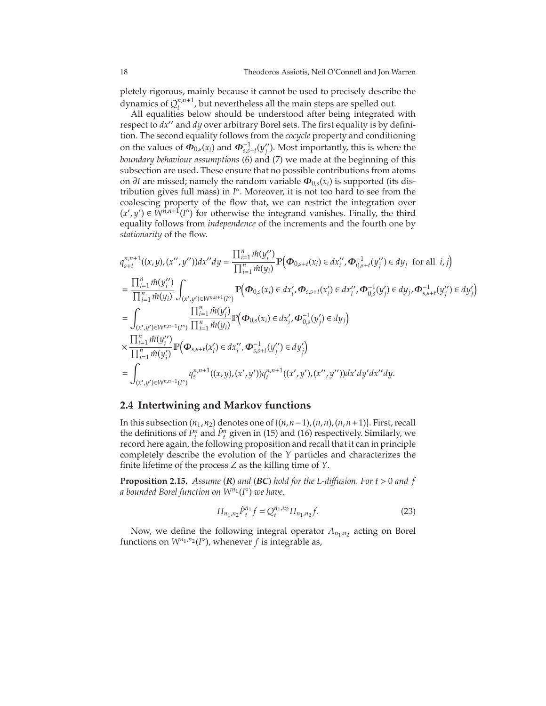pletely rigorous, mainly because it cannot be used to precisely describe the dynamics of  $Q_t^{n,n+1}$  $t^{n,n+1}$ , but nevertheless all the main steps are spelled out.

All equalities below should be understood after being integrated with respect to *dx*′′ and *dy* over arbitrary Borel sets. The first equality is by definition. The second equality follows from the *cocycle* property and conditioning on the values of  $\Phi_{0,s}(x_i)$  and  $\Phi_{s,s+t}^{-1}(y''_j)$ . Most importantly, this is where the *boundary behaviour assumptions* [\(6\)](#page-9-0) and [\(7\)](#page-9-1) we made at the beginning of this subsection are used. These ensure that no possible contributions from atoms on ∂*I* are missed; namely the random variable Φ0,*s*(*x<sup>i</sup>* ) is supported (its distribution gives full mass) in *I* ◦ . Moreover, it is not too hard to see from the coalescing property of the flow that, we can restrict the integration over  $(x', y')$  ∈  $\widetilde{W}^{n,n+1}(I^{\circ})$  for otherwise the integrand vanishes. Finally, the third equality follows from *independence* of the increments and the fourth one by *stationarity* of the flow.

$$
q_{s+t}^{n,n+1}((x,y),(x'',y''))dx''dy = \frac{\prod_{i=1}^{n} \hat{m}(y''_i)}{\prod_{i=1}^{n} \hat{m}(y_i)} \mathbb{P}\Big(\Phi_{0,s+t}(x_i) \in dx''_i, \Phi_{0,s+t}^{-1}(y''_j) \in dy_j \text{ for all } i,j\Big)
$$
  
\n
$$
= \frac{\prod_{i=1}^{n} \hat{m}(y''_i)}{\prod_{i=1}^{n} \hat{m}(y_i)} \int_{(x',y') \in W^{n,n+1}(I^c)} \mathbb{P}\Big(\Phi_{0,s}(x_i) \in dx'_i, \Phi_{s,s+t}(x'_i) \in dx''_i, \Phi_{0,s}^{-1}(y'_j) \in dy_j, \Phi_{s,s+t}^{-1}(y''_j) \in dy'_j\Big)
$$
  
\n
$$
= \int_{(x',y') \in W^{n,n+1}(I^c)} \frac{\prod_{i=1}^{n} \hat{m}(y'_i)}{\prod_{i=1}^{n} \hat{m}(y_i)} \mathbb{P}\Big(\Phi_{0,s}(x_i) \in dx'_i, \Phi_{0,s}^{-1}(y'_j) \in dy_j\Big)
$$
  
\n
$$
\times \frac{\prod_{i=1}^{n} \hat{m}(y''_i)}{\prod_{i=1}^{n} \hat{m}(y'_i)} \mathbb{P}\Big(\Phi_{s,s+t}(x'_i) \in dx''_i, \Phi_{s,s+t}(y''_j) \in dy'_j\Big)
$$
  
\n
$$
= \int_{(x',y') \in W^{n,n+1}(I^c)} q_{s}^{n,n+1}((x,y),(x',y'))q_{t}^{n,n+1}((x',y'),(x'',y''))dx'dy'dx''dy.
$$

## **2.4 Intertwining and Markov functions**

In this subsection  $(n_1, n_2)$  denotes one of  $\{(n, n-1), (n, n), (n, n+1)\}$ . First, recall the definitions of  $P_t^n$  and  $\hat{P}_t^n$  given in [\(15\)](#page-14-1) and [\(16\)](#page-14-2) respectively. Similarly, we record here again, the following proposition and recall that it can in principle completely describe the evolution of the *Y* particles and characterizes the finite lifetime of the process *Z* as the killing time of *Y*.

<span id="page-18-0"></span>**Proposition 2.15.** *Assume* (*R*) *and* (*BC*) *hold for the L-di*ff*usion. For t* > 0 *and f a bounded Borel function on Wn*<sup>1</sup> (*I* ◦ ) *we have,*

$$
\Pi_{n_1, n_2} \hat{P}_t^{n_1} f = Q_t^{n_1, n_2} \Pi_{n_1, n_2} f. \tag{23}
$$

Now, we define the following integral operator  $\Lambda_{n_1,n_2}$  acting on Borel functions on  $W^{n_1,n_2}(I^{\circ})$ , whenever *f* is integrable as,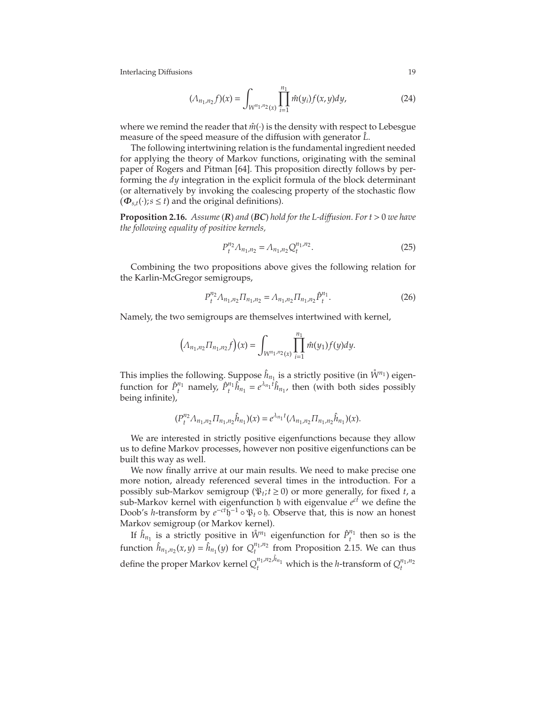$$
(\Lambda_{n_1,n_2}f)(x) = \int_{W^{n_1,n_2}(x)} \prod_{i=1}^{n_1} \hat{m}(y_i) f(x,y) dy,
$$
 (24)

where we remind the reader that  $\hat{m}(\cdot)$  is the density with respect to Lebesgue measure of the speed measure of the diffusion with generator  $\hat{L}$ .

The following intertwining relation is the fundamental ingredient needed for applying the theory of Markov functions, originating with the seminal paper of Rogers and Pitman [\[64\]](#page-76-10). This proposition directly follows by performing the *dy* integration in the explicit formula of the block determinant (or alternatively by invoking the coalescing property of the stochastic flow  $(\mathbf{\Phi}_{s,t}(\cdot); s \le t)$  and the original definitions).

**Proposition 2.16.** *Assume* (*R*) *and* (*BC*) *hold for the L-di*ff*usion. For t* > 0 *we have the following equality of positive kernels,*

$$
P_t^{n_2} \Lambda_{n_1, n_2} = \Lambda_{n_1, n_2} Q_t^{n_1, n_2}.
$$
 (25)

Combining the two propositions above gives the following relation for the Karlin-McGregor semigroups,

$$
P_t^{n_2} \Lambda_{n_1, n_2} \Pi_{n_1, n_2} = \Lambda_{n_1, n_2} \Pi_{n_1, n_2} \hat{P}_t^{n_1}.
$$
 (26)

Namely, the two semigroups are themselves intertwined with kernel,

$$
\left(\Lambda_{n_1,n_2}\Pi_{n_1,n_2}f\right)(x)=\int_{W^{n_1,n_2}(x)}\prod_{i=1}^{n_1}\hat{m}(y_1)f(y)dy.
$$

This implies the following. Suppose  $\hat{h}_{n_1}$  is a strictly positive (in  $\mathring{W}^{n_1}$ ) eigenfunction for  $\hat{P}_t^{n_1}$  namely,  $\hat{P}_t^{n_1} \hat{h}_{n_1} = e^{\lambda_{n_1} t} \hat{h}_{n_1}$ , then (with both sides possibly being infinite),

$$
(P_t^{n_2} \Lambda_{n_1,n_2} \Pi_{n_1,n_2} \hat{h}_{n_1})(x) = e^{\lambda_{n_1}t} (\Lambda_{n_1,n_2} \Pi_{n_1,n_2} \hat{h}_{n_1})(x).
$$

We are interested in strictly positive eigenfunctions because they allow us to define Markov processes, however non positive eigenfunctions can be built this way as well.

We now finally arrive at our main results. We need to make precise one more notion, already referenced several times in the introduction. For a possibly sub-Markov semigroup ( $\mathfrak{P}_t$ ;  $t \ge 0$ ) or more generally, for fixed *t*, a sub-Markov kernel with eigenfunction b with eigenvalue  $e^{ct}$  we define the Doob's *h*-transform by *e*<sup>-*ct*</sup>h<sup>-1</sup> ∘ *ψ*<sub>*t*</sub> ∘ *φ*. Observe that, this is now an honest Markov semigroup (or Markov kernel).

If  $\hat{h}_{n_1}$  is a strictly positive in  $\mathring{W}^{n_1}$  eigenfunction for  $\hat{P}^{n_1}_t$  then so is the function  $\hat{h}_{n_1,n_2}(x,y) = \hat{h}_{n_1}(y)$  for  $Q_t^{n_1,n_2}$  from Proposition [2.15.](#page-18-0) We can thus define the proper Markov kernel  $Q_t^{n_1,n_2,\hat{h}_{n_1}}$  which is the *h*-transform of  $Q_t^{n_1,n_2}$ 

<span id="page-19-0"></span>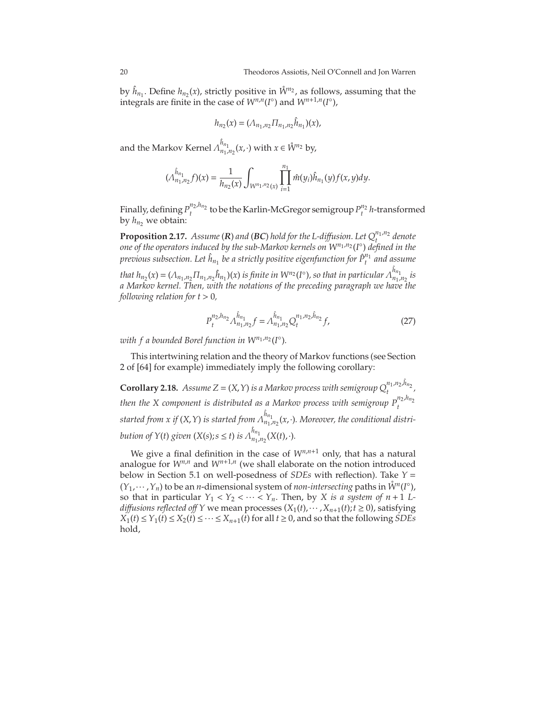by  $\hat{h}_{n_1}$ . Define  $h_{n_2}(x)$ , strictly positive in  $\hat{W}^{n_2}$ , as follows, assuming that the integrals are finite in the case of  $W^{n,n}(I^{\circ})$  and  $W^{n+1,n}(I^{\circ})$ ,

$$
h_{n_2}(x) = (\Lambda_{n_1,n_2} \Pi_{n_1,n_2} \hat{h}_{n_1})(x),
$$

and the Markov Kernel  $\hat{\Lambda}_{n_1,n_2}^{\hat{h}_{n_1}}(x,\cdot)$  with  $x\in\mathring{\mathcal{W}}^{n_2}$  by,

$$
(\Lambda_{n_1,n_2}^{\hat{h}_{n_1}}f)(x)=\frac{1}{h_{n_2}(x)}\int_{W^{n_1,n_2}(x)}\prod_{i=1}^{n_1}\hat{m}(y_i)\hat{h}_{n_1}(y)f(x,y)dy.
$$

Finally, defining  $P_t^{n_2,h_{n_2}}$  to be the Karlin-McGregor semigroup  $P_t^{n_2}$  *h*-transformed by  $h_n$ <sup>2</sup> we obtain:

**Proposition 2.17.** *Assume* (*R*) *and* (*BC*) *hold for the L-diffusion. Let*  $Q_t^{n_1,n_2}$  *denote one of the operators induced by the sub-Markov kernels on Wn*<sup>1</sup> ,*n*<sup>2</sup> (*I* ◦ ) *defined in the previous subsection. Let*  $\hat{h}_{n_1}$  *be a strictly positive eigenfunction for*  $\hat{P}^{n_1}_t$  *and assume* 

that  $h_{n_2}(x) = (\Lambda_{n_1,n_2} \Pi_{n_1,n_2} \hat{h}_{n_1})(x)$  is finite in  $W^{n_2}(I^{\circ})$ , so that in particular  $\Lambda_{n_1,n_2}^{\hat{h}_{n_1}}$  is *a Markov kernel. Then, with the notations of the preceding paragraph we have the following relation for*  $t > 0$ *,* 

<span id="page-20-0"></span>
$$
P_t^{n_2,h_{n_2}} \Lambda_{n_1,n_2}^{\hat{h}_{n_1}} f = \Lambda_{n_1,n_2}^{\hat{h}_{n_1}} Q_t^{n_1,n_2,\hat{h}_{n_2}} f, \tag{27}
$$

with f a bounded Borel function in  $W^{n_1,n_2}(I^{\circ}).$ 

This intertwining relation and the theory of Markov functions (see Section 2 of [\[64\]](#page-76-10) for example) immediately imply the following corollary:

**Corollary 2.18.** Assume  $Z = (X, Y)$  is a Markov process with semigroup  $Q_t^{n_1, n_2, \hat{h}_{n_2}}$ , *then the X component is distributed as a Markov process with semigroup*  $P_t^{n_2,h_{n_2}}$ started from x if  $(X, Y)$  is started from  $\Lambda^{\hat{h}_{n_1}}_{n_1,n_2}(x,\cdot)$ . Moreover, the conditional distri*bution of Y*(*t*) *given* (*X*(*s*); *s*  $\leq$  *t*) *is*  $\Lambda_{n_1,n_2}^{\hat{h}_{n_1}}(X(t),\cdot)$ *.* 

We give a final definition in the case of  $W^{n,n+1}$  only, that has a natural analogue for *Wn*,*<sup>n</sup>* and *Wn*+1,*<sup>n</sup>* (we shall elaborate on the notion introduced below in Section 5.1 on well-posedness of *SDEs* with reflection). Take *Y* =  $(Y_1, \dots, Y_n)$  to be an *n*-dimensional system of *non-intersecting* paths in  $\mathring{W}^n(I^{\circ})$ , so that in particular  $Y_1 < Y_2 < \cdots < Y_n$ . Then, by *X* is a system of  $n+1$  L*diffusions reflected off Y* we mean processes  $(X_1(t), \dots, X_{n+1}(t); t \ge 0)$ , satisfying  $X_1(t) \le Y_1(t) \le X_2(t) \le \cdots \le X_{n+1}(t)$  for all  $t \ge 0$ , and so that the following *SDEs* hold,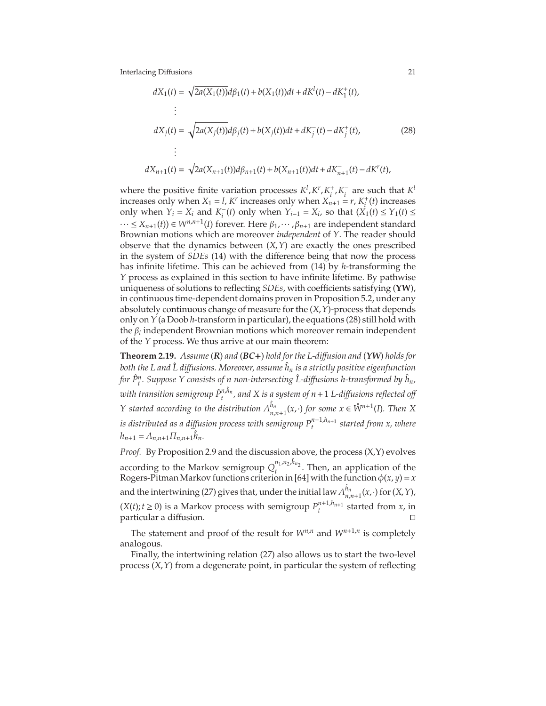<span id="page-21-1"></span>
$$
dX_1(t) = \sqrt{2a(X_1(t))}d\beta_1(t) + b(X_1(t))dt + dK^1(t) - dK^+_1(t),
$$
  
\n
$$
\vdots
$$
  
\n
$$
dX_j(t) = \sqrt{2a(X_j(t))}d\beta_j(t) + b(X_j(t))dt + dK^-_j(t) - dK^+_j(t),
$$
\n
$$
\vdots
$$
  
\n
$$
dX_{n+1}(t) = \sqrt{2a(X_{n+1}(t))}d\beta_{n+1}(t) + b(X_{n+1}(t))dt + dK^-_{n+1}(t) - dK^r(t),
$$
\n(28)

where the positive finite variation processes  $K^l$ ,  $K^r$ ,  $K^+_i$  $i^+$ ,  $K_i^-$  are such that  $K^l$ increases only when  $X_1 = l$ ,  $K^r$  increases only when  $X_{n+1} = r$ ,  $K_i^+$  $\mu$ <sup>+</sup>(*t*)</sub> increases only when *Y*<sup>*i*</sup> = *X*<sup>*i*</sup> and *K*<sup> $-$ </sup><sub>*i*</sub>(*t*) only when *Y*<sub>*i*−1</sub> = *X*<sub>*i*</sub>, so that (*X*<sub>1</sub>(*t*) ≤ *Y*<sub>1</sub>(*t*) ≤  $\dots$  ≤ *X*<sub>*n*+1</sub>(*t*)) ∈ *W*<sup>*n*,*n*+1</sup>(*I*) forever. Here  $β_1$ ,  $\dots$ ,  $β_{n+1}$  are independent standard Brownian motions which are moreover *independent* of *Y*. The reader should observe that the dynamics between (*X*,*Y*) are exactly the ones prescribed in the system of *SDEs* [\(14\)](#page-13-1) with the difference being that now the process has infinite lifetime. This can be achieved from [\(14\)](#page-13-1) by *h*-transforming the *Y* process as explained in this section to have infinite lifetime. By pathwise uniqueness of solutions to reflecting *SDEs*, with coefficients satisfying (**YW**), in continuous time-dependent domains proven in Proposition [5.2,](#page-63-0) under any absolutely continuous change of measure for the (*X*,*Y*)-process that depends only on *Y* (a Doob *h*-transform in particular), the equations [\(28\)](#page-21-1) still hold with the β*<sup>i</sup>* independent Brownian motions which moreover remain independent of the *Y* process. We thus arrive at our main theorem:

<span id="page-21-0"></span>**Theorem 2.19.** *Assume* (*R*) *and* (*BC*+) *hold for the L-di*ff*usion and* (*YW*) *holds for both the L and L diffusions. Moreover, assume*  $\hat{h}_n$  *is a strictly positive eigenfunction for P*ˆ*<sup>n</sup> t . Suppose Y consists of n non-intersecting L-di* ˆ ff*usions h-transformed by* ˆ*hn,*  $\hat{p}^{n,h_n}_{t}$  , and X is a system of  $n+1$  *L-diffusions reflected off Y* started according to the distribution  $\Lambda_{n,n+1}^{\hat{h}_n}(x,\cdot)$  for some  $x \in \mathring{W}^{n+1}(I)$ . Then X *is distributed as a di*ff*usion process with semigroup Pn*+1,*hn*+<sup>1</sup> *t started from x, where*  $h_{n+1} = \Lambda_{n,n+1} \Pi_{n,n+1} \hat{h}_n.$ 

*Proof.* By Proposition [2.9](#page-13-0) and the discussion above, the process (X,Y) evolves according to the Markov semigroup  $Q_t^{n_1,n_2,\hat{h}_{n_2}}$ . Then, an application of the Rogers-Pitman Markov functions criterion in [\[64\]](#page-76-10) with the function  $\phi(x, y) = x$ and the intertwining [\(27\)](#page-20-0) gives that, under the initial law  $\Lambda_n^{\hat{h}_n}$  $n_{n,n+1}^{n_n}(x,\cdot)$  for  $(X,Y)$ ,  $(X(t); t \ge 0)$  is a Markov process with semigroup  $P_t^{n+1,h_{n+1}}$  started from *x*, in particular a diffusion.

The statement and proof of the result for  $W^{n,n}$  and  $W^{n+1,n}$  is completely analogous.

Finally, the intertwining relation [\(27\)](#page-20-0) also allows us to start the two-level process (*X*,*Y*) from a degenerate point, in particular the system of reflecting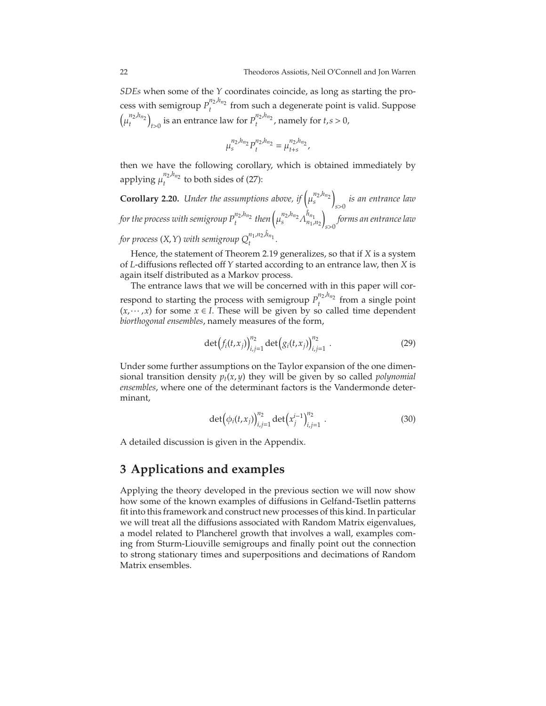*SDEs* when some of the *Y* coordinates coincide, as long as starting the process with semigroup  $P_t^{n_2,h_{n_2}}$  from such a degenerate point is valid. Suppose  $(\mu_t^{n_2,h_{n_2}})$  $t > 0$  is an entrance law for  $P_t^{n_2,h_{n_2}}$ , namely for  $t,s > 0$ ,

$$
\mu_s^{n_2,h_{n_2}}P_t^{n_2,h_{n_2}}=\mu_{t+s}^{n_2,h_{n_2}},
$$

then we have the following corollary, which is obtained immediately by applying  $\mu_t^{n_2,h_{n_2}}$  to both sides of [\(27\)](#page-20-0): *t*

<span id="page-22-0"></span>**Corollary 2.20.** *Under the assumptions above, if*  $\left(\mu_s^{n_2,h_{n_2}}\right)$  $\overline{ }$ *s*>0 *is an entrance law* for the process with semigroup  $P_t^{n_2,h_{n_2}}$  then  $\left(\mu_s^{n_2,h_{n_2}}\varLambda_{n_1,n_2}^{\hat{h}_{n_1}}\right)$  $\overline{ }$ *s*>0 *forms an entrance law* for process  $(X, Y)$  with semigroup  $Q_t^{n_1, n_2, \hat{h}_{n_1}}$ .

Hence, the statement of Theorem [2.19](#page-21-0) generalizes, so that if *X* is a system of *L*-diffusions reflected off *Y* started according to an entrance law, then *X* is again itself distributed as a Markov process.

The entrance laws that we will be concerned with in this paper will correspond to starting the process with semigroup  $P_t^{n_2,h_{n_2}}$  from a single point  $(x, \dots, x)$  for some  $x \in I$ . These will be given by so called time dependent *biorthogonal ensembles*, namely measures of the form,

$$
\det(f_i(t,x_j))_{i,j=1}^{n_2} \det(g_i(t,x_j))_{i,j=1}^{n_2} .
$$
 (29)

Under some further assumptions on the Taylor expansion of the one dimensional transition density  $p_t(x, y)$  they will be given by so called *polynomial ensembles*, where one of the determinant factors is the Vandermonde determinant,

$$
\det(\phi_i(t,x_j))_{i,j=1}^{n_2} \det(x_j^{i-1})_{i,j=1}^{n_2} . \tag{30}
$$

A detailed discussion is given in the Appendix.

# **3 Applications and examples**

Applying the theory developed in the previous section we will now show how some of the known examples of diffusions in Gelfand-Tsetlin patterns fit into this framework and construct new processes of this kind. In particular we will treat all the diffusions associated with Random Matrix eigenvalues, a model related to Plancherel growth that involves a wall, examples coming from Sturm-Liouville semigroups and finally point out the connection to strong stationary times and superpositions and decimations of Random Matrix ensembles.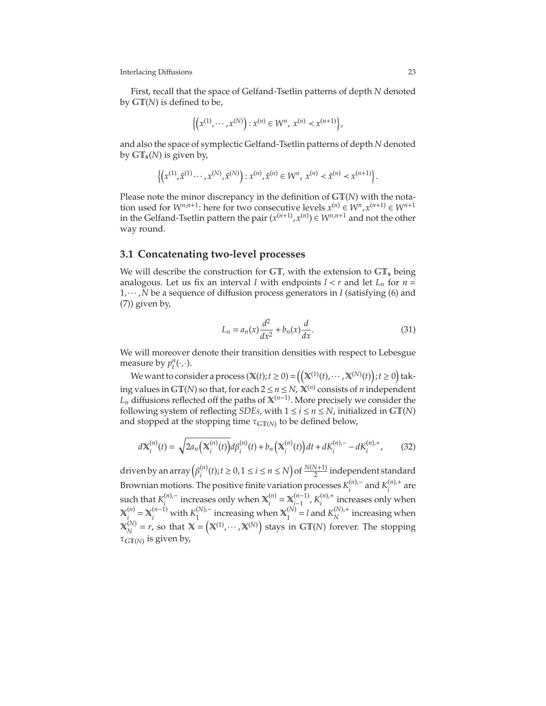First, recall that the space of Gelfand-Tsetlin patterns of depth *N* denoted by GT(*N*) is defined to be,

$$
\left\{ \left( x^{(1)}, \cdots, x^{(N)} \right) : x^{(n)} \in W^n, x^{(n)} \prec x^{(n+1)} \right\},\
$$

and also the space of symplectic Gelfand-Tsetlin patterns of depth *N* denoted by  $GT_s(N)$  is given by,

$$
\left\{\left(x^{(1)}, \hat{x}^{(1)}\cdots, x^{(N)}, \hat{x}^{(N)}\right) : x^{(n)}, \hat{x}^{(n)} \in W^n, \; x^{(n)} \prec \hat{x}^{(n)} \prec x^{(n+1)}\right\}.
$$

Please note the minor discrepancy in the definition of GT(*N*) with the notation used for  $W^{n,n+1}$ : here for two consecutive levels  $x^{(n)} \in W^{n}, x^{(n+1)} \in W^{n+1}$ in the Gelfand-Tsetlin pattern the pair  $(x^{(n+1)}, x^{(n)}) \in W^{n,n+1}$  and not the other way round.

## **3.1 Concatenating two-level processes**

We will describe the construction for  $GT$ , with the extension to  $GT_s$  being analogous. Let us fix an interval *I* with endpoints  $l < r$  and let  $L_n$  for  $n =$ 1,··· ,*N* be a sequence of diffusion process generators in *I* (satisfying [\(6\)](#page-9-0) and [\(7\)](#page-9-1)) given by,

<span id="page-23-0"></span>
$$
L_n = a_n(x)\frac{d^2}{dx^2} + b_n(x)\frac{d}{dx}.
$$
\n(31)

We will moreover denote their transition densities with respect to Lebesgue measure by  $p_t^n(\cdot, \cdot)$ .

We want to consider a process  $(\mathbb{X}(t); t \ge 0) = ((\mathbb{X}^{(1)}(t), \cdots, \mathbb{X}^{(N)}(t)); t \ge 0)$  taking values in  $GT(N)$  so that, for each  $2 \le n \le N$ ,  $\mathbb{X}^{(n)}$  consists of *n* independent  $L_n$  diffusions reflected off the paths of  $\mathbf{X}^{(n-1)}$ . More precisely we consider the following system of reflecting *SDEs*, with  $1 \le i \le n \le N$ , initialized in  $GT(N)$ and stopped at the stopping time  $\tau_{\mathrm{GT}(N)}$  to be defined below,

$$
d\mathbf{X}_{i}^{(n)}(t) = \sqrt{2a_{n}\left(\mathbf{X}_{i}^{(n)}(t)\right)}d\beta_{i}^{(n)}(t) + b_{n}\left(\mathbf{X}_{i}^{(n)}(t)\right)dt + dK_{i}^{(n),-} - dK_{i}^{(n),+},\tag{32}
$$

driven by an array  $(\beta_i^{(n)})$ *<sup>(n)</sup>*</sup> (*t*); *t* ≥ 0, 1 ≤ *i* ≤ *n* ≤ *N*) of  $\frac{N(N+1)}{2}$  independent standard Brownian motions. The positive finite variation processes  $K_i^{(n),-}$  and  $K_i^{(n),+}$  are  $i \in \{1, 2, \ldots, n\}$ such that  $K_i^{(n),-}$  increases only when  $\mathbb{X}_i^{(n)}$  $\chi_i^{(n)} = \mathbf{X}_{i-1}^{(n-1)}$ (*n*−1),  $K_i^{(n),+}$  $\int_{i}^{\{n\}}$  increases only when  $\mathbb{X}^{(n)}$  $\chi_i^{(n)}$  =  $\mathbb{X}_i^{(n-1)}$  with  $K_1^{(N),-}$  increasing when  $\mathbb{X}_1^{(N)}$  $1_{1}^{(N)} = l$  and  $K_{N}^{(N),+}$  $N^{(IV),\tau}$  increasing when  $\mathbb{X}^{(N)}_{\scriptscriptstyle{\lambda\tau}}$  $X_N^{(N)} = r$ , so that  $X = (X^{(1)}, \dots, X^{(N)})$  stays in GT(*N*) forever. The stopping  $\tau_{\mathbb{GT}(N)}$  is given by,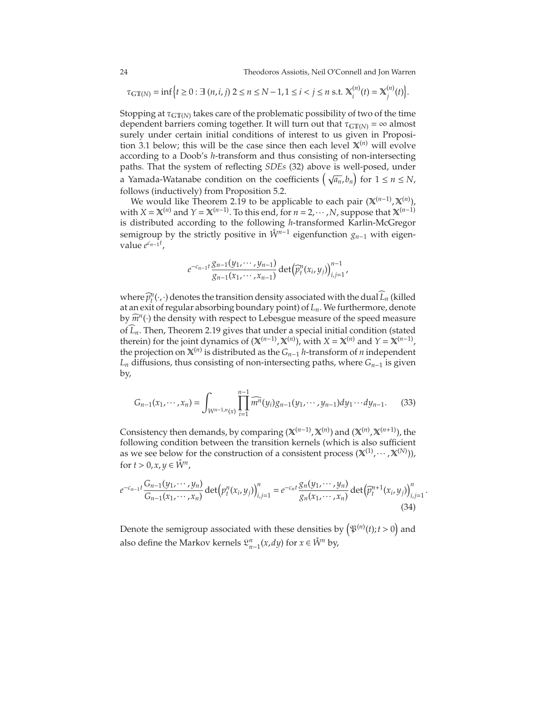24 Theodoros Assiotis, Neil O'Connell and Jon Warren

$$
\tau_{\text{GT}(N)} = \inf \Big\{ t \ge 0 : \exists (n, i, j) \ 2 \le n \le N - 1, 1 \le i < j \le n \ \text{s.t.} \ \mathbf{X}_i^{(n)}(t) = \mathbf{X}_j^{(n)}(t) \Big\}.
$$

Stopping at  $\tau_{\rm GT(N)}$  takes care of the problematic possibility of two of the time dependent barriers coming together. It will turn out that  $\tau_{\text{GT}(N)} = \infty$  almost surely under certain initial conditions of interest to us given in Proposi-tion [3.1](#page-25-0) below; this will be the case since then each level  $X^{(n)}$  will evolve according to a Doob's *h*-transform and thus consisting of non-intersecting paths. That the system of reflecting *SDEs* [\(32\)](#page-23-0) above is well-posed, under a Yamada-Watanabe condition on the coefficients  $(\sqrt{a_n}, b_n)$  for  $1 \le n \le N$ , follows (inductively) from Proposition [5.2.](#page-63-0)

We would like Theorem [2.19](#page-21-0) to be applicable to each pair (X<sup>(*n*-1)</sup>, X<sup>(*n*)</sup>), with  $X = \mathbb{X}^{(n)}$  and  $Y = \mathbb{X}^{(n-1)}$ . To this end, for  $n = 2, \dots, N$ , suppose that  $\mathbb{X}^{(n-1)}$ is distributed according to the following *h*-transformed Karlin-McGregor semigroup by the strictly positive in  $\mathring{W}^{n-1}$  eigenfunction  $g_{n-1}$  with eigenvalue *e cn*−<sup>1</sup> *t* ,

<span id="page-24-0"></span>
$$
e^{-c_{n-1}t}\frac{g_{n-1}(y_1,\cdots,y_{n-1})}{g_{n-1}(x_1,\cdots,x_{n-1})}\det(\widehat{p}_t^n(x_i,y_j))_{i,j=1}^{n-1},
$$

where  $\widehat{p}_t^n(\cdot,\cdot)$  denotes the transition density associated with the dual  $L_n$  (killed at an exit of regular absorbing boundary point) of *Ln*. We furthermore, denote by  $\widehat{m}^n(\cdot)$  the density with respect to Lebesgue measure of the speed measure of  $\overline{L}_n$ . Then, Theorem [2.19](#page-21-0) gives that under a special initial condition (stated therein) for the joint dynamics of  $(X^{(n-1)}, X^{(n)})$ , with  $X = X^{(n)}$  and  $Y = X^{(n-1)}$ , the projection on  $\mathbb{X}^{(n)}$  is distributed as the *G*<sub>*n*−1</sub> *h*-transform of *n* independent *L<sup>n</sup>* diffusions, thus consisting of non-intersecting paths, where *Gn*−<sup>1</sup> is given by,

$$
G_{n-1}(x_1, \cdots, x_n) = \int_{W^{n-1,n}(x)} \prod_{i=1}^{n-1} \widehat{m^n}(y_i) g_{n-1}(y_1, \cdots, y_{n-1}) dy_1 \cdots dy_{n-1}.
$$
 (33)

Consistency then demands, by comparing ( $\mathbb{X}^{(n-1)}$ ,  $\mathbb{X}^{(n)}$ ) and ( $\mathbb{X}^{(n)}$ ,  $\mathbb{X}^{(n+1)}$ ), the following condition between the transition kernels (which is also sufficient as we see below for the construction of a consistent process  $(\mathbb{X}^{(1)}, \dots, \mathbb{X}^{(N)}))$ , for  $t > 0, x, y \in \mathring{W}^n$ ,

<span id="page-24-1"></span>
$$
e^{-c_{n-1}t}\frac{G_{n-1}(y_1,\cdots,y_n)}{G_{n-1}(x_1,\cdots,x_n)}\det(p_i^n(x_i,y_j))_{i,j=1}^n = e^{-c_n t}\frac{g_n(y_1,\cdots,y_n)}{g_n(x_1,\cdots,x_n)}\det(\widehat{p}_t^{n+1}(x_i,y_j))_{i,j=1}^n.
$$
\n(34)

Denote the semigroup associated with these densities by  $(\mathfrak{P}^{(n)}(t); t > 0)$  and also define the Markov kernels  $\mathfrak{L}_{n-1}^n(x, dy)$  for  $x \in \mathring{W}^n$  by,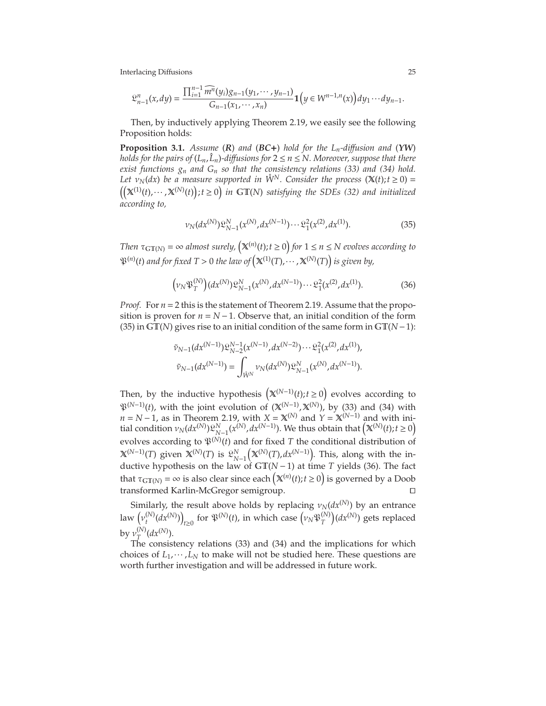$$
\mathfrak{L}_{n-1}^n(x,dy) = \frac{\prod_{i=1}^{n-1} \widehat{m^n}(y_i)g_{n-1}(y_1,\cdots,y_{n-1})}{G_{n-1}(x_1,\cdots,x_n)}\mathbf{1}\Big(y \in W^{n-1,n}(x)\Big)dy_1\cdots dy_{n-1}.
$$

Then, by inductively applying Theorem [2.19,](#page-21-0) we easily see the following Proposition holds:

<span id="page-25-0"></span>**Proposition 3.1.** *Assume* (*R*) *and* (*BC*+) *hold for the Ln-di*ff*usion and* (*YW*) *holds for the pairs of*  $(L_n, \hat{L}_n)$ -diffusions for  $2 \le n \le N$ . Moreover, suppose that there *exist functions g<sup>n</sup> and G<sup>n</sup> so that the consistency relations [\(33\)](#page-24-0) and [\(34\)](#page-24-1) hold. Let*  $v_N(dx)$  *be a measure supported in*  $\dot{W}^N$ *. Consider the process* ( $\mathbb{X}(t)$ ;  $t \geq 0$ ) =  $(t)$ ;  $t \ge 0$  in GT(*N*) satisfying the SDEs [\(32\)](#page-23-0) and initialized *according to,*

<span id="page-25-2"></span><span id="page-25-1"></span>
$$
\nu_N(dx^{(N)})\mathfrak{L}_{N-1}^N(x^{(N)},dx^{(N-1)})\cdots\mathfrak{L}_1^2(x^{(2)},dx^{(1)}).
$$
 (35)

*Then*  $\tau_{\text{GT}(N)} = \infty$  *almost surely,*  $(\mathbb{X}^{(n)}(t); t \ge 0)$  for  $1 \le n \le N$  evolves according to  $\mathfrak{P}^{(n)}(t)$  and for fixed  $T > 0$  the law of  $\left(\mathbb{X}^{(1)}(T), \cdots, \mathbb{X}^{(N)}(T)\right)$  is given by,

$$
(\nu_N \mathfrak{P}_T^{(N)}) (dx^{(N)}) \mathfrak{L}_{N-1}^N (x^{(N)}, dx^{(N-1)}) \cdots \mathfrak{L}_1^2 (x^{(2)}, dx^{(1)}).
$$
 (36)

*Proof.* For  $n = 2$  this is the statement of Theorem [2.19.](#page-21-0) Assume that the proposition is proven for  $n = N - 1$ . Observe that, an initial condition of the form [\(35\)](#page-25-1) in GT(*N*) gives rise to an initial condition of the same form in GT(*N*−1):

$$
\tilde{\nu}_{N-1}(dx^{(N-1)})\mathfrak{L}_{N-2}^{N-1}(x^{(N-1)},dx^{(N-2)})\cdots\mathfrak{L}_{1}^{2}(x^{(2)},dx^{(1)}),
$$
  

$$
\tilde{\nu}_{N-1}(dx^{(N-1)})=\int_{\mathring{W}^N}\nu_{N}(dx^{(N)})\mathfrak{L}_{N-1}^N(x^{(N)},dx^{(N-1)}).
$$

Then, by the inductive hypothesis  $(X^{(N-1)}(t); t \ge 0)$  evolves according to  $\mathfrak{P}^{(N-1)}(t)$ , with the joint evolution of  $(\mathbb{X}^{(N-1)},\mathbb{X}^{(N)})$ , by [\(33\)](#page-24-0) and [\(34\)](#page-24-1) with *n* = *N* − 1, as in Theorem [2.19,](#page-21-0) with *X* =  $\mathbf{X}^{(N)}$  and  $\hat{Y} = \mathbf{X}^{(N-1)}$  and with ini- $\lim_{N \to \infty} \int_{N}^{N} (dx^{(N)}) \mathfrak{L}_{N-1}^{N}(x^{(N)}, dx^{(N-1)})$ . We thus obtain that  $(\mathbb{X}^{(N)}(t); t \ge 0)$ evolves according to  $\mathfrak{P}^{(N)}(t)$  and for fixed T the conditional distribution of X(*N*−1)(*T*) given X(*N*) (*T*) is L *N N*−1  $(\mathbb{X}^{(N)}(T), dx^{(N-1)})$ . This, along with the inductive hypothesis on the law of GT(*<sup>N</sup>* <sup>−</sup>1) at time *<sup>T</sup>* yields [\(36\)](#page-25-2). The fact that  $\tau_{\text{GT}(N)} = \infty$  is also clear since each  $(\mathbb{X}^{(n)}(t); t \ge 0)$  is governed by a Doob transformed Karlin-McGregor semigroup. ⊓⊔

Similarly, the result above holds by replacing  $\nu_N(dx^{(N)})$  by an entrance law  $(\nu_t^{(N)})$  $\left(\begin{matrix}N\end{matrix}\right)\left(\begin{matrix}dx^{(N)}\end{matrix}\right)$ *t*≥0 for  $\mathfrak{P}^{(N)}(t)$ , in which case  $(v_N \mathfrak{P}^{(N)}_T)$ *T*  $\int (dx^{(N)})$  gets replaced by  $\nu^{(N)}_T$  $T^{(N)}(dx^{(N)})$ .

The consistency relations [\(33\)](#page-24-0) and [\(34\)](#page-24-1) and the implications for which choices of  $L_1, \dots, L_N$  to make will not be studied here. These questions are worth further investigation and will be addressed in future work.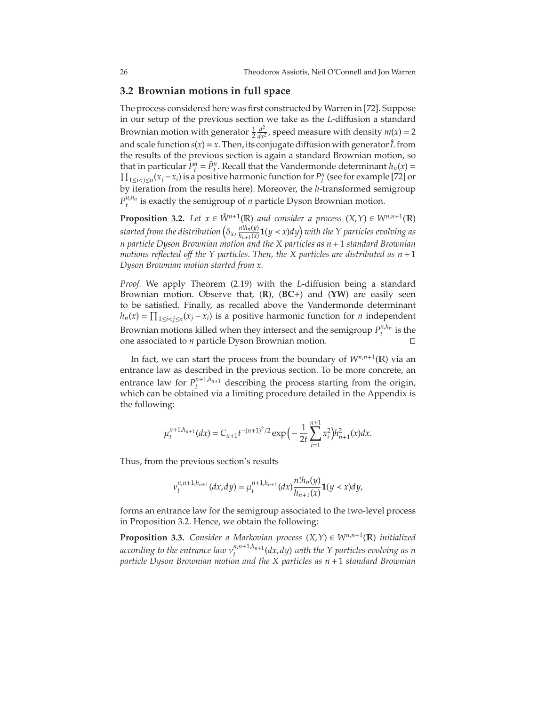## **3.2 Brownian motions in full space**

The process considered here was first constructed by Warren in [\[72\]](#page-76-3). Suppose in our setup of the previous section we take as the *L*-diffusion a standard Brownian motion with generator  $\frac{1}{2} \frac{d^2}{dx^2}$  $\frac{d^2}{dx^2}$ , speed measure with density  $m(x) = 2$ and scale function  $s(x) = x$ . Then, its conjugate diffusion with generator  $\hat{L}$  from the results of the previous section is again a standard Brownian motion, so that in particular  $P_t^n = \hat{P}_t^n$ . Recall that the Vandermonde determinant  $h_n(x) =$  $\prod_{1 \le i < j \le n} (x_j - x_i)$  is a positive harmonic function for  $P_t^n$  (see for example [\[72\]](#page-76-3) or by iteration from the results here). Moreover, the *h*-transformed semigroup  $P_t^{n,h_n}$  is exactly the semigroup of *n* particle Dyson Brownian motion.

<span id="page-26-0"></span>**Proposition 3.2.** *Let*  $x \in \mathring{W}^{n+1}(\mathbb{R})$  *and consider a process*  $(X, Y) \in W^{n,n+1}(\mathbb{R})$ started from the distribution  $(\delta_x, \frac{n! h_n(y)}{h_{n+1}(x)})$  $\frac{n!h_n(y)}{h_{n+1}(x)}$ **1**( $y < x$ ) $dy$ ) with the Y particles evolving as *n particle Dyson Brownian motion and the X particles as n*+1 *standard Brownian motions reflected off the Y particles. Then, the X particles are distributed as*  $n+1$ *Dyson Brownian motion started from x.*

*Proof.* We apply Theorem [\(2.19\)](#page-21-0) with the *L*-diffusion being a standard Brownian motion. Observe that, (**R**), (**BC**+) and (**YW**) are easily seen to be satisfied. Finally, as recalled above the Vandermonde determinant *h*<sub>*n*</sub>(*x*) =  $\prod_{1 \le i < j \le n} (x_j - x_i)$  is a positive harmonic function for *n* independent Brownian motions killed when they intersect and the semigroup  $P_t^{n,h_n}$  is the one associated to *n* particle Dyson Brownian motion. ⊓⊔

In fact, we can start the process from the boundary of  $W^{n,n+1}(\mathbb{R})$  via an entrance law as described in the previous section. To be more concrete, an entrance law for  $P_t^{n+1,h_{n+1}}$  describing the process starting from the origin, which can be obtained via a limiting procedure detailed in the Appendix is the following:

$$
\mu_t^{n+1,h_{n+1}}(dx) = C_{n+1}t^{-(n+1)^2/2} \exp\Big(-\frac{1}{2t}\sum_{i=1}^{n+1}x_i^2\Big)h_{n+1}^2(x)dx.
$$

Thus, from the previous section's results

$$
v_t^{n,n+1,h_{n+1}}(dx,dy) = \mu_t^{n+1,h_{n+1}}(dx) \frac{n!h_n(y)}{h_{n+1}(x)} \mathbf{1}(y < x) dy,
$$

forms an entrance law for the semigroup associated to the two-level process in Proposition [3.2.](#page-26-0) Hence, we obtain the following:

**Proposition 3.3.** *Consider a Markovian process*  $(X, Y) \in W^{n,n+1}(\mathbb{R})$  *initialized* according to the entrance law  $v_t^{n,n+1,h_{n+1}}(dx,dy)$  with the Y particles evolving as n *particle Dyson Brownian motion and the X particles as n*+1 *standard Brownian*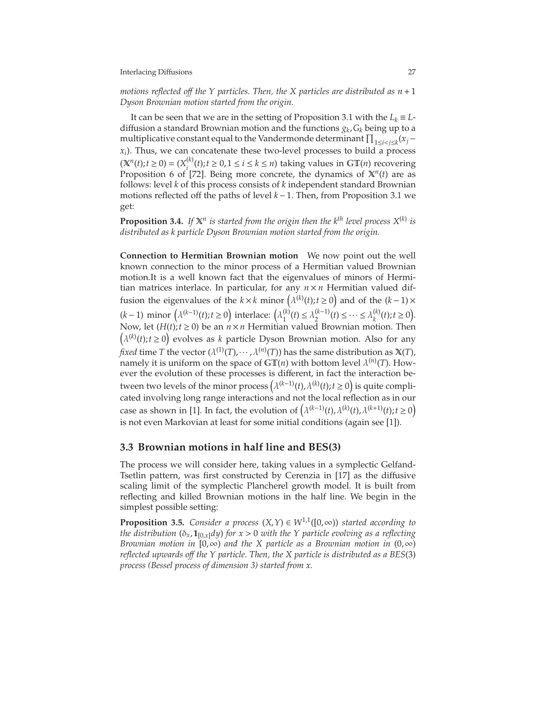*motions reflected off the Y particles. Then, the X particles are distributed as*  $n+1$ *Dyson Brownian motion started from the origin.*

It can be seen that we are in the setting of Proposition [3.1](#page-25-0) with the  $L_k \equiv L$ diffusion a standard Brownian motion and the functions *g<sup>k</sup>* ,*G<sup>k</sup>* being up to a multiplicative constant equal to the Vandermonde determinant  $\prod_{1 \leq i < j \leq k} (x_j - y_j)$ *xi* ). Thus, we can concatenate these two-level processes to build a process  $(X^n(t); t \ge 0) = (X_i^{(k)}$  $i_j^{(k)}(t); t ≥ 0, 1 ≤ i ≤ k ≤ n$ ) taking values in GT(*n*) recovering Proposition 6 of [\[72\]](#page-76-3). Being more concrete, the dynamics of  $X^n(t)$  are as follows: level *k* of this process consists of *k* independent standard Brownian motions reflected off the paths of level *k*−1. Then, from Proposition [3.1](#page-25-0) we get:

**Proposition 3.4.** If  $X^n$  is started from the origin then the k<sup>th</sup> level process  $X^{(k)}$  is *distributed as k particle Dyson Brownian motion started from the origin.*

**Connection to Hermitian Brownian motion** We now point out the well known connection to the minor process of a Hermitian valued Brownian motion.It is a well known fact that the eigenvalues of minors of Hermitian matrices interlace. In particular, for any  $n \times n$  Hermitian valued diffusion the eigenvalues of the *k* × *k* minor  $(\lambda^{(k)}(t); t \ge 0)$  and of the  $(k-1)$  × (*k* − 1) minor  $(\lambda^{(k-1)}(t); t ≥ 0)$  interlace:  $(\lambda_1^{(k)})$  $\lambda_1^{(k)}(t)$  ≤  $\lambda_2^{(k-1)}(t)$  ≤ … ≤  $\lambda_k^{(k)}$  $k^{(k)}(t); t \ge 0.$ Now, let  $(H(t); t \ge 0)$  be an  $n \times n$  Hermitian valued Brownian motion. Then  $(\lambda^{(k)}(t); t \ge 0)$  evolves as *k* particle Dyson Brownian motion. Also for any *fixed* time *T* the vector ( $\lambda^{(1)}(T)$ ,  $\cdots$ ,  $\lambda^{(n)}(T)$ ) has the same distribution as  $X(T)$ , namely it is uniform on the space of GT(*n*) with bottom level  $\lambda^{(n)}(T)$ . However the evolution of these processes is different, in fact the interaction between two levels of the minor process  $(\lambda^{(k-1)}(t), \lambda^{(k)}(t); t \ge 0)$  is quite complicated involving long range interactions and not the local reflection as in our case as shown in [\[1\]](#page-74-10). In fact, the evolution of  $(\lambda^{(k-1)}(t), \lambda^{(k)}(t), \lambda^{(k+1)}(t); t \ge 0)$ is not even Markovian at least for some initial conditions (again see [\[1\]](#page-74-10)).

## **3.3 Brownian motions in half line and BES(3)**

The process we will consider here, taking values in a symplectic Gelfand-Tsetlin pattern, was first constructed by Cerenzia in [\[17\]](#page-74-6) as the diffusive scaling limit of the symplectic Plancherel growth model. It is built from reflecting and killed Brownian motions in the half line. We begin in the simplest possible setting:

**Proposition 3.5.** *Consider a process*  $(X, Y) \in W^{1,1}([0, \infty))$  *started according to the distribution* ( $\delta_x$ ,  $\mathbf{1}_{[0,x]}dy$ ) *for*  $x > 0$  *with the Y particle evolving as a reflecting Brownian motion in* [0,∞) *and the X particle as a Brownian motion in* (0,∞) *reflected upwards o*ff *the Y particle. Then, the X particle is distributed as a BES*(3) *process (Bessel process of dimension 3) started from x.*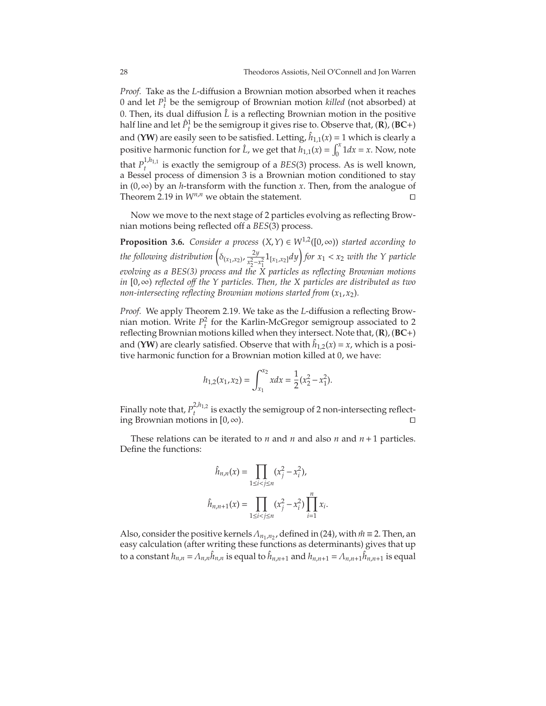*Proof.* Take as the *L*-diffusion a Brownian motion absorbed when it reaches 0 and let  $P_t^1$  be the semigroup of Brownian motion *killed* (not absorbed) at 0. Then, its dual diffusion  $\hat{L}$  is a reflecting Brownian motion in the positive half line and let  $\hat{P}_t^1$  be the semigroup it gives rise to. Observe that,  $(\mathbf{R})$ ,  $(\mathbf{B}\mathbf{C}+)$ and (YW) are easily seen to be satisfied. Letting,  $\hat{h}_{1,1}(x) = 1$  which is clearly a positive harmonic function for  $\hat{L}$ , we get that  $h_{1,1}(x) = \int_0^x$  $\int_0^x 1 dx = x$ . Now, note that  $P_1^{1,h_{1,1}}$ *t* is exactly the semigroup of a *BES*(3) process. As is well known, a Bessel process of dimension 3 is a Brownian motion conditioned to stay in (0,∞) by an *h*-transform with the function *x*. Then, from the analogue of Theorem [2.19](#page-21-0) in  $W^{n,n}$  we obtain the statement.

Now we move to the next stage of 2 particles evolving as reflecting Brownian motions being reflected off a *BES*(3) process.

**Proposition 3.6.** *Consider a process*  $(X, Y) \in W^{1,2}([0, \infty))$  *started according to the following distribution*  $\left( \delta_{(x_1, x_2)}, \frac{2y}{x_2^2 - y_1^2} \right)$  $\frac{2y}{x_2^2 - x_1^2}$ **1**<sub>[*x*1</sub>,*x*<sub>2</sub>]*dy*] *for x*<sub>1</sub> < *x*<sub>2</sub> *with the Y particle* 2 1 *evolving as a BES(3) process and the X particles as reflecting Brownian motions in* [0,∞) *reflected o*ff *the Y particles. Then, the X particles are distributed as two non-intersecting reflecting Brownian motions started from* (*x*1,*x*2)*.*

*Proof.* We apply Theorem [2.19.](#page-21-0) We take as the *L*-diffusion a reflecting Brownian motion. Write  $P_t^2$  for the Karlin-McGregor semigroup associated to 2 reflecting Brownian motions killed when they intersect. Note that, (**R**), (**BC**+) and (YW) are clearly satisfied. Observe that with  $\hat{h}_{1,2}(x) = x$ , which is a positive harmonic function for a Brownian motion killed at 0, we have:

$$
h_{1,2}(x_1, x_2) = \int_{x_1}^{x_2} x dx = \frac{1}{2}(x_2^2 - x_1^2).
$$

Finally note that,  $P_{t}^{2,h_{1,2}}$  $t_t^{m_1/2}$  is exactly the semigroup of 2 non-intersecting reflecting Brownian motions in  $[0, \infty)$ .

These relations can be iterated to  $n$  and  $n$  and also  $n$  and  $n+1$  particles. Define the functions:

$$
\hat{h}_{n,n}(x) = \prod_{1 \le i < j \le n} (x_j^2 - x_i^2),
$$
\n
$$
\hat{h}_{n,n+1}(x) = \prod_{1 \le i < j \le n} (x_j^2 - x_i^2) \prod_{i=1}^n x_i.
$$

Also, consider the positive kernels  $Λ_{n_1,n_2}$ , defined in [\(24\)](#page-19-0), with  $m$ <sup>∂</sup> ≡ 2. Then, an easy calculation (after writing these functions as determinants) gives that up  $\int$  to a constant  $h_{n,n} = \Lambda_{n,n} \hat{h}_{n,n}$  is equal to  $\hat{h}_{n,n+1}$  and  $h_{n,n+1} = \Lambda_{n,n+1} \hat{h}_{n,n+1}$  is equal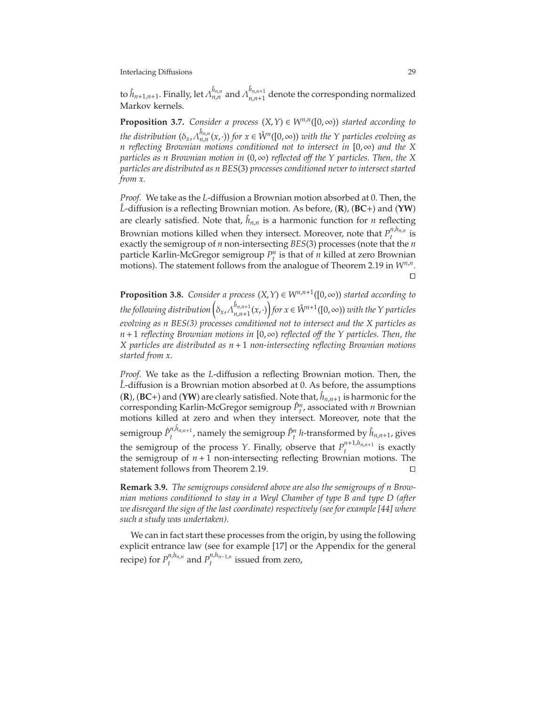to  $\hat{h}_{n+1,n+1}.$  Finally, let  $\Lambda_{n,n}^{\hat{h}_{n,n}}$  and  $\Lambda_{n,n+1}^{\hat{h}_{n,n+1}}$  $n_{n,n+1}^{n_{n,n+1}}$  denote the corresponding normalized Markov kernels.

**Proposition 3.7.** *Consider a process*  $(X, Y) \in W^{n,n}([0, \infty))$  *started according to the distribution*  $(\delta_x, \Lambda_{n,n}^{\hat{h}_{n,n}}(x, \cdot))$  *for*  $x \in \mathring{W}^n([0, \infty))$  *with the Y particles evolving as n reflecting Brownian motions conditioned not to intersect in* [0,∞) *and the X particles as n Brownian motion in* (0,∞) *reflected o*ff *the Y particles. Then, the X particles are distributed as n BES*(3) *processes conditioned never to intersect started from x.*

*Proof.* We take as the *L*-diffusion a Brownian motion absorbed at 0. Then, the *L*ˆ -diffusion is a reflecting Brownian motion. As before, (**R**), (**BC**+) and (**YW**) are clearly satisfied. Note that,  $\hat{h}_{n,n}$  is a harmonic function for *n* reflecting Brownian motions killed when they intersect. Moreover, note that  $P_t^{n,h_{n,n}}$  $\int_t^{t,\mu_n,n}$  is exactly the semigroup of *n* non-intersecting *BES*(3) processes (note that the *n* particle Karlin-McGregor semigroup  $P_i^n$  is that of *n* killed at zero Brownian motions). The statement follows from the analogue of Theorem [2.19](#page-21-0) in  $W^{n,n}$ . ⊓⊔

**Proposition 3.8.** *Consider a process*  $(X, Y) \in W^{n,n+1}([0, \infty))$  *started according to*  $\hat{b}_{x}$  *the following distribution*  $\left(\delta_{x}, \hat{\Lambda}_{n,n+1}^{\hat{h}_{n,n+1}}\right)$  $\hat{h}_{n,n+1}(x,\cdot)$  *for*  $x \in \mathring{W}^{n+1}([0,\infty))$  *with the Y particles evolving as n BES(3) processes conditioned not to intersect and the X particles as n*+1 *reflecting Brownian motions in* [0,∞) *reflected o*ff *the Y particles. Then, the X particles are distributed as n*+1 *non-intersecting reflecting Brownian motions started from x.*

*Proof.* We take as the *L*-diffusion a reflecting Brownian motion. Then, the *L*-diffusion is a Brownian motion absorbed at 0. As before, the assumptions  $({\bf R})$ ,  $({\bf BC+})$  and  $({\bf YW})$  are clearly satisfied. Note that,  $\hat{h}_{n,n+1}$  is harmonic for the corresponding Karlin-McGregor semigroup  $\hat{P}^n_t$ , associated with *n* Brownian motions killed at zero and when they intersect. Moreover, note that the semigroup *P*ˆ *n*, ˆ*hn*,*n*+<sup>1</sup>  $\hat{h}^{n,n_{n,n+1}}$ , namely the semigroup  $\hat{P}^n_t$  *h*-transformed by  $\hat{h}_{n,n+1}$ , gives the semigroup of the process *Y*. Finally, observe that  $P_t^{n+1,h_{n,n+1}}$  $\int_t^{t}$  is exactly the semigroup of  $n+1$  non-intersecting reflecting Brownian motions. The statement follows from Theorem [2.19.](#page-21-0)

**Remark 3.9.** *The semigroups considered above are also the semigroups of n Brownian motions conditioned to stay in a Weyl Chamber of type B and type D (after we disregard the sign of the last coordinate) respectively (see for example [\[44\]](#page-75-11) where such a study was undertaken).*

We can in fact start these processes from the origin, by using the following explicit entrance law (see for example [\[17\]](#page-74-6) or the Appendix for the general recipe) for  $P_t^{n,h_{n,n}}$  $P_t^{n,h_{n,n}}$  and  $P_t^{n,h_{n-1,n}}$  issued from zero,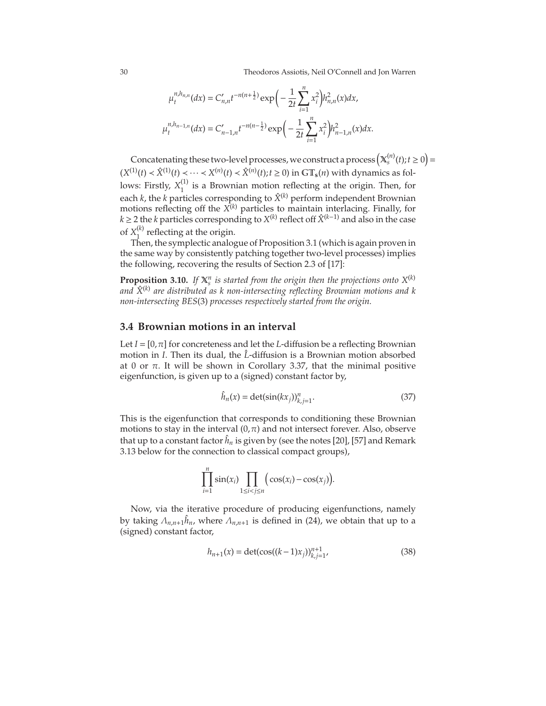30 Theodoros Assiotis, Neil O'Connell and Jon Warren

$$
\mu_t^{n,h_{n,n}}(dx) = C'_{n,n}t^{-n(n+\frac{1}{2})}\exp\bigg(-\frac{1}{2t}\sum_{i=1}^n x_i^2\bigg)h_{n,n}^2(x)dx,
$$
  

$$
\mu_t^{n,h_{n-1,n}}(dx) = C'_{n-1,n}t^{-n(n-\frac{1}{2})}\exp\bigg(-\frac{1}{2t}\sum_{i=1}^n x_i^2\bigg)h_{n-1,n}^2(x)dx.
$$

Concatenating these two-level processes, we construct a process  $\left(\mathbb{X}_{s}^{(n)}(t); t \geq 0\right) =$  $(X^{(1)}(t) \prec \hat{X}^{(1)}(t) \prec \cdots \prec X^{(n)}(t) \prec \hat{X}^{(n)}(t); t ≥ 0)$  in GT<sub>s</sub>(*n*) with dynamics as follows: Firstly,  $X_1^{(1)}$  $\frac{1}{1}$  is a Brownian motion reflecting at the origin. Then, for each  $k$ , the  $k$  particles corresponding to  $\hat{X}^{(k)}$  perform independent Brownian motions reflecting off the *X* (*k*) particles to maintain interlacing. Finally, for *k* ≥ 2 the *k* particles corresponding to *X*<sup>(*k*)</sup> reflect off  $\hat{X}^{(k-1)}$  and also in the case of  $X_1^{(k)}$  $_1^{\prime\prime}$  reflecting at the origin.

Then, the symplectic analogue of Proposition [3.1](#page-25-0) (which is again proven in the same way by consistently patching together two-level processes) implies the following, recovering the results of Section 2.3 of [\[17\]](#page-74-6):

**Proposition 3.10.** If  $X_s^n$  is started from the origin then the projections onto  $X^{(k)}$ *and X*ˆ(*k*) *are distributed as k non-intersecting reflecting Brownian motions and k non-intersecting BES*(3) *processes respectively started from the origin.*

## **3.4 Brownian motions in an interval**

Let  $I = [0, \pi]$  for concreteness and let the *L*-diffusion be a reflecting Brownian motion in *I*. Then its dual, the  $\hat{L}$ -diffusion is a Brownian motion absorbed at 0 or π. It will be shown in Corollary [3.37,](#page-48-0) that the minimal positive eigenfunction, is given up to a (signed) constant factor by,

<span id="page-30-0"></span>
$$
\hat{h}_n(x) = \det(\sin(kx_j))_{k,j=1}^n.
$$
\n(37)

This is the eigenfunction that corresponds to conditioning these Brownian motions to stay in the interval  $(0, \pi)$  and not intersect forever. Also, observe that up to a constant factor  $\hat{h}_n$  is given by (see the notes [\[20\]](#page-74-11), [\[57\]](#page-76-11) and Remark [3.13](#page-31-0) below for the connection to classical compact groups),

$$
\prod_{i=1}^n \sin(x_i) \prod_{1 \le i < j \le n} \big( \cos(x_i) - \cos(x_j) \big).
$$

Now, via the iterative procedure of producing eigenfunctions, namely by taking  $\Lambda_{n,n+1} \hat{h}_n$ , where  $\Lambda_{n,n+1}$  is defined in [\(24\)](#page-19-0), we obtain that up to a (signed) constant factor,

<span id="page-30-1"></span>
$$
h_{n+1}(x) = \det(\cos((k-1)x_j))_{k,j=1}^{n+1},
$$
\n(38)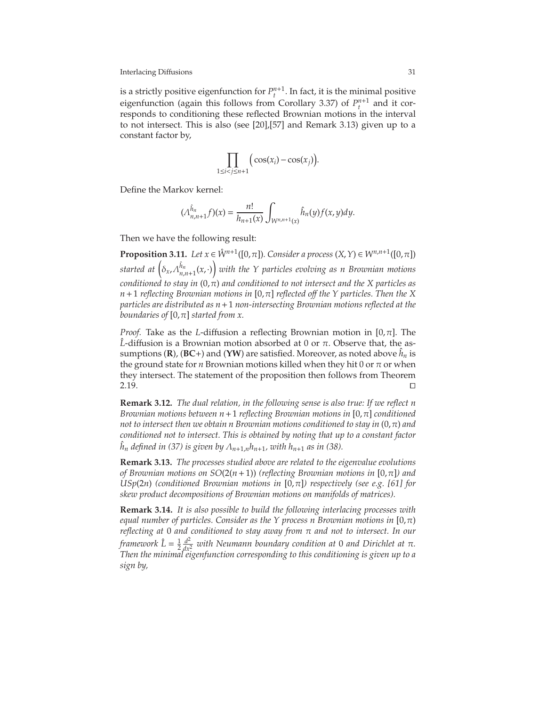is a strictly positive eigenfunction for  $P_t^{n+1}$ . In fact, it is the minimal positive eigenfunction (again this follows from Corollary [3.37\)](#page-48-0) of  $P_t^{n+1}$  and it corresponds to conditioning these reflected Brownian motions in the interval to not intersect. This is also (see [\[20\]](#page-74-11),[\[57\]](#page-76-11) and Remark [3.13\)](#page-31-0) given up to a constant factor by,

$$
\prod_{1 \le i < j \le n+1} \Big( \cos(x_i) - \cos(x_j) \Big).
$$

Define the Markov kernel:

$$
(\Lambda_{n,n+1}^{\hat{h}_n}f)(x) = \frac{n!}{h_{n+1}(x)} \int_{W^{n,n+1}(x)} \hat{h}_n(y) f(x,y) dy.
$$

Then we have the following result:

**Proposition 3.11.** *Let*  $x \in \mathring{W}^{n+1}([0,\pi])$ *. Consider a process*  $(X,Y) \in W^{n,n+1}([0,\pi])$  $\hat{a}$  *started at*  $\left( \delta_x, \Lambda_{n,n+1}^{\hat{h}_n}(x, \cdot) \right)$  *with the Y particles evolving as n Brownian motions conditioned to stay in*  $(0, π)$  *and conditioned to not intersect and the X particles as n*+1 *reflecting Brownian motions in* [0,π] *reflected o*ff *the Y particles. Then the X particles are distributed as n*+1 *non-intersecting Brownian motions reflected at the boundaries of*  $[0, \pi]$  *started from x.* 

*Proof.* Take as the *L*-diffusion a reflecting Brownian motion in [0,π]. The *L*-diffusion is a Brownian motion absorbed at 0 or  $\pi$ . Observe that, the assumptions (**R**), (**BC**+) and (**YW**) are satisfied. Moreover, as noted above  $\hat{h}_n$  is the ground state for *n* Brownian motions killed when they hit 0 or  $\pi$  or when they intersect. The statement of the proposition then follows from Theorem [2.19.](#page-21-0) ⊓⊔

**Remark 3.12.** *The dual relation, in the following sense is also true: If we reflect n Brownian motions between n*+1 *reflecting Brownian motions in* [0,π] *conditioned not to intersect then we obtain n Brownian motions conditioned to stay in*  $(0, \pi)$  *and conditioned not to intersect. This is obtained by noting that up to a constant factor*  $h_n$  *defined in* [\(37\)](#page-30-0) *is given by*  $\Lambda_{n+1,n}h_{n+1}$ *, with*  $h_{n+1}$  *as in* [\(38\)](#page-30-1)*.* 

<span id="page-31-0"></span>**Remark 3.13.** *The processes studied above are related to the eigenvalue evolutions of Brownian motions on SO*(2(*n*+1)) *(reflecting Brownian motions in* [0,π]*) and USp*(2*n*) *(conditioned Brownian motions in* [0,π]*) respectively (see e.g. [\[61\]](#page-76-12) for skew product decompositions of Brownian motions on manifolds of matrices).*

**Remark 3.14.** *It is also possible to build the following interlacing processes with equal number of particles. Consider as the Y process n Brownian motions in* [0, $\pi$ ) *reflecting at* 0 *and conditioned to stay away from* π *and not to intersect. In our framework*  $\hat{L} = \frac{1}{2} \frac{d^2}{dx^2}$  *with Neumann boundary condition at* 0 *and Dirichlet at* π*. Then the minimal eigenfunction corresponding to this conditioning is given up to a sign by,*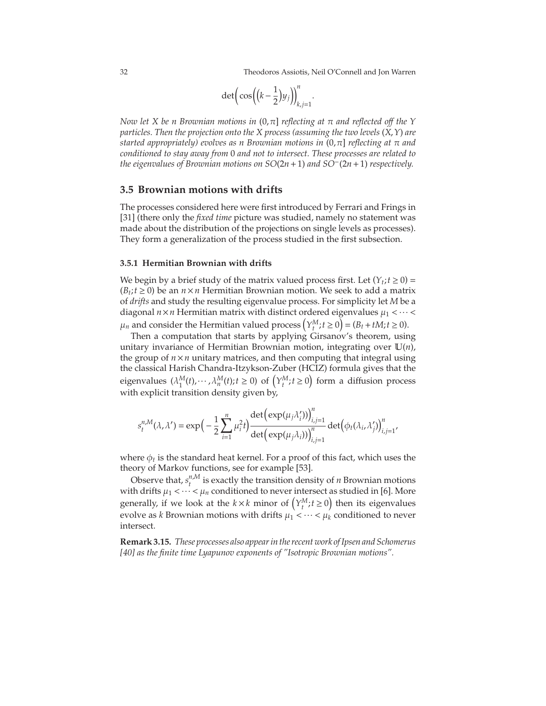32 Theodoros Assiotis, Neil O'Connell and Jon Warren

$$
\det\left(\cos\left(\left(k-\frac{1}{2}\right)y_j\right)\right)_{k,j=1}^n.
$$

*Now let X be n Brownian motions in* (0,π] *reflecting at* π *and reflected o*ff *the Y particles. Then the projection onto the X process (assuming the two levels* (*X*,*Y*) *are started appropriately) evolves as n Brownian motions in* (0,π] *reflecting at* π *and conditioned to stay away from* 0 *and not to intersect. These processes are related to the eigenvalues of Brownian motions on SO*(2*n*+1) *and SO*−(2*n*+1) *respectively.*

### **3.5 Brownian motions with drifts**

The processes considered here were first introduced by Ferrari and Frings in [\[31\]](#page-75-2) (there only the *fixed time* picture was studied, namely no statement was made about the distribution of the projections on single levels as processes). They form a generalization of the process studied in the first subsection.

#### **3.5.1 Hermitian Brownian with drifts**

We begin by a brief study of the matrix valued process first. Let  $(Y_t; t \ge 0)$  =  $(B_t; t ≥ 0)$  be an *n* × *n* Hermitian Brownian motion. We seek to add a matrix of *drifts* and study the resulting eigenvalue process. For simplicity let *M* be a diagonal  $n \times n$  Hermitian matrix with distinct ordered eigenvalues  $\mu_1 < \cdots <$  $\mu_n$  and consider the Hermitian valued process  $(Y_t^M; t \ge 0) = (B_t + tM; t \ge 0)$ .

Then a computation that starts by applying Girsanov's theorem, using unitary invariance of Hermitian Brownian motion, integrating over U(*n*), the group of  $n \times n$  unitary matrices, and then computing that integral using the classical Harish Chandra-Itzykson-Zuber (HCIZ) formula gives that the eigenvalues  $(\lambda_1^M(t), \dots, \lambda_n^M(t); t \ge 0)$  of  $(\gamma_t^M; t \ge 0)$  form a diffusion process with explicit transition density given by,

$$
s_t^{n,M}(\lambda,\lambda')=\exp\Big(-\frac{1}{2}\sum_{i=1}^n\mu_i^2t\Big)\frac{\det\Big(\exp(\mu_j\lambda_i')\Big)_{i,j=1}^n}{\det\Big(\exp(\mu_j\lambda_i)\Big)_{i,j=1}^n}\det\Big(\phi_t(\lambda_i,\lambda_j')\Big)_{i,j=1}^n,
$$

where  $\phi_t$  is the standard heat kernel. For a proof of this fact, which uses the theory of Markov functions, see for example [\[53\]](#page-76-13).

Observe that,  $s^{n,M}_{t}$  $t_t^{n,m}$  is exactly the transition density of *n* Brownian motions with drifts  $\mu_1 < \cdots < \mu_n$  conditioned to never intersect as studied in [\[6\]](#page-74-12). More generally, if we look at the  $k \times k$  minor of  $(Y_t^M; t \ge 0)$  then its eigenvalues evolve as *k* Brownian motions with drifts  $\mu_1 < \cdots < \mu_k$  conditioned to never intersect.

**Remark 3.15.** *These processes also appear in the recent work of Ipsen and Schomerus [\[40\]](#page-75-12) as the finite time Lyapunov exponents of "Isotropic Brownian motions".*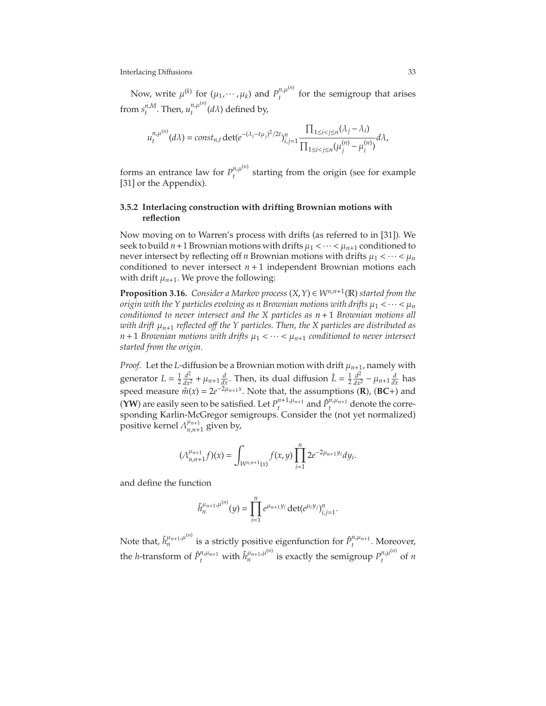Now, write  $\mu^{(k)}$  for  $(\mu_1, \dots, \mu_k)$  and  $P_t^{n, \mu^{(n)}}$  $t_t^{n,\mu}$  for the semigroup that arises from  $s^{n,M}_{\scriptscriptstyle f}$  $t^{n,M}_{t}$ . Then,  $u^{n,\mu^{(n)}}_{t}$  $t^{n,\mu}$ <sup>*t*</sup> (*d* $\lambda$ ) defined by,

$$
u_t^{n,\mu^{(n)}}(d\lambda) = const_{n,t} \det(e^{-(\lambda_i - t\mu_j)^2/2t})_{i,j=1}^n \frac{\prod_{1 \le i < j \le n} (\lambda_j - \lambda_i)}{\prod_{1 \le i < j \le n} (\mu_j^{(n)} - \mu_i^{(n)})} d\lambda,
$$

forms an entrance law for  $P_t^{n,\mu^{(n)}}$  $t_t^{n,\mu}$  starting from the origin (see for example [\[31\]](#page-75-2) or the Appendix).

### **3.5.2 Interlacing construction with drifting Brownian motions with reflection**

Now moving on to Warren's process with drifts (as referred to in [\[31\]](#page-75-2)). We seek to build  $n+1$  Brownian motions with drifts  $\mu_1 < \cdots < \mu_{n+1}$  conditioned to never intersect by reflecting off *n* Brownian motions with drifts  $\mu_1 < \cdots < \mu_n$ conditioned to never intersect  $n + 1$  independent Brownian motions each with drift  $\mu_{n+1}$ . We prove the following:

**Proposition 3.16.** *Consider a Markov process*  $(X, Y) \in W^{n,n+1}(\mathbb{R})$  *started from the origin with the Y particles evolving as n Brownian motions with drifts*  $\mu_1 < \cdots < \mu_n$ *conditioned to never intersect and the X particles as n*+1 *Brownian motions all with drift* µ*n*+<sup>1</sup> *reflected o*ff *the Y particles. Then, the X particles are distributed as*  $n+1$  *Brownian motions with drifts*  $\mu_1 < \cdots < \mu_{n+1}$  *conditioned to never intersect started from the origin.*

*Proof.* Let the *L*-diffusion be a Brownian motion with drift  $\mu_{n+1}$ , namely with generator  $L = \frac{1}{2} \frac{d^2}{dx^2} + \mu_{n+1} \frac{d}{dx}$ . Then, its dual diffusion  $\hat{L} = \frac{1}{2} \frac{d^2}{dx^2} - \mu_{n+1} \frac{d}{dx}$  has speed measure  $\hat{m}(x) = 2e^{-2\mu_{n+1}x}$ . Note that, the assumptions (**R**), (**BC**+) and **(YW**) are easily seen to be satisfied. Let  $P_t^{n+1,\mu_{n+1}}$  and  $\hat{P}_t^{n,\mu_{n+1}}$  denote the corresponding Karlin-McGregor semigroups. Consider the (not yet normalized) **positive kernel**  $Λ_{n n+1}^{\mu_{n+1}}$  $\int_{n,n+1}^{\mu_{n+1}}$  given by,

$$
(\Lambda_{n,n+1}^{\mu_{n+1}}f)(x)=\int_{W^{n,n+1}(x)}f(x,y)\prod_{i=1}^n 2e^{-2\mu_{n+1}y_i}dy_i.
$$

and define the function

$$
\hat{h}_{n}^{\mu_{n+1},\mu^{(n)}}(y) = \prod_{i=1}^{n} e^{\mu_{n+1}y_i} \det(e^{\mu_i y_j})_{i,j=1}^{n}.
$$

Note that,  $\hat{h}^{\mu_{n+1},\mu^{(n)}}_n$  is a strictly positive eigenfunction for  $\hat{P}^{n,\mu_{n+1}}_t$ . Moreover, the *h*-transform of  $\hat{P}^{n,\mu_{n+1}}_t$  with  $\hat{h}^{\mu_{n+1},\mu^{(n)}}_n$  is exactly the semigroup  $P^{n,\mu^{(n)}}_t$  $\int_t^{n,\mu}$  of *n*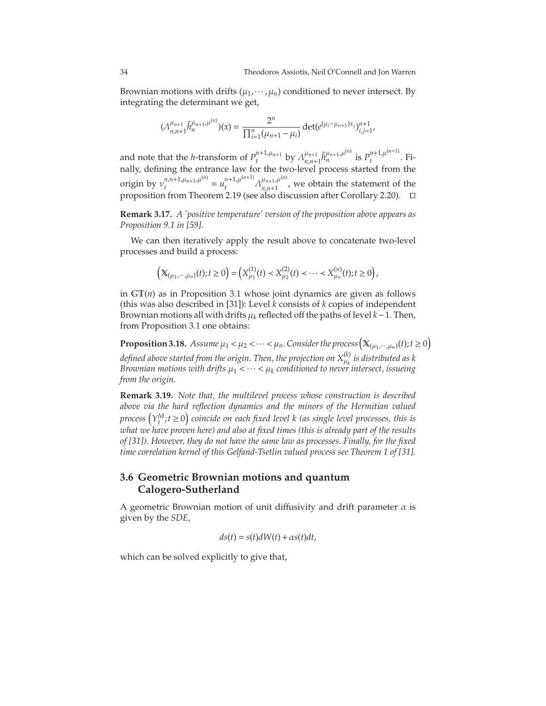Brownian motions with drifts  $(\mu_1, \dots, \mu_n)$  conditioned to never intersect. By integrating the determinant we get,

$$
(\Lambda_{n,n+1}^{\mu_{n+1}} \hat{h}_n^{\mu_{n+1},\mu^{(n)}})(x) = \frac{2^n}{\prod_{i=1}^n (\mu_{n+1} - \mu_i)} \det(e^{(\mu_i - \mu_{n+1})x_j})_{i,j=1}^{n+1},
$$

and note that the *h*-transform of  $P_t^{n+1,\mu_{n+1}}$  by  $\Lambda_{n,n+1}^{\mu_{n+1}}$  $\int_{n,n+1}^{\mu_{n+1}} \hat{h}_n^{\mu_{n+1},\mu^{(n)}}$  is  $P_t^{n+1,\mu^{(n+1)}}$  $t^{\mu+1,\mu}$  . Finally, defining the entrance law for the two-level process started from the origin by  $v_t^{n,n+1,\mu_{n+1},\mu^{(n)}}$  $u_t^{n+1}u_{n+1}u^{(n)} = u_t^{n+1}u^{(n+1)}$  $\lambda_t^{n+1}$ ,  $\mu_{n+1}^{(n+1)}$ ,  $\lambda_{n,n+1}^{\mu_{n+1}}$ ,  $\mu_n^{(n)}$  $n_{n+1}^{n+1}$ , we obtain the statement of the proposition from Theorem [2.19](#page-21-0) (see also discussion after Corollary [2.20\)](#page-22-0). ⊓⊔

**Remark 3.17.** *A 'positive temperature' version of the proposition above appears as Proposition 9.1 in [\[59\]](#page-76-14).*

We can then iteratively apply the result above to concatenate two-level processes and build a process:

$$
\left(\mathbb{X}_{(\mu_1,\cdots,\mu_n)}(t);t\geq 0\right)=\left(X^{(1)}_{\mu_1}(t)
$$

in GT(*n*) as in Proposition [3.1](#page-25-0) whose joint dynamics are given as follows (this was also described in [\[31\]](#page-75-2)): Level *k* consists of *k* copies of independent Brownian motions all with drifts µ*<sup>k</sup>* reflected off the paths of level *k*−1. Then, from Proposition [3.1](#page-25-0) one obtains:

**Proposition 3.18.** *Assume*  $\mu_1 < \mu_2 < \cdots < \mu_n$ . Consider the process  $(\mathbb{X}_{(\mu_1, \cdots, \mu_n)}(t); t \ge 0)$ *defined above started from the origin. Then, the projection on X*(*k*) µ*k is distributed as k Brownian motions with drifts* µ<sup>1</sup> < ··· < µ*<sup>k</sup> conditioned to never intersect, issueing from the origin.*

**Remark 3.19.** *Note that, the multilevel process whose construction is described above via the hard reflection dynamics and the minors of the Hermitian valued*  $p$ rocess  $(Y_t^M; t \geq 0)$  coincide on each fixed level k (as single level processes, this is *what we have proven here) and also at fixed times (this is already part of the results of [\[31\]](#page-75-2)). However, they do not have the same law as processes. Finally, for the fixed time correlation kernel of this Gelfand-Tsetlin valued process see Theorem 1 of [\[31\]](#page-75-2)*.

## **3.6 Geometric Brownian motions and quantum Calogero-Sutherland**

A geometric Brownian motion of unit diffusivity and drift parameter  $\alpha$  is given by the *SDE*,

$$
ds(t) = s(t)dW(t) + \alpha s(t)dt,
$$

which can be solved explicitly to give that,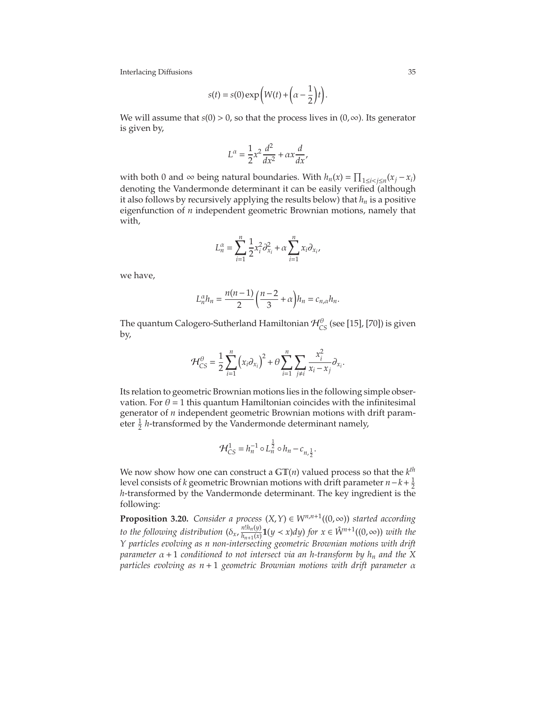$$
s(t) = s(0) \exp\left(W(t) + \left(\alpha - \frac{1}{2}\right)t\right).
$$

We will assume that  $s(0) > 0$ , so that the process lives in  $(0, \infty)$ . Its generator is given by,

$$
L^{\alpha} = \frac{1}{2}x^2 \frac{d^2}{dx^2} + \alpha x \frac{d}{dx},
$$

with both 0 and ∞ being natural boundaries. With  $h_n(x) = \prod_{1 \le i < j \le n} (x_j - x_i)$ denoting the Vandermonde determinant it can be easily verified (although it also follows by recursively applying the results below) that *h<sup>n</sup>* is a positive eigenfunction of *n* independent geometric Brownian motions, namely that with,

$$
L_n^{\alpha} = \sum_{i=1}^n \frac{1}{2} x_i^2 \partial_{x_i}^2 + \alpha \sum_{i=1}^n x_i \partial_{x_i},
$$

we have,

$$
L_n^{\alpha}h_n = \frac{n(n-1)}{2} \left(\frac{n-2}{3} + \alpha\right)h_n = c_{n,\alpha}h_n.
$$

The quantum Calogero-Sutherland Hamiltonian  $\mathcal{H}_{CS}^{\theta}$  (see [\[15\]](#page-74-13), [\[70\]](#page-76-15)) is given by,

$$
\mathcal{H}_{CS}^{\theta} = \frac{1}{2} \sum_{i=1}^{n} (x_i \partial_{x_i})^2 + \theta \sum_{i=1}^{n} \sum_{j \neq i} \frac{x_i^2}{x_i - x_j} \partial_{x_i}.
$$

Its relation to geometric Brownian motions lies in the following simple observation. For  $\theta = 1$  this quantum Hamiltonian coincides with the infinitesimal generator of *n* independent geometric Brownian motions with drift parameter  $\frac{1}{2}$  *h*-transformed by the Vandermonde determinant namely,

$$
\mathcal{H}_{CS}^1 = h_n^{-1} \circ L_n^{\frac{1}{2}} \circ h_n - c_{n,\frac{1}{2}}.
$$

We now show how one can construct a  $GT(n)$  valued process so that the  $k^{th}$ level consists of *k* geometric Brownian motions with drift parameter  $n-k+\frac{1}{2}$ *h*-transformed by the Vandermonde determinant. The key ingredient is the following:

**Proposition 3.20.** *Consider a process*  $(X, Y) \in W^{n,n+1}((0, \infty))$  *started according to the following distribution*  $(\delta_x, \frac{n! h_n(y)}{h_{n+1}(x)})$  $\frac{n!n_n(y)}{n_{n+1}(x)}$ **1**( $y < x$ )*dy*) *for*  $x \in \mathring{W}^{n+1}((0, \infty))$  *with the Y particles evolving as n non-intersecting geometric Brownian motions with drift parameter* α+1 *conditioned to not intersect via an h-transform by h<sup>n</sup> and the X particles evolving as n* + 1 *geometric Brownian motions with drift parameter* α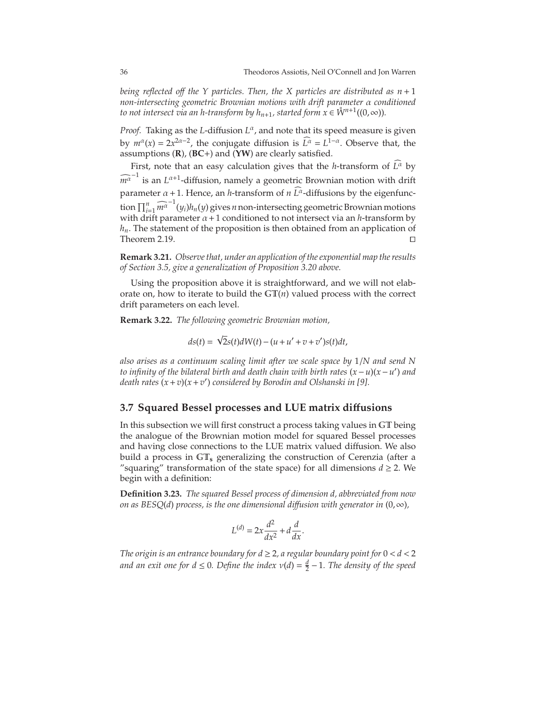*being reflected o*ff *the Y particles. Then, the X particles are distributed as n* + 1 *non-intersecting geometric Brownian motions with drift parameter* α *conditioned to not intersect via an h-transform by*  $h_{n+1}$ *, started form*  $x \in \mathring{W}^{n+1}((0,\infty))$ *.* 

*Proof.* Taking as the *L*-diffusion *L* α , and note that its speed measure is given by  $m^{\alpha}(x) = 2x^{2\alpha - 2}$ , the conjugate diffusion is  $L^{\alpha} = L^{1-\alpha}$ . Observe that, the assumptions (**R**), (**BC**+) and (**YW**) are clearly satisfied.

First, note that an easy calculation gives that the *h*-transform of  $\tilde{L}^{\alpha}$  by  $\widehat{m^{\alpha}}^{-1}$  is an *L*<sup>α+1</sup>-diffusion, namely a geometric Brownian motion with drift parameter  $\alpha$  + 1. Hence, an *h*-transform of *n*  $\widehat{L}^{\alpha}$ -diffusions by the eigenfunction  $\prod_{i=1}^n \widehat{m^{\alpha}}^{-1}(y_i)h_n(y)$  gives *n* non-intersecting geometric Brownian motions with drift parameter  $\alpha + 1$  conditioned to not intersect via an *h*-transform by *hn*. The statement of the proposition is then obtained from an application of Theorem [2.19.](#page-21-0)

**Remark 3.21.** *Observe that, under an application of the exponential map the results of Section [3.5,](#page-32-0) give a generalization of Proposition [3.20](#page-35-0) above.*

Using the proposition above it is straightforward, and we will not elaborate on, how to iterate to build the  $GT(n)$  valued process with the correct drift parameters on each level.

**Remark 3.22.** *The following geometric Brownian motion,*

$$
ds(t) = \sqrt{2}s(t)dW(t) - (u + u' + v + v')s(t)dt,
$$

*also arises as a continuum scaling limit after we scale space by* 1/*N and send N to infinity of the bilateral birth and death chain with birth rates* (*x*−*u*)(*x*−*u* ′ ) *and death rates* (*x*+*v*)(*x*+*v* ′ ) *considered by Borodin and Olshanski in [\[9\]](#page-74-0).*

#### **3.7 Squared Bessel processes and LUE matrix di**ff**usions**

In this subsection we will first construct a process taking values in GT being the analogue of the Brownian motion model for squared Bessel processes and having close connections to the LUE matrix valued diffusion. We also build a process in GT**<sup>s</sup>** generalizing the construction of Cerenzia (after a "squaring" transformation of the state space) for all dimensions  $d \geq 2$ . We begin with a definition:

**Definition 3.23.** *The squared Bessel process of dimension d, abbreviated from now on as BESQ(d) process, is the one dimensional diffusion with generator in*  $(0, \infty)$ *,* 

$$
L^{(d)} = 2x \frac{d^2}{dx^2} + d \frac{d}{dx}.
$$

*The origin is an entrance boundary for*  $d \geq 2$ *, a regular boundary point for*  $0 < d < 2$ *and an exit one for d*  $\leq$  0. Define the index  $v(d) = \frac{d}{2} - 1$ . The density of the speed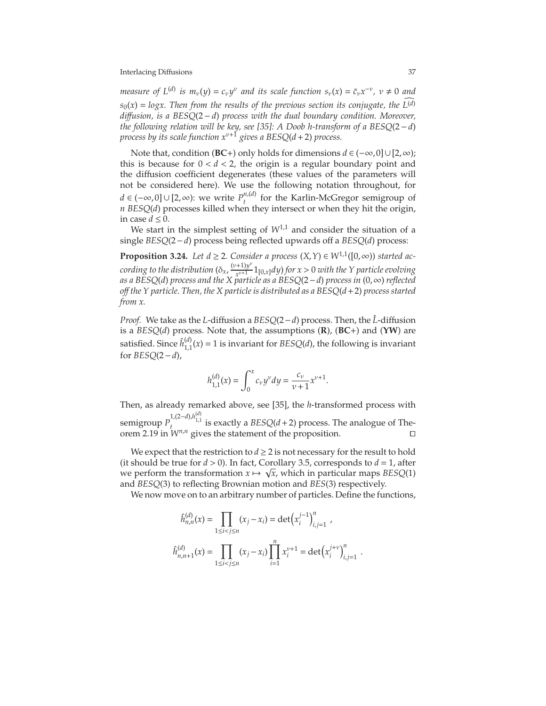*measure of*  $L^{(d)}$  *is*  $m_v(y) = c_v y^v$  *and its scale function*  $s_v(x) = \bar{c}_v x^{-v}$ *,*  $v \neq 0$  *and*  $s_0(x) = \log x$ . Then from the results of the previous section its conjugate, the  $L^{(d)}$ *di*ff*usion, is a BESQ*(2 − *d*) *process with the dual boundary condition. Moreover, the following relation will be key, see [\[35\]](#page-75-0): A Doob h-transform of a BESQ*(2−*d*) *process by its scale function*  $x^{v+1}$  *gives a BESQ(d + 2) process.* 

Note that, condition (**BC**+) only holds for dimensions *d* ∈ (−∞,0]∪[2,∞); this is because for  $0 < d < 2$ , the origin is a regular boundary point and the diffusion coefficient degenerates (these values of the parameters will not be considered here). We use the following notation throughout, for *d* ∈ (−∞,0]∪[2,∞): we write  $P_t^{n,(d)}$  $t_t^{n,(u)}$  for the Karlin-McGregor semigroup of *n BESQ*(*d*) processes killed when they intersect or when they hit the origin, in case  $d \leq 0$ .

We start in the simplest setting of  $W^{1,1}$  and consider the situation of a single *BESQ*(2−*d*) process being reflected upwards off a *BESQ*(*d*) process:

**Proposition 3.24.** *Let d* ≥ 2*. Consider a process*  $(X, Y) \in W^{1,1}([0, \infty))$  *started according to the distribution*  $(\delta_x, \frac{(v+1)y^{\nu}}{v^{\nu+1}})$  $\frac{y}{x^{v+1}}$  1<sub>[0,*x*]</sub>*dy*) *for x* > 0 *with the Y particle evolving as a BESQ*(*d*) *process and the X particle as a BESQ*(2−*d*) *process in* (0,∞) *reflected o*ff *the Y particle. Then, the X particle is distributed as a BESQ*(*d*+2) *process started from x.*

*Proof.* We take as the *L*−diffusion a *BESQ*(2−*d*) process. Then, the *L*<sup>−</sup>diffusion is a *BESQ*(*d*) process. Note that, the assumptions (**R**), (**BC**+) and (**YW**) are satisfied. Since  $\hat{h}_{1,1}^{(d)}$  $_{1,1}^{(a)}(x) = 1$  is invariant for *BESQ(d)*, the following is invariant for *BESQ*(2−*d*),

$$
h_{1,1}^{(d)}(x) = \int_0^x c_{\nu} y^{\nu} dy = \frac{c_{\nu}}{\nu + 1} x^{\nu + 1}.
$$

Then, as already remarked above, see [\[35\]](#page-75-0), the *h*-transformed process with semigroup  $P_t^{1,(2-d),h_{1,1}^{(d)}}$  is exactly a *BESQ*(*d*+2) process. The analogue of The-orem [2.19](#page-21-0) in  $W^{n,n}$  gives the statement of the proposition. □

We expect that the restriction to  $d \geq 2$  is not necessary for the result to hold (it should be true for  $d > 0$ ). In fact, Corollary [3.5,](#page-27-0) corresponds to  $d = 1$ , after we perform the transformation  $x \mapsto \sqrt{x}$ , which in particular maps *BESQ*(1) and *BESQ*(3) to reflecting Brownian motion and *BES*(3) respectively.

We now move on to an arbitrary number of particles. Define the functions,

$$
\hat{h}_{n,n}^{(d)}(x) = \prod_{1 \le i < j \le n} (x_j - x_i) = \det \left( x_i^{j-1} \right)_{i,j=1}^n,
$$
\n
$$
\hat{h}_{n,n+1}^{(d)}(x) = \prod_{1 \le i < j \le n} (x_j - x_i) \prod_{i=1}^n x_i^{\nu+1} = \det \left( x_i^{j+\nu} \right)_{i,j=1}^n.
$$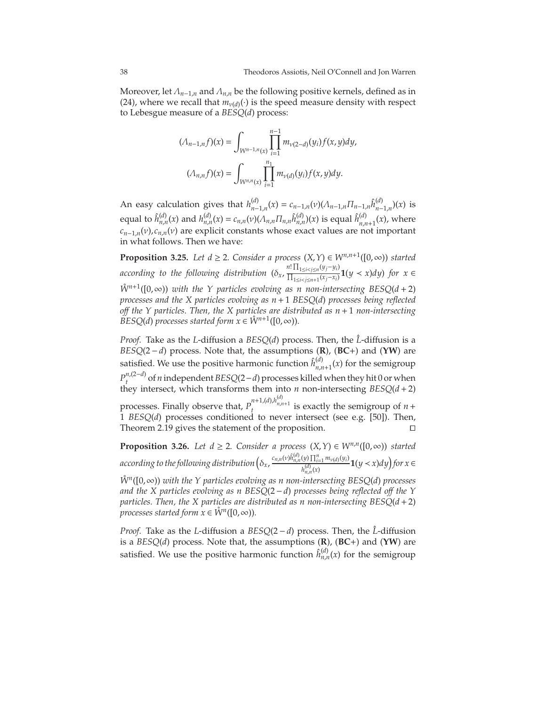Moreover, let Λ*n*−1,*<sup>n</sup>* and Λ*n*,*<sup>n</sup>* be the following positive kernels, defined as in [\(24\)](#page-19-0), where we recall that  $m_{\nu(d)}(\cdot)$  is the speed measure density with respect to Lebesgue measure of a *BESQ*(*d*) process:

$$
(\Lambda_{n-1,n}f)(x) = \int_{W^{n-1,n}(x)} \prod_{i=1}^{n-1} m_{\nu(2-d)}(y_i) f(x,y) dy,
$$

$$
(\Lambda_{n,n}f)(x) = \int_{W^{n,n}(x)} \prod_{i=1}^{n_1} m_{\nu(d)}(y_i) f(x,y) dy.
$$

An easy calculation gives that  $h_{u-1}^{(d)}$  $c_{n-1,n}(x) = c_{n-1,n}(v) (\Lambda_{n-1,n} \Pi_{n-1,n} \hat{h}_{n-1,n}^{(d)})$  $_{n-1,n}^{(u)}$  $(x)$  is equal to  $\hat{h}_{n,n}^{(d)}(x)$  and  $h_{n,n}^{(d)}(x) = c_{n,n}(\nu)(\Lambda_{n,n}\Pi_{n,n}\hat{h}_{n,n}^{(d)})(x)$  is equal  $\hat{h}_{n,n}^{(d)}$  $\binom{n}{n,n+1}(x)$ , where  $c_{n-1,n}(v)$ ,  $c_{n,n}(v)$  are explicit constants whose exact values are not important in what follows. Then we have:

<span id="page-38-1"></span>**Proposition 3.25.** *Let d*  $\geq$  2*. Consider a process*  $(X, Y) \in W^{n,n+1}([0, \infty))$  *started according to the following distribution*  $(\delta_x, \frac{n! \prod_{1 \le i < j \le n} (y_j - y_i)}{\prod_{1 \le i < j \le n} (x_i - x_i)}$  $\frac{1}{\prod_{1 \le i < j \le n+1} (x_j - x_i)}$ **1**(*y* < *x*)*dy*) *for x* ∈  $\mathring{W}^{n+1}([0,\infty))$  *with the Y particles evolving as n non-intersecting BESQ*( $d+2$ ) *processes and the X particles evolving as n*+1 *BESQ*(*d*) *processes being reflected o*ff *the Y particles. Then, the X particles are distributed as n*+1 *non-intersecting BESQ*(*d*) *processes started form*  $x \in \mathring{W}^{n+1}([0,\infty))$ *.* 

*Proof.* Take as the *L*-diffusion a *BESQ(d)* process. Then, the *L*<sup>-</sup>diffusion is a *BESQ*(2 − *d*) process. Note that, the assumptions (**R**), (**BC**+) and (**YW**) are satisfied. We use the positive harmonic function  $\hat{h}^{(d)}_{n,i}$  $\sum_{n,n+1}^{(u)}(x)$  for the semigroup *P*<sup>*n*</sup>,(2−*d*)</sub> of *n* independent *BESQ*(2−*d*) processes killed when they hit 0 or when they intersect, which transforms them into *n* non-intersecting *BESQ*(*d*+2) processes. Finally observe that,  $P_t^{n+1,(d),h_{n,n+1}^{(d)}}$  is exactly the semigroup of  $n+1$ 1 *BESQ*(*d*) processes conditioned to never intersect (see e.g. [50]). Then, Theorem [2.19](#page-21-0) gives the statement of the proposition.

<span id="page-38-0"></span>**Proposition 3.26.** *Let d* ≥ 2*. Consider a process*  $(X, Y) \in W^{n,n}([0, ∞))$  *started*  $\arctan\left( \delta_{x}, \frac{c_{n,n}(\nu)\hat{h}_{n,n}^{(d)}(\nu)\prod_{i=1}^{n}m_{\nu(d)}(y_i)}{\nu^{(d)}(\nu)} \right)$  $h_{n,n}^{(d)}(x)$  *n*<sup>(*d*</sup>)</sup> *n*(*x*) *dy n*<sub>*n*</sub><sub>*n*</sub>(*x*) *for x* ∈

*W*˚ *<sup>n</sup>* ([0,∞)) *with the Y particles evolving as n non-intersecting BESQ*(*d*) *processes and the X particles evolving as n BESQ*(2−*d*) *processes being reflected o*ff *the Y particles. Then, the X particles are distributed as n non-intersecting BESQ*(*d*+2) *processes started form*  $x \in \mathring{W}^n([0,\infty))$ *.* 

*Proof.* Take as the *L*−diffusion a *BESQ*(2−*d*) process. Then, the *L*<sup>−</sup>diffusion is a *BESQ*(*d*) process. Note that, the assumptions (**R**), (**BC**+) and (**YW**) are satisfied. We use the positive harmonic function  $\hat{h}_{n,n}^{(d)}(x)$  for the semigroup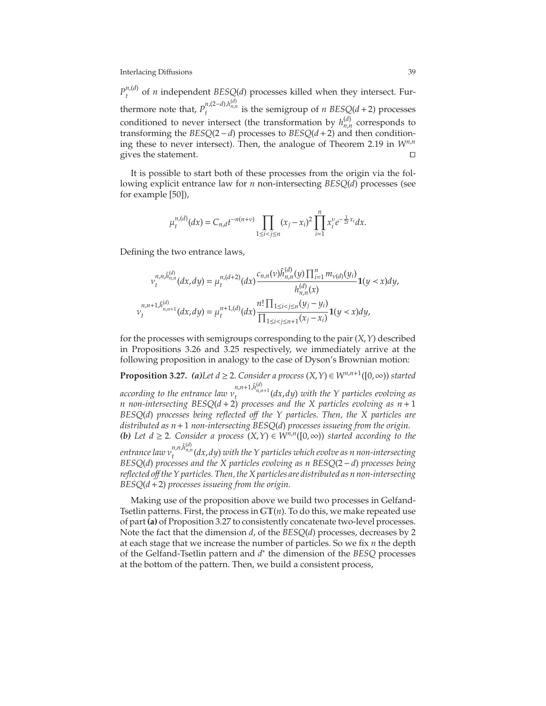$P_t^{n,(d)}$  $t_t^{n,(u)}$  of *n* independent *BESQ*(*d*) processes killed when they intersect. Furthermore note that,  $P_t^{n,(2-d),h_{n,n}^{(d)}}$  is the semigroup of *n BESQ*( $d+2$ ) processes conditioned to never intersect (the transformation by  $h_{n,n}^{(d)}$  corresponds to transforming the *BESQ*(2−*d*) processes to *BESQ*(*d*+2) and then conditioning these to never intersect). Then, the analogue of Theorem [2.19](#page-21-0) in *Wn*,*<sup>n</sup>* gives the statement. □

It is possible to start both of these processes from the origin via the following explicit entrance law for *n* non-intersecting *BESQ*(*d*) processes (see for example [50]),

$$
\mu_t^{n,(d)}(dx) = C_{n,d}t^{-n(n+\nu)} \prod_{1 \le i < j \le n} (x_j - x_i)^2 \prod_{i=1}^n x_i^{\nu} e^{-\frac{1}{2t}x_i} dx.
$$

Defining the two entrance laws,

ν

$$
v_t^{n,n,\hat{h}_{n,n}^{(d)}}(dx,dy) = \mu_t^{n,(d+2)}(dx) \frac{c_{n,n}(v)\hat{h}_{n,n}^{(d)}(y)\prod_{i=1}^n m_{v(d)}(y_i)}{h_{n,n}^{(d)}(x)}\mathbf{1}(y < x)dy,
$$
  
\n
$$
u_{n,n+1,\hat{h}_{n,n+1}^{(d)}}(dx,dy) = \mu_t^{n+1,(d)}(dx) \frac{n!\prod_{1\leq i < j \leq n}(y_j - y_i)}{\prod_{1\leq i < j \leq n+1}(x_j - x_i)}\mathbf{1}(y < x)dy,
$$

for the processes with semigroups corresponding to the pair (*X*,*Y*) described in Propositions [3.26](#page-38-0) and [3.25](#page-38-1) respectively, we immediately arrive at the following proposition in analogy to the case of Dyson's Brownian motion:

<span id="page-39-0"></span>**Proposition 3.27.** *(a)Let d*  $\geq$  2*. Consider a process*  $(X, Y) \in W^{n,n+1}([0, \infty))$  *started according to the entrance law*  $v_t^{n,n+1,\hat{h}_{n,n+1}^{(d)}}(dx,dy)$  *with the Y particles evolving as n non-intersecting BESQ*(*d* + 2) *processes and the X particles evolving as n* + 1 *BESQ*(*d*) *processes being reflected o*ff *the Y particles. Then, the X particles are distributed as n*+1 *non-intersecting BESQ*(*d*) *processes issueing from the origin. (b) Let*  $d \ge 2$ *. Consider a process*  $(X, Y) \in W^{n,n}([0, ∞))$  *started according to the* entrance law  $v_t^{n,n,\hat{h}_{n,n}^{(d)}}(dx,dy)$  with the Y particles which evolve as n non-intersecting *BESQ*(*d*) *processes and the X particles evolving as n BESQ*(2−*d*) *processes being reflected o*ff *the Y particles. Then, the X particles are distributed as n non-intersecting BESQ*(*d*+2) *processes issueing from the origin.*

Making use of the proposition above we build two processes in Gelfand-Tsetlin patterns. First, the process in  $GT(n)$ . To do this, we make repeated use of part **(a)** of Proposition [3.27](#page-39-0) to consistently concatenate two-level processes. Note the fact that the dimension *d*, of the *BESQ*(*d*) processes, decreases by 2 at each stage that we increase the number of particles. So we fix *n* the depth of the Gelfand-Tsetlin pattern and *d* ∗ the dimension of the *BESQ* processes at the bottom of the pattern. Then, we build a consistent process,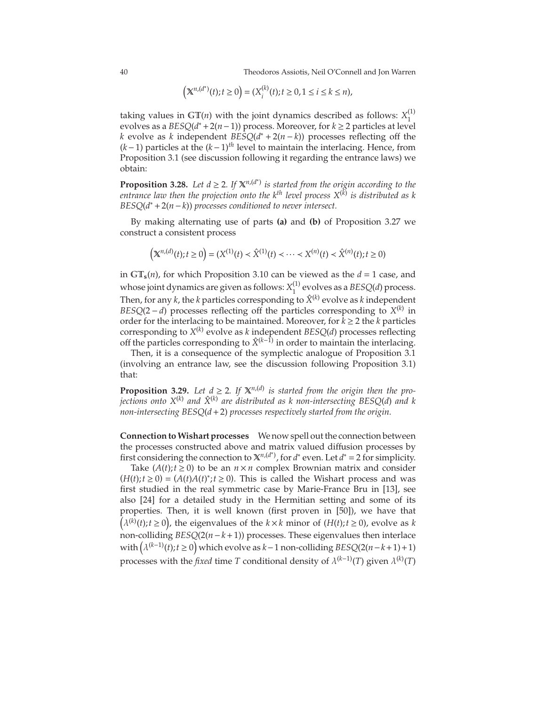40 Theodoros Assiotis, Neil O'Connell and Jon Warren

$$
(\mathbb{X}^{n,(d^*)}(t); t \ge 0) = (X_i^{(k)}(t); t \ge 0, 1 \le i \le k \le n),
$$

taking values in  $GT(n)$  with the joint dynamics described as follows:  $X_1^{(1)}$ 1 evolves as a *BESQ*(*d* <sup>∗</sup> +2(*n*−1)) process. Moreover, for *k* ≥ 2 particles at level *k* evolve as *k* independent *BESQ*( $d^*$  + 2( $n$  −  $k$ )) processes reflecting off the (*k*−1) particles at the (*k*−1)*th* level to maintain the interlacing. Hence, from Proposition [3.1](#page-25-0) (see discussion following it regarding the entrance laws) we obtain:

**Proposition 3.28.** Let  $d \geq 2$ . If  $\mathbb{X}^{n,(d^*)}$  is started from the origin according to the *entrance law then the projection onto the kth level process X*(*k*) *is distributed as k BESQ*(*d* <sup>∗</sup> +2(*n*−*k*)) *processes conditioned to never intersect.*

By making alternating use of parts **(a)** and **(b)** of Proposition [3.27](#page-39-0) we construct a consistent process

$$
\left( \mathbb X^{n,(d)}(t); t \geq 0 \right) = (X^{(1)}(t) < \hat X^{(1)}(t) < \dots < X^{(n)}(t) < \hat X^{(n)}(t); t \geq 0)
$$

in  $GT_s(n)$ , for which Proposition [3.10](#page-30-0) can be viewed as the  $d = 1$  case, and whose joint dynamics are given as follows:  $X_1^{(1)}$  $_1^{(1)}$  evolves as a *BESQ(d)* process. Then, for any  $k$ , the  $k$  particles corresponding to  $\hat{X}^{(k)}$  evolve as  $k$  independent *BESQ*(2 − *d*) processes reflecting off the particles corresponding to  $X^{(k)}$  in order for the interlacing to be maintained. Moreover, for  $k \geq 2$  the *k* particles corresponding to *X* (*k*) evolve as *k* independent *BESQ*(*d*) processes reflecting off the particles corresponding to  $\hat{X}^{(k-1)}$  in order to maintain the interlacing.

Then, it is a consequence of the symplectic analogue of Proposition [3.1](#page-25-0) (involving an entrance law, see the discussion following Proposition [3.1\)](#page-25-0) that:

<span id="page-40-0"></span>**Proposition 3.29.** *Let*  $d \ge 2$ *. If*  $X^{n,(d)}$  *is started from the origin then the projections onto X*(*k*) *and X*ˆ(*k*) *are distributed as k non-intersecting BESQ*(*d*) *and k non-intersecting BESQ*(*d*+2) *processes respectively started from the origin.*

**Connection toWishart processes** We now spell out the connection between the processes constructed above and matrix valued diffusion processes by first considering the connection to  $\mathbb{X}^{n,(d^*)}$ , for  $d^*$  even. Let  $d^* = 2$  for simplicity.

Take  $(A(t); t \ge 0)$  to be an  $n \times n$  complex Brownian matrix and consider  $(H(t); t \ge 0) = (A(t)A(t)^*; t \ge 0)$ . This is called the Wishart process and was first studied in the real symmetric case by Marie-France Bru in [\[13\]](#page-74-1), see also [\[24\]](#page-74-2) for a detailed study in the Hermitian setting and some of its properties. Then, it is well known (first proven in [50]), we have that  $(\lambda^{(k)}(t); t \ge 0)$ , the eigenvalues of the  $k \times k$  minor of  $(H(t); t \ge 0)$ , evolve as *k* non-colliding *BESQ*(2(*n*−*k*+1)) processes. These eigenvalues then interlace with  $(\lambda^{(k-1)}(t); t \ge 0)$  which evolve as  $k-1$  non-colliding *BESQ*(2(*n*−*k*+1)+1) processes with the *fixed* time *T* conditional density of  $\lambda^{(k-1)}(T)$  given  $\lambda^{(k)}(T)$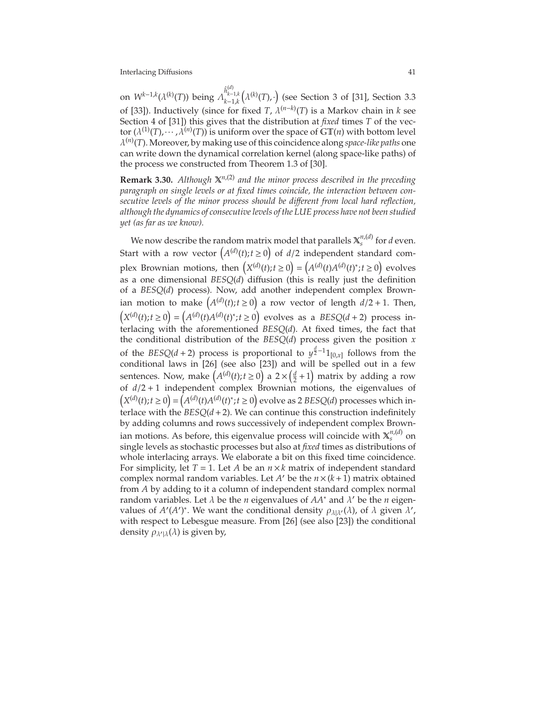on  $W^{k-1,k}(\lambda^{(k)}(T))$  being  $\Lambda_{k-1,k}^{\hat{h}^{(d)}_{k-1,k}}$  $\left(\lambda^{(k)}(T),\cdot\right)$  (see Section 3 of [\[31\]](#page-75-1), Section 3.3 of [\[33\]](#page-75-2)). Inductively (since for fixed *T*,  $\lambda^{(n-k)}$ (*T*) is a Markov chain in *k* see Section 4 of [\[31\]](#page-75-1)) this gives that the distribution at *fixed* times *T* of the vector  $(\lambda^{(1)}(T), \cdots, \lambda^{(n)}(T))$  is uniform over the space of  $GT(n)$  with bottom level λ (*n*) (*T*). Moreover, by making use of this coincidence along *space-like paths* one can write down the dynamical correlation kernel (along space-like paths) of the process we constructed from Theorem 1.3 of [\[30\]](#page-75-3).

**Remark 3.30.** *Although* X*n*,(2) *and the minor process described in the preceding paragraph on single levels or at fixed times coincide, the interaction between consecutive levels of the minor process should be di*ff*erent from local hard reflection, although the dynamics of consecutive levels of the LUE process have not been studied yet (as far as we know).*

We now describe the random matrix model that parallels  $\mathbb{X}_s^{n,(d)}$  for  $d$  even. Start with a row vector  $(A^{(d)}(t); t \ge 0)$  of  $d/2$  independent standard complex Brownian motions, then  $(X^{(d)}(t); t \ge 0) = (A^{(d)}(t)A^{(d)}(t)^*; t \ge 0)$  evolves as a one dimensional *BESQ*(*d*) diffusion (this is really just the definition of a *BESQ*(*d*) process). Now, add another independent complex Brownian motion to make  $(A^{(d)}(t); t \ge 0)$  a row vector of length  $d/2 + 1$ . Then,  $(X^{(d)}(t); t \ge 0) = (A^{(d)}(t)A^{(d)}(t)^{*}; t \ge 0)$  evolves as a *BESQ*(*d* + 2) process interlacing with the aforementioned *BESQ*(*d*). At fixed times, the fact that the conditional distribution of the *BESQ*(*d*) process given the position *x* of the  $BESQ(d+2)$  process is proportional to  $y^{\frac{d}{2}-1}1_{[0,x]}$  follows from the conditional laws in [\[26\]](#page-75-4) (see also [\[23\]](#page-74-3)) and will be spelled out in a few sentences. Now, make  $(A^{(d)}(t); t \ge 0)$  a  $2 \times (\frac{d}{2} + 1)$  matrix by adding a row of *d*/2 + 1 independent complex Brownian motions, the eigenvalues of  $(X^{(d)}(t); t \ge 0) = (A^{(d)}(t)A^{(d)}(t)^{*}; t \ge 0)$  evolve as 2 *BESQ*(*d*) processes which interlace with the  $BESQ(d+2)$ . We can continue this construction indefinitely by adding columns and rows successively of independent complex Brownian motions. As before, this eigenvalue process will coincide with  $\mathbb{X}_s^{n,(d)}$  on single levels as stochastic processes but also at *fixed* times as distributions of whole interlacing arrays. We elaborate a bit on this fixed time coincidence. For simplicity, let *T* = 1. Let *A* be an *n*×*k* matrix of independent standard complex normal random variables. Let *A*<sup> $\prime$ </sup> be the *n*  $\times$  (*k* + 1) matrix obtained from *A* by adding to it a column of independent standard complex normal random variables. Let λ be the *n* eigenvalues of *AA*∗ and λ ′ be the *n* eigenvalues of  $A'(A')^*$ . We want the conditional density  $\rho_{\lambda|\lambda'}(\lambda)$ , of  $\lambda$  given  $\lambda'$ , with respect to Lebesgue measure. From [\[26\]](#page-75-4) (see also [\[23\]](#page-74-3)) the conditional density  $\rho_{\lambda'|\lambda}(\lambda)$  is given by,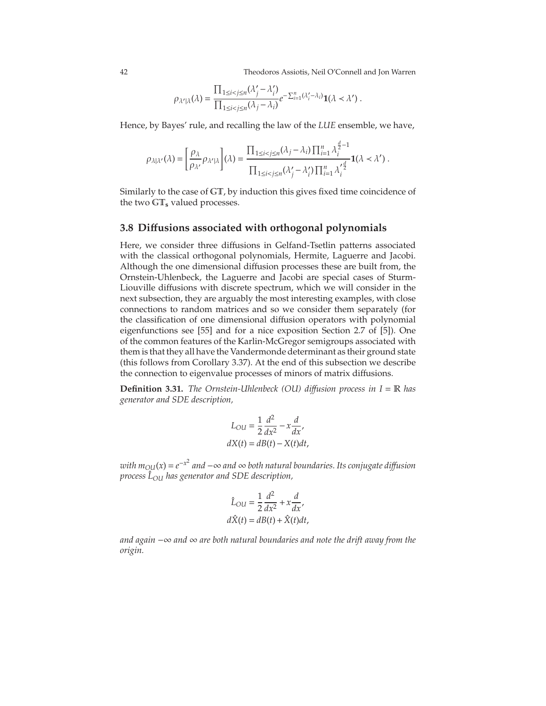42 Theodoros Assiotis, Neil O'Connell and Jon Warren

$$
\rho_{\lambda'|\lambda}(\lambda) = \frac{\prod_{1 \le i < j \le n} (\lambda'_j - \lambda'_i)}{\prod_{1 \le i < j \le n} (\lambda_j - \lambda_i)} e^{-\sum_{i=1}^n (\lambda'_i - \lambda_i)} \mathbf{1}(\lambda < \lambda') \; .
$$

Hence, by Bayes' rule, and recalling the law of the *LUE* ensemble, we have,

$$
\rho_{\lambda|\lambda'}(\lambda) = \left[\frac{\rho_{\lambda}}{\rho_{\lambda'}}\rho_{\lambda'|\lambda}\right](\lambda) = \frac{\prod_{1 \leq i < j \leq n}(\lambda_j - \lambda_i) \prod_{i=1}^n \lambda_i^{\frac{d}{2}-1}}{\prod_{1 \leq i < j \leq n}(\lambda'_j - \lambda'_i) \prod_{i=1}^n \lambda_i'^{\frac{d}{2}}}\mathbf{1}(\lambda < \lambda').
$$

Similarly to the case of GT, by induction this gives fixed time coincidence of the two GT**<sup>s</sup>** valued processes.

#### **3.8 Di**ff**usions associated with orthogonal polynomials**

Here, we consider three diffusions in Gelfand-Tsetlin patterns associated with the classical orthogonal polynomials, Hermite, Laguerre and Jacobi. Although the one dimensional diffusion processes these are built from, the Ornstein-Uhlenbeck, the Laguerre and Jacobi are special cases of Sturm-Liouville diffusions with discrete spectrum, which we will consider in the next subsection, they are arguably the most interesting examples, with close connections to random matrices and so we consider them separately (for the classification of one dimensional diffusion operators with polynomial eigenfunctions see [\[55\]](#page-76-0) and for a nice exposition Section 2.7 of [\[5\]](#page-74-4)). One of the common features of the Karlin-McGregor semigroups associated with them is that they all have the Vandermonde determinant as their ground state (this follows from Corollary [3.37\)](#page-48-0). At the end of this subsection we describe the connection to eigenvalue processes of minors of matrix diffusions.

**Definition 3.31.** *The Ornstein-Uhlenbeck (OU) di*ff*usion process in I* = R *has generator and SDE description,*

$$
L_{OU} = \frac{1}{2} \frac{d^2}{dx^2} - x \frac{d}{dx'},
$$
  

$$
dX(t) = dB(t) - X(t)dt,
$$

*with mOU*(*x*) = *e* −*x* 2 *and* −∞ *and* ∞ *both natural boundaries. Its conjugate di*ff*usion process L*ˆ *OU has generator and SDE description,*

$$
\hat{L}_{OU} = \frac{1}{2} \frac{d^2}{dx^2} + x \frac{d}{dx'},
$$

$$
d\hat{X}(t) = dB(t) + \hat{X}(t)dt,
$$

*and again* −∞ *and* ∞ *are both natural boundaries and note the drift away from the origin.*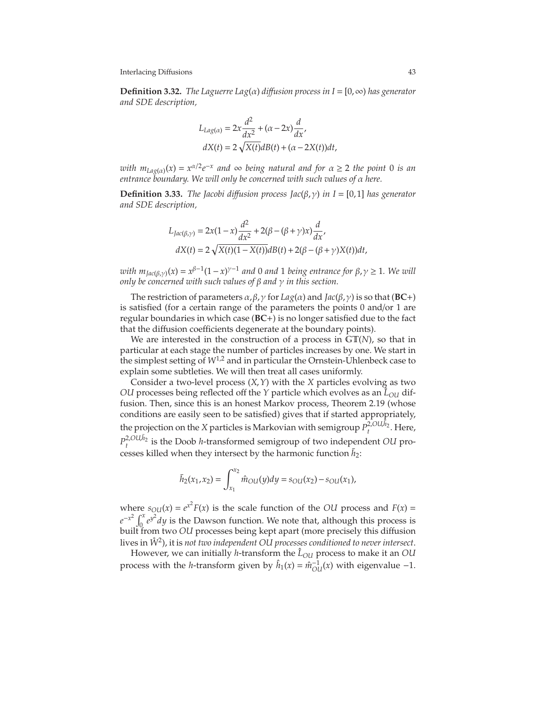**Definition 3.32.** *The Laguerre Lag*(α) *di*ff*usion process in I* = [0,∞) *has generator and SDE description,*

$$
L_{Lag(\alpha)} = 2x \frac{d^2}{dx^2} + (\alpha - 2x) \frac{d}{dx},
$$
  
\n
$$
dX(t) = 2\sqrt{X(t)}dB(t) + (\alpha - 2X(t))dt,
$$

*with*  $m_{Lag(\alpha)}(x) = x^{\alpha/2}e^{-x}$  and  $\infty$  being natural and for  $\alpha \geq 2$  the point 0 is an *entrance boundary. We will only be concerned with such values of* α *here.*

**Definition 3.33.** *The Jacobi diffusion process*  $Jac(\beta, \gamma)$  *in I* = [0,1] *has generator and SDE description,*

$$
L_{Jac(\beta,\gamma)} = 2x(1-x)\frac{d^2}{dx^2} + 2(\beta - (\beta + \gamma)x)\frac{d}{dx'},
$$
  

$$
dX(t) = 2\sqrt{X(t)(1 - X(t))}dB(t) + 2(\beta - (\beta + \gamma)X(t))dt,
$$

*with*  $m_{Jac(\beta, \gamma)}(x) = x^{\beta-1}(1-x)^{\gamma-1}$  *and* 0 *and* 1 *being entrance for*  $\beta, \gamma \ge 1$ *. We will only be concerned with such values of* β *and* γ *in this section.*

The restriction of parameters α, β,γ for *Lag*(α) and *Jac*(β,γ) is so that (**BC**+) is satisfied (for a certain range of the parameters the points 0 and/or 1 are regular boundaries in which case (**BC**+) is no longer satisfied due to the fact that the diffusion coefficients degenerate at the boundary points).

We are interested in the construction of a process in GT(*N*), so that in particular at each stage the number of particles increases by one. We start in the simplest setting of *W*1,<sup>2</sup> and in particular the Ornstein-Uhlenbeck case to explain some subtleties. We will then treat all cases uniformly.

Consider a two-level process (*X*,*Y*) with the *X* particles evolving as two *OU* processes being reflected off the *Y* particle which evolves as an  $\hat{L}_{OU}$  diffusion. Then, since this is an honest Markov process, Theorem [2.19](#page-21-0) (whose conditions are easily seen to be satisfied) gives that if started appropriately, the projection on the *X* particles is Markovian with semigroup  $P_t^{2,OU,\bar{h}_2}$ . Here,  $P_t^{2,OU,I_2}$  is the Doob *h*-transformed semigroup of two independent *OU* processes killed when they intersect by the harmonic function  $\bar{h}_2$ :

$$
\bar{h}_2(x_1, x_2) = \int_{x_1}^{x_2} \hat{m}_{OU}(y) dy = s_{OU}(x_2) - s_{OU}(x_1),
$$

where  $s_{OU}(x) = e^{x^2} F(x)$  is the scale function of the *OU* process and  $F(x) =$  $e^{-x^2} \int_0^x e^{y^2} dy$  is the Dawson function. We note that, although this process is built from two *OU* processes being kept apart (more precisely this diffusion lives in *W*˚ <sup>2</sup> ), it is *not two independent OU processes conditioned to never intersect*.

However, we can initially *h*-transform the  $\hat{L}_{OU}$  process to make it an OU process with the *h*-transform given by  $\hat{h}_1(x) = \hat{m}_{OU}^{-1}(x)$  with eigenvalue  $-1$ .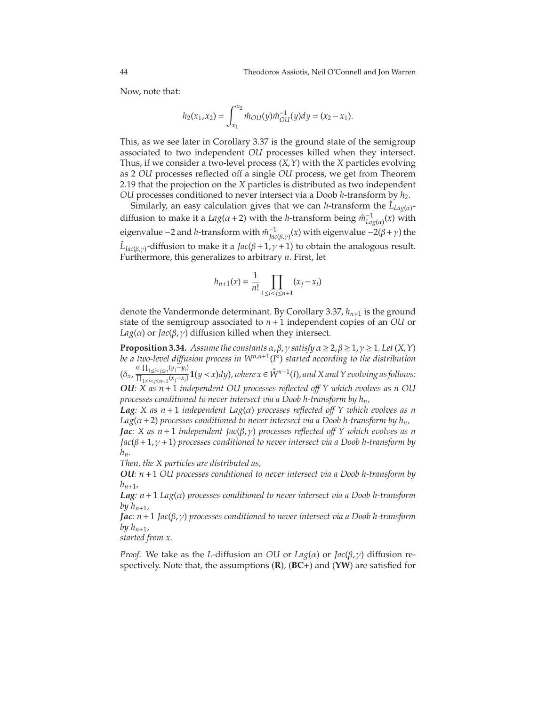Now, note that:

$$
h_2(x_1, x_2) = \int_{x_1}^{x_2} \hat{m}_{OU}(y)\hat{m}_{OU}^{-1}(y)dy = (x_2 - x_1).
$$

This, as we see later in Corollary [3.37](#page-48-0) is the ground state of the semigroup associated to two independent *OU* processes killed when they intersect. Thus, if we consider a two-level process (*X*,*Y*) with the *X* particles evolving as 2 *OU* processes reflected off a single *OU* process, we get from Theorem [2.19](#page-21-0) that the projection on the *X* particles is distributed as two independent *OU* processes conditioned to never intersect via a Doob *h*-transform by *h*2.

Similarly, an easy calculation gives that we can *h*-transform the  $\hat{L}_{Lag(\alpha)}$ diffusion to make it a  $Lag(\alpha + 2)$  with the *h*-transform being  $\hat{m}_{Lag(\alpha)}^{-1}(x)$  with eigenvalue −2 and *h-*transform with  $\hat{m}_{Jac(\beta,γ)}^{-1}(x)$  with eigenvalue −2(β+γ) the  $\hat{L}_{Jac(\beta,\gamma)}$ -diffusion to make it a *Jac*(β + 1,  $\gamma$  + 1) to obtain the analogous result. Furthermore, this generalizes to arbitrary *n*. First, let

$$
h_{n+1}(x) = \frac{1}{n!} \prod_{1 \le i < j \le n+1} (x_j - x_i)
$$

denote the Vandermonde determinant. By Corollary [3.37,](#page-48-0) *hn*+<sup>1</sup> is the ground state of the semigroup associated to *n*+1 independent copies of an *OU* or  $Lag(\alpha)$  or  $Jac(\beta, \gamma)$  diffusion killed when they intersect.

**Proposition 3.34.** *Assume the constants*  $\alpha$ ,  $\beta$ ,  $\gamma$  *satisfy*  $\alpha \geq 2$ ,  $\beta \geq 1$ ,  $\gamma \geq 1$ *. Let*  $(X, Y)$ *be a two-level di*ff*usion process in Wn*,*n*+<sup>1</sup> (*I* ◦ ) *started according to the distribution*  $(\delta_x, \frac{n! \prod_{1 \le i < j \le n} (y_j - y_i)}{\prod_{1 \le i \le j \le n} (x_i - x_i)}$  $\frac{d^{n+1}1 \leq i < j \leq n^{(y)} \ y_{ij}}{\prod_{1 \leq i < j \leq n+1} (x_{j}-x_{i})}$  **1**(*y* < *x*)*dy*)*, where x* ∈  $\mathring{W}^{n+1}(I)$ *, and X and Y evolving as follows: OU: X as n*+1 *independent OU processes reflected o*ff *Y which evolves as n OU*

*processes conditioned to never intersect via a Doob h-transform by hn,*

*Lag: X as n* + 1 *independent Lag*(α) *processes reflected o*ff *Y which evolves as n*  $Lag(\alpha + 2)$  processes conditioned to never intersect via a Doob h-transform by  $h_n$ ,

*Jac: X as n*+1 *independent Jac*(β,γ) *processes reflected o*ff *Y which evolves as n Jac*(β+1,γ+1) *processes conditioned to never intersect via a Doob h-transform by hn.*

*Then, the X particles are distributed as,*

*OU: n*+1 *OU processes conditioned to never intersect via a Doob h-transform by*  $h_{n+1}$ 

*Lag: n*+1 *Lag*(α) *processes conditioned to never intersect via a Doob h-transform by*  $h_{n+1}$ ,

*Jac: n*+1 *Jac*(β,γ) *processes conditioned to never intersect via a Doob h-transform by*  $h_{n+1}$ *,* 

*started from x.*

*Proof.* We take as the *L*-diffusion an *OU* or  $Lag(\alpha)$  or  $Jac(\beta, \gamma)$  diffusion respectively. Note that, the assumptions (**R**), (**BC**+) and (**YW**) are satisfied for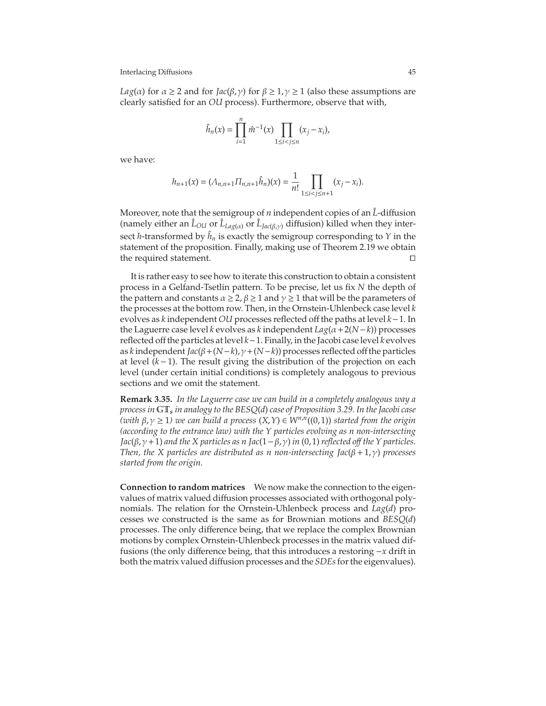*Lag*( $\alpha$ ) for  $\alpha \ge 2$  and for *Jac*( $\beta$ , $\gamma$ ) for  $\beta \ge 1$ ,  $\gamma \ge 1$  (also these assumptions are clearly satisfied for an *OU* process). Furthermore, observe that with,

$$
\hat{h}_n(x) = \prod_{i=1}^n \hat{m}^{-1}(x) \prod_{1 \le i < j \le n} (x_j - x_i),
$$

we have:

$$
h_{n+1}(x) = (\Lambda_{n,n+1} \Pi_{n,n+1} \hat{h}_n)(x) = \frac{1}{n!} \prod_{1 \le i < j \le n+1} (x_j - x_i).
$$

Moreover, note that the semigroup of *n* independent copies of an  $\hat{L}$ -diffusion (namely either an  $\hat{L}_{OL}$  or  $\hat{L}_{Lag(\alpha)}$  or  $\hat{L}_{Jac(\beta,\gamma)}$  diffusion) killed when they intersect *h*-transformed by  $\hat{h}_n$  is exactly the semigroup corresponding to *Y* in the statement of the proposition. Finally, making use of Theorem [2.19](#page-21-0) we obtain the required statement.

It is rather easy to see how to iterate this construction to obtain a consistent process in a Gelfand-Tsetlin pattern. To be precise, let us fix *N* the depth of the pattern and constants  $\alpha \geq 2$ ,  $\beta \geq 1$  and  $\gamma \geq 1$  that will be the parameters of the processes at the bottom row. Then, in the Ornstein-Uhlenbeck case level *k* evolves as *k* independent *OU* processes reflected off the paths at level *k*−1. In the Laguerre case level *k* evolves as *k* independent *Lag*(α+2(*N*−*k*)) processes reflected off the particles at level *k*−1. Finally, in the Jacobi case level *k* evolves as *k* independent *Jac*(β+(*N*−*k*),γ+(*N*−*k*)) processes reflected off the particles at level (*k* −1). The result giving the distribution of the projection on each level (under certain initial conditions) is completely analogous to previous sections and we omit the statement.

**Remark 3.35.** *In the Laguerre case we can build in a completely analogous way a process in* GT*<sup>s</sup> in analogy to the BESQ*(*d*) *case of Proposition [3.29.](#page-40-0) In the Jacobi case (with* β,γ <sup>≥</sup> <sup>1</sup>*) we can build a process* (*X*,*Y*) <sup>∈</sup> *<sup>W</sup>n*,*<sup>n</sup>* ((0,1)) *started from the origin (according to the entrance law) with the Y particles evolving as n non-intersecting*  $Jac(β, γ+1)$  *and the X particles as n*  $Jac(1-β, γ)$  *in* (0,1) *reflected off the Y particles. Then, the X particles are distributed as n non-intersecting*  $Jac(\beta + 1, \gamma)$  *processes started from the origin.*

**Connection to random matrices** We now make the connection to the eigenvalues of matrix valued diffusion processes associated with orthogonal polynomials. The relation for the Ornstein-Uhlenbeck process and *Lag*(*d*) processes we constructed is the same as for Brownian motions and *BESQ*(*d*) processes. The only difference being, that we replace the complex Brownian motions by complex Ornstein-Uhlenbeck processes in the matrix valued diffusions (the only difference being, that this introduces a restoring −*x* drift in both the matrix valued diffusion processes and the *SDEs*for the eigenvalues).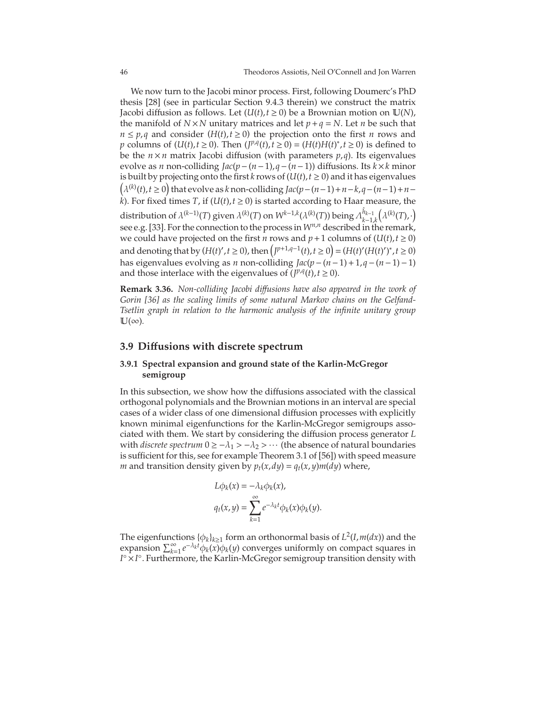We now turn to the Jacobi minor process. First, following Doumerc's PhD thesis [\[28\]](#page-75-5) (see in particular Section 9.4.3 therein) we construct the matrix Jacobi diffusion as follows. Let  $(U(t), t \ge 0)$  be a Brownian motion on  $U(N)$ , the manifold of  $N \times N$  unitary matrices and let  $p + q = N$ . Let *n* be such that  $n \leq p$ ,*q* and consider (*H*(*t*),*t*  $\geq$  0) the projection onto the first *n* rows and *p* columns of (*U*(*t*),*t* ≥ 0). Then (*J*<sup>*p*,*q*</sup>(*t*),*t* ≥ 0) = (*H*(*t*)*H*(*t*)<sup>\*</sup>,*t* ≥ 0) is defined to be the  $n \times n$  matrix Jacobi diffusion (with parameters  $p, q$ ). Its eigenvalues evolve as *n* non-colliding *Jac*(*p*−(*n*−1),*q*−(*n*−1)) diffusions. Its *k*×*k* minor is built by projecting onto the first *k* rows of  $(U(t), t \ge 0)$  and it has eigenvalues  $(\lambda^{(k)}(t), t \ge 0)$  that evolve as *k* non-colliding *Jac*( $p-(n-1)+n-k$ ,  $q-(n-1)+n$ *k*). For fixed times *T*, if  $(U(t), t \ge 0)$  is started according to Haar measure, the distribution of  $\lambda^{(k-1)}(T)$  given  $\lambda^{(k)}(T)$  on  $W^{k-1,k}(\lambda^{(k)}(T))$  being  $\Lambda_{k-1}^{\hat{h}_{k-1}}$ *k*−1,*k*  $(\lambda^{(k)}(T),\cdot)$ see e.g. [\[33\]](#page-75-2). For the connection to the process in  $W^{n,n}$  described in the remark, we could have projected on the first *n* rows and  $p + 1$  columns of ( $U(t)$ ,  $t \ge 0$ ) and denoting that by  $(H(t)', t \ge 0)$ , then  $\left(\frac{J^{p+1}, q^{-1}(t)}{t} \ge 0\right) = (H(t)'(H(t)')^*, t \ge 0)$ has eigenvalues evolving as *n* non-colliding *Jac*(*p*−(*n*−1)+1,*q*−(*n*−1)−1) and those interlace with the eigenvalues of  $(J^{p,q}(t), t \ge 0)$ .

**Remark 3.36.** *Non-colliding Jacobi di*ff*usions have also appeared in the work of Gorin [\[36\]](#page-75-6) as the scaling limits of some natural Markov chains on the Gelfand-Tsetlin graph in relation to the harmonic analysis of the infinite unitary group*  $\mathbb{U}(\infty)$ .

#### **3.9 Di**ff**usions with discrete spectrum**

#### **3.9.1 Spectral expansion and ground state of the Karlin-McGregor semigroup**

In this subsection, we show how the diffusions associated with the classical orthogonal polynomials and the Brownian motions in an interval are special cases of a wider class of one dimensional diffusion processes with explicitly known minimal eigenfunctions for the Karlin-McGregor semigroups associated with them. We start by considering the diffusion process generator *L* with *discrete spectrum*  $0 \ge -\lambda_1 > -\lambda_2 > \cdots$  (the absence of natural boundaries is sufficient for this, see for example Theorem 3.1 of [\[56\]](#page-76-1)) with speed measure *m* and transition density given by  $p_t(x, dy) = q_t(x, y) m(dy)$  where,

$$
L\phi_k(x) = -\lambda_k \phi_k(x),
$$
  

$$
q_t(x, y) = \sum_{k=1}^{\infty} e^{-\lambda_k t} \phi_k(x) \phi_k(y).
$$

The eigenfunctions  $\{\phi_k\}_{k\geq 1}$  form an orthonormal basis of  $L^2(I,m(dx))$  and the expansion  $\sum_{k=1}^{\infty} e^{-\lambda_k t} \phi_k(x) \phi_k(y)$  converges uniformly on compact squares in *I*°×*I*°. Furthermore, the Karlin-McGregor semigroup transition density with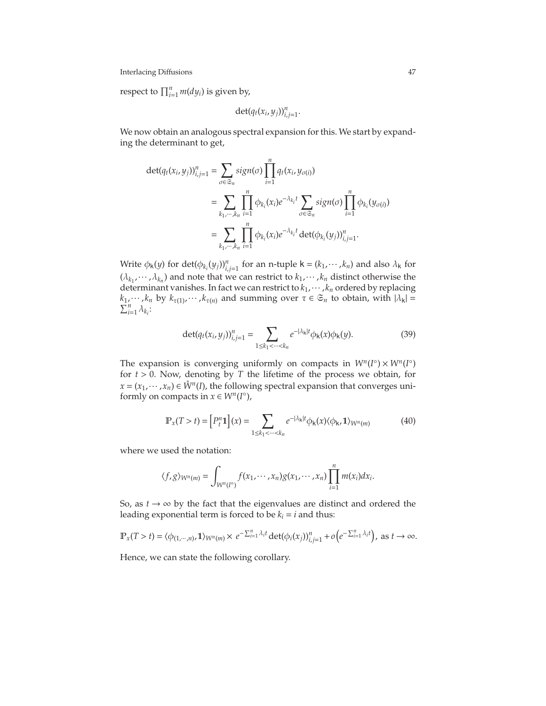respect to  $\prod_{i=1}^{n} m(dy_i)$  is given by,

$$
\det(q_t(x_i,y_j))_{i,j=1}^n.
$$

We now obtain an analogous spectral expansion for this. We start by expanding the determinant to get,

$$
\begin{split} \det(q_t(x_i, y_j))_{i,j=1}^n &= \sum_{\sigma \in \mathfrak{S}_n} sign(\sigma) \prod_{i=1}^n q_t(x_i, y_{\sigma(i)}) \\ &= \sum_{k_1, \dots, k_n} \prod_{i=1}^n \phi_{k_i}(x_i) e^{-\lambda_{k_i} t} \sum_{\sigma \in \mathfrak{S}_n} sign(\sigma) \prod_{i=1}^n \phi_{k_i}(y_{\sigma(i)}) \\ &= \sum_{k_1, \dots, k_n} \prod_{i=1}^n \phi_{k_i}(x_i) e^{-\lambda_{k_i} t} \det(\phi_{k_i}(y_j))_{i,j=1}^n. \end{split}
$$

Write  $\phi_k(y)$  for  $\det(\phi_{k_i}(y_j))_{i,j=1}^n$  for an n-tuple  $k = (k_1, \dots, k_n)$  and also  $\lambda_k$  for  $(\lambda_{k_1}, \dots, \lambda_{k_n})$  and note that we can restrict to  $k_1, \dots, k_n$  distinct otherwise the determinant vanishes. In fact we can restrict to *k*1,··· , *k<sup>n</sup>* ordered by replacing  $k_1, \dots, k_n$  by  $k_{\tau(1)}, \dots, k_{\tau(n)}$  and summing over  $\tau \in \mathfrak{S}_n$  to obtain, with  $|\lambda_{\mathsf{k}}| = \sum_{i=1}^n \lambda_{k_i}$ :

$$
\det(q_t(x_i, y_j))_{i,j=1}^n = \sum_{1 \le k_1 < \dots < k_n} e^{-|\lambda_k| t} \phi_k(x) \phi_k(y). \tag{39}
$$

The expansion is converging uniformly on compacts in  $W^n(I^{\circ}) \times W^n(I^{\circ})$ for  $t > 0$ . Now, denoting by *T* the lifetime of the process we obtain, for  $x = (x_1, \dots, x_n) \in \mathring{W}^n(I)$ , the following spectral expansion that converges uniformly on compacts in  $x \in W^n(I^{\circ})$ ,

$$
\mathbb{P}_{x}(T>t) = \left[P_{t}^{n}\mathbf{1}\right](x) = \sum_{1 \leq k_{1} < \cdots < k_{n}} e^{-|\lambda_{k}|t} \phi_{k}(x) \langle \phi_{k}, \mathbf{1} \rangle_{W^{n}(m)}
$$
(40)

where we used the notation:

$$
\langle f,g\rangle_{W^n(m)}=\int_{W^n(I^{\circ})}f(x_1,\cdots,x_n)g(x_1,\cdots,x_n)\prod_{i=1}^n m(x_i)dx_i.
$$

So, as  $t \rightarrow \infty$  by the fact that the eigenvalues are distinct and ordered the leading exponential term is forced to be  $k_i = i$  and thus:

$$
\mathbb{P}_x(T>t) = \langle \phi_{(1,\cdots,n)}, \mathbf{1} \rangle_{W^n(m)} \times e^{-\sum_{i=1}^n \lambda_i t} \det(\phi_i(x_j))_{i,j=1}^n + o\left(e^{-\sum_{i=1}^n \lambda_i t}\right), \text{ as } t \to \infty.
$$

Hence, we can state the following corollary.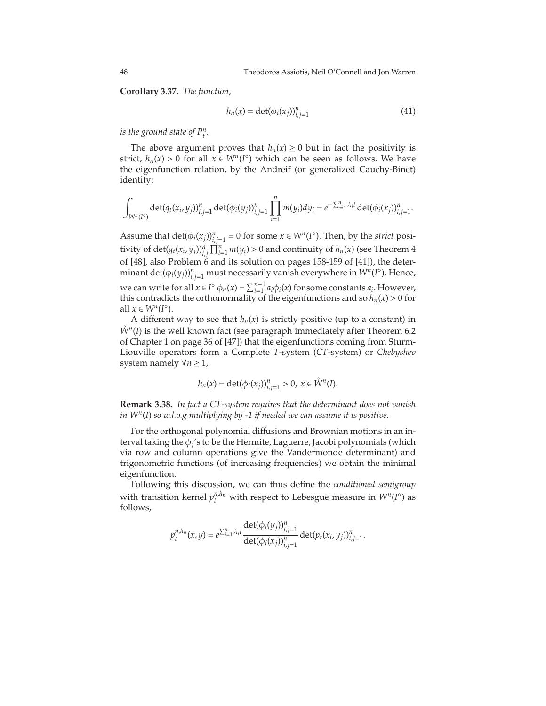<span id="page-48-0"></span>**Corollary 3.37.** *The function,*

<span id="page-48-1"></span>
$$
h_n(x) = \det(\phi_i(x_j))_{i,j=1}^n
$$
 (41)

*is the ground state of*  $P_t^n$ .

The above argument proves that  $h_n(x) \geq 0$  but in fact the positivity is strict,  $h_n(x) > 0$  for all  $x \in W^n(I^{\circ})$  which can be seen as follows. We have the eigenfunction relation, by the Andreif (or generalized Cauchy-Binet) identity:

$$
\int_{W^n(I^c)} \det(q_t(x_i,y_j))_{i,j=1}^n \det(\phi_i(y_j))_{i,j=1}^n \prod_{i=1}^n m(y_i) dy_i = e^{-\sum_{i=1}^n \lambda_i t} \det(\phi_i(x_j))_{i,j=1}^n.
$$

Assume that  $\det(\phi_i(x_j))_{i,j=1}^n = 0$  for some  $x \in W^n(I^{\circ})$ . Then, by the *strict* positivity of  $\det(q_t(x_i, y_j))_{i,j}^n \prod_{i=1}^n m(y_i) > 0$  and continuity of  $h_n(x)$  (see Theorem 4 of [\[48\]](#page-75-7), also Problem 6 and its solution on pages 158-159 of [\[41\]](#page-75-8)), the deter- $\min$  and  $\det(\phi_i(y_j))_{i,j=1}^n$  must necessarily vanish everywhere  $\infty$  *W<sup>n</sup>*(*I*°). Hence, we can write for all  $x \in I^{\circ} \phi_n(x) = \sum_{i=1}^{n-1} a_i \phi_i(x)$  for some constants  $a_i$ . However, this contradicts the orthonormality of the eigenfunctions and so  $h_n(x) > 0$  for all  $x \in W^n(I^\circ)$ .

A different way to see that  $h_n(x)$  is strictly positive (up to a constant) in  $\mathring{W}^n(I)$  is the well known fact (see paragraph immediately after Theorem 6.2 of Chapter 1 on page 36 of [\[47\]](#page-75-9)) that the eigenfunctions coming from Sturm-Liouville operators form a Complete *T*-system (*CT*-system) or *Chebyshev* system namely  $\forall n \geq 1$ ,

$$
h_n(x) = \det(\phi_i(x_j))_{i,j=1}^n > 0, \ x \in \mathring{W}^n(I).
$$

**Remark 3.38.** *In fact a CT-system requires that the determinant does not vanish in W<sup>n</sup>* (*I*) *so w.l.o.g multiplying by -1 if needed we can assume it is positive.*

For the orthogonal polynomial diffusions and Brownian motions in an interval taking the φ*<sup>j</sup>* 's to be the Hermite, Laguerre, Jacobi polynomials (which via row and column operations give the Vandermonde determinant) and trigonometric functions (of increasing frequencies) we obtain the minimal eigenfunction.

Following this discussion, we can thus define the *conditioned semigroup* with transition kernel  $p_t^{n,h_n}$  with respect to Lebesgue measure in  $W^n(I^{\circ})$  as follows,

$$
p_i^{n,h_n}(x,y) = e^{\sum_{i=1}^n \lambda_i t} \frac{\det(\phi_i(y_j))_{i,j=1}^n}{\det(\phi_i(x_j))_{i,j=1}^n} \det(p_t(x_i,y_j))_{i,j=1}^n.
$$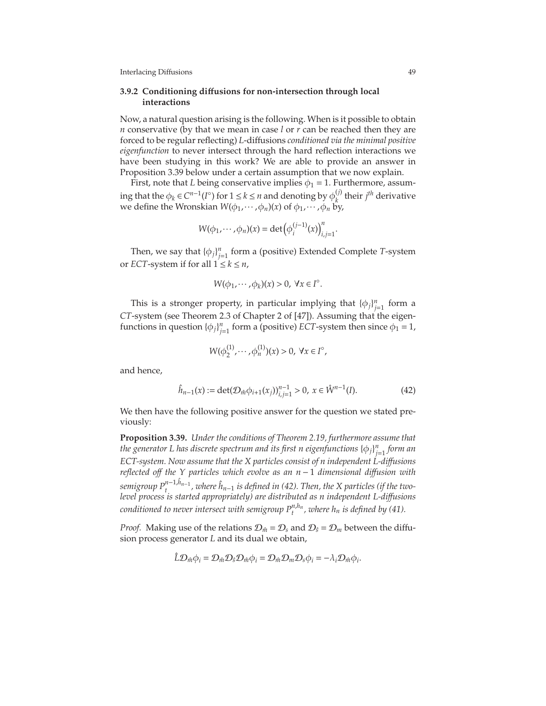#### **3.9.2 Conditioning di**ff**usions for non-intersection through local interactions**

Now, a natural question arising is the following. When is it possible to obtain *n* conservative (by that we mean in case *l* or *r* can be reached then they are forced to be regular reflecting) *L*-diffusions *conditioned via the minimal positive eigenfunction* to never intersect through the hard reflection interactions we have been studying in this work? We are able to provide an answer in Proposition [3.39](#page-49-0) below under a certain assumption that we now explain.

First, note that *L* being conservative implies  $\phi_1 = 1$ . Furthermore, assuming that the  $\phi_k \in C^{n-1}(I^{\circ})$  for  $1 \leq k \leq n$  and denoting by  $\phi_k^{(j)}$  $\binom{y}{k}$  their *j<sup>th</sup>* derivative we define the Wronskian  $W(\phi_1, \dots, \phi_n)(x)$  of  $\phi_1, \dots, \phi_n$  by,

$$
W(\phi_1, \cdots, \phi_n)(x) = \det(\phi_i^{(j-1)}(x))_{i,j=1}^n.
$$

Then, we say that  $\{\phi_j\}_{j=1}^n$  form a (positive) Extended Complete *T*-system or *ECT*-system if for all  $1 \leq k \leq n$ ,

$$
W(\phi_1,\cdots,\phi_k)(x)>0,\ \forall x\in I^\circ.
$$

This is a stronger property, in particular implying that  ${\phi_j}_{j=1}^n$  form a *CT*-system (see Theorem 2.3 of Chapter 2 of [\[47\]](#page-75-9)). Assuming that the eigenfunctions in question  $\{\phi_j\}_{j=1}^n$  form a (positive) *ECT*-system then since  $\phi_1 = 1$ ,

<span id="page-49-1"></span>
$$
W(\phi_2^{(1)},\cdots,\phi_n^{(1)})(x) > 0, \ \forall x \in I^{\circ},
$$

and hence,

$$
\hat{h}_{n-1}(x) := \det(\mathcal{D}_{\hat{m}}\phi_{i+1}(x_i))_{i,j=1}^{n-1} > 0, \ x \in \mathring{W}^{n-1}(I). \tag{42}
$$

We then have the following positive answer for the question we stated previously:

<span id="page-49-0"></span>**Proposition 3.39.** *Under the conditions of Theorem [2.19,](#page-21-0) furthermore assume that* the generator L has discrete spectrum and its first n eigenfunctions  $\left\{\phi_j\right\}_{j=1}^n$  form an *ECT-system. Now assume that the X particles consist of n independent L-di*ff*usions reflected o*ff *the Y particles which evolve as an n* − 1 *dimensional di*ff*usion with*  $s$ *emigroup*  $P_t^{n-1,\hat{h}_{n-1}}$ *, where*  $\hat{h}_{n-1}$  *is defined in [\(42\)](#page-49-1). Then, the X particles (if the twolevel process is started appropriately) are distributed as n independent L-di*ff*usions*  $\epsilon$  *conditioned to never intersect with semigroup*  $P^{n,h_n}_t$ *, where*  $h_n$  *is defined by [\(41\)](#page-48-1).* 

*Proof.* Making use of the relations  $\mathcal{D}_{n\hat{n}} = \mathcal{D}_s$  and  $\mathcal{D}_{\hat{s}} = \mathcal{D}_m$  between the diffusion process generator *L* and its dual we obtain,

$$
\hat{L}\mathcal{D}_{\hat{m}}\phi_i=\mathcal{D}_{\hat{m}}\mathcal{D}_{\hat{s}}\mathcal{D}_{\hat{m}}\phi_i=\mathcal{D}_{\hat{m}}\mathcal{D}_{m}\mathcal{D}_{s}\phi_i=-\lambda_i\mathcal{D}_{\hat{m}}\phi_i.
$$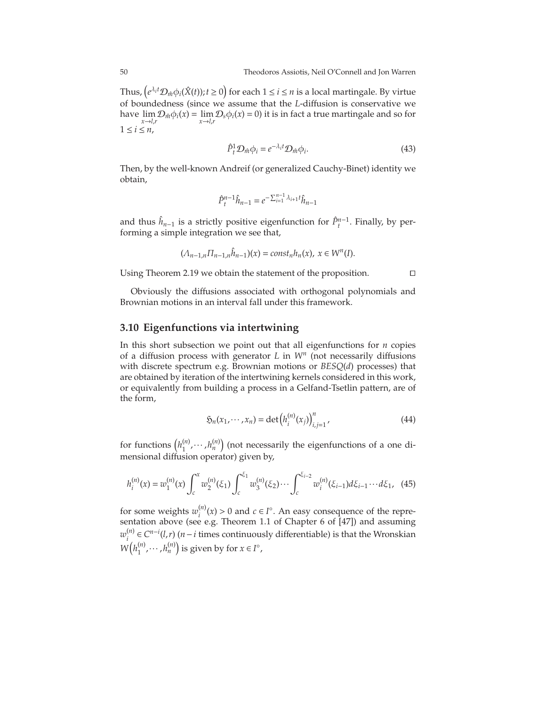Thus,  $(e^{\lambda_i t} \mathcal{D}_{\hat{m}} \phi_i(\hat{X}(t)); t \ge 0)$  for each  $1 \le i \le n$  is a local martingale. By virtue of boundedness (since we assume that the *L*-diffusion is conservative we have  $\lim_{x\to l} \mathcal{D}_{\hat{m}}\phi_i(x) = \lim_{x\to l} \mathcal{D}_s\phi_i(x) = 0$  it is in fact a true martingale and so for *x*→*l*,*r x*→*l*,*r*  $1 \leq i \leq n$ ,

$$
\hat{P}_t^1 \mathcal{D}_{\hat{m}} \phi_i = e^{-\lambda_i t} \mathcal{D}_{\hat{m}} \phi_i.
$$
\n(43)

Then, by the well-known Andreif (or generalized Cauchy-Binet) identity we obtain,

$$
\hat{P}_t^{n-1} \hat{h}_{n-1} = e^{-\sum_{i=1}^{n-1} \lambda_{i+1} t} \hat{h}_{n-1}
$$

and thus  $\hat{h}_{n-1}$  is a strictly positive eigenfunction for  $\hat{P}^{n-1}_{t}$ . Finally, by performing a simple integration we see that,

$$
(\Lambda_{n-1,n}\Pi_{n-1,n}\hat{h}_{n-1})(x)=\text{const}_n h_n(x), x\in W^n(I).
$$

Using Theorem [2.19](#page-21-0) we obtain the statement of the proposition. ⊓⊔

<span id="page-50-1"></span><span id="page-50-0"></span>

Obviously the diffusions associated with orthogonal polynomials and Brownian motions in an interval fall under this framework.

## <span id="page-50-2"></span>**3.10 Eigenfunctions via intertwining**

In this short subsection we point out that all eigenfunctions for *n* copies of a diffusion process with generator *L* in *W<sup>n</sup>* (not necessarily diffusions with discrete spectrum e.g. Brownian motions or *BESQ*(*d*) processes) that are obtained by iteration of the intertwining kernels considered in this work, or equivalently from building a process in a Gelfand-Tsetlin pattern, are of the form,

$$
\mathfrak{H}_n(x_1, \cdots, x_n) = \det \left( h_i^{(n)}(x_j) \right)_{i,j=1}^n,
$$
\n(44)

for functions  $\left(h_1^{(n)}\right)$  $\binom{n}{1}, \cdots, \binom{n}{n}$  (not necessarily the eigenfunctions of a one dimensional diffusion operator) given by,

$$
h_i^{(n)}(x) = w_1^{(n)}(x) \int_c^x w_2^{(n)}(\xi_1) \int_c^{\xi_1} w_3^{(n)}(\xi_2) \cdots \int_c^{\xi_{i-2}} w_i^{(n)}(\xi_{i-1}) d\xi_{i-1} \cdots d\xi_1, \tag{45}
$$

for some weights  $w_i^{(n)}$  $\hat{c}^{(n)}(x) > 0$  and  $c \in I^\circ$ . An easy consequence of the representation above (see e.g. Theorem 1.1 of Chapter 6 of [\[47\]](#page-75-9)) and assuming *w* (*n*)  $e^{(n)}$  ∈  $C^{n-i}(l,r)$  (*n*−*i* times continuously differentiable) is that the Wronskian  $W(h_1^{(n)}$  $\binom{n}{1}$ ,  $\cdots$  ,  $h_n^{(n)}$  is given by for  $x \in I^\circ$ ,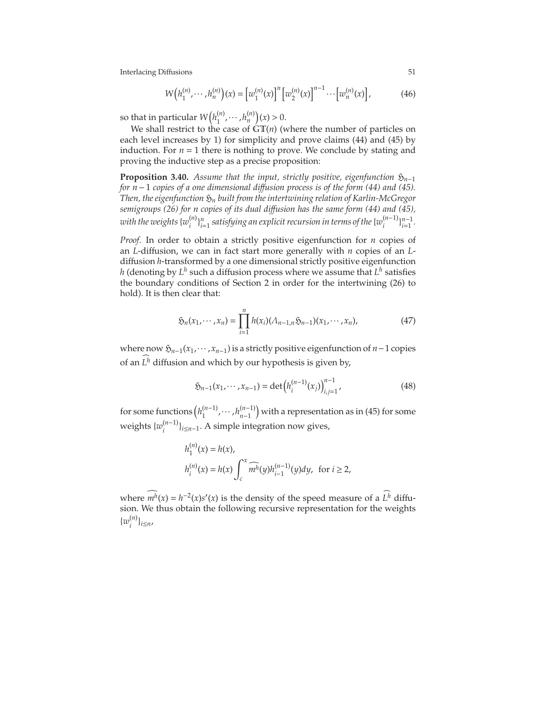$$
W\big(h_1^{(n)}, \cdots, h_n^{(n)}\big)(x) = \big[w_1^{(n)}(x)\big]^n \big[w_2^{(n)}(x)\big]^{n-1} \cdots \big[w_n^{(n)}(x)\big],\tag{46}
$$

so that in particular  $W\left( h_1^{(n)} \right)$  $h_1^{(n)}, \cdots, h_n^{(n)}(x) > 0.$ 

We shall restrict to the case of  $\mathbf{GT}(n)$  (where the number of particles on each level increases by 1) for simplicity and prove claims [\(44\)](#page-50-0) and [\(45\)](#page-50-1) by induction. For  $n = 1$  there is nothing to prove. We conclude by stating and proving the inductive step as a precise proposition:

**Proposition 3.40.** *Assume that the input, strictly positive, eigenfunction*  $\mathfrak{H}_{n-1}$ *for n*−1 *copies of a one dimensional di*ff*usion process is of the form [\(44\)](#page-50-0) and [\(45\)](#page-50-1). Then, the eigenfunction*  $\mathfrak{H}_n$  *built from the intertwining relation of Karlin-McGregor semigroups [\(26\)](#page-19-1) for n copies of its dual di*ff*usion has the same form [\(44\)](#page-50-0) and [\(45\)](#page-50-1),*  $\overline{w}$  with the weights  $\{w_i^{(n)}\}$  $\{a_i^{(n)}\}_{i=1}^n$  satisfying an explicit recursion in terms of the  $\{w_i^{(n-1)}\}_{i=1}^{n-1}$ .

*Proof.* In order to obtain a strictly positive eigenfunction for *n* copies of an *L*-diffusion, we can in fact start more generally with *n* copies of an *L*diffusion *h*-transformed by a one dimensional strictly positive eigenfunction  $h$  (denoting by  $L^h$  such a diffusion process where we assume that  $L^h$  satisfies the boundary conditions of Section 2 in order for the intertwining [\(26\)](#page-19-1) to hold). It is then clear that:

$$
\mathfrak{H}_n(x_1,\cdots,x_n)=\prod_{i=1}^n h(x_i)(\Lambda_{n-1,n}\mathfrak{H}_{n-1})(x_1,\cdots,x_n),\tag{47}
$$

where now H*n*−1(*x*1,··· ,*xn*−1) is a strictly positive eigenfunction of *n*−1 copies of an  $L^h$  diffusion and which by our hypothesis is given by,

$$
\mathfrak{H}_{n-1}(x_1,\cdots,x_{n-1}) = \det \left( h_i^{(n-1)}(x_j) \right)_{i,j=1}^{n-1},\tag{48}
$$

for some functions  $\left(h_1^{(n-1)}, \cdots, h_{n-1}^{(n-1)}\right)$ *n*−1 with a representation as in [\(45\)](#page-50-1) for some weights {*w* (*n*−1) *i* }*i*≤*n*−1. A simple integration now gives,

$$
h_1^{(n)}(x) = h(x),
$$
  
\n
$$
h_i^{(n)}(x) = h(x) \int_c^x \widehat{m'}(y) h_{i-1}^{(n-1)}(y) dy, \text{ for } i \ge 2,
$$

where  $m^h(x) = h^{-2}(x)s'(x)$  is the density of the speed measure of a  $L^h$  diffusion. We thus obtain the following recursive representation for the weights  $\{w_i^{(n)}\}$ *i* }*i*≤*n*,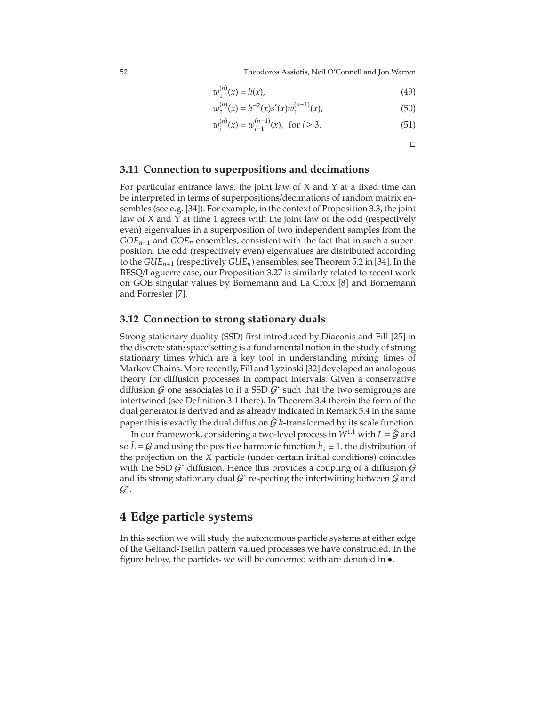52 Theodoros Assiotis, Neil O'Connell and Jon Warren

$$
w_1^{(n)}(x) = h(x),
$$
\n(49)

$$
w_2^{(n)}(x) = h^{-2}(x)s'(x)w_1^{(n-1)}(x),
$$
\n(50)

$$
w_i^{(n)}(x) = w_{i-1}^{(n-1)}(x), \text{ for } i \ge 3.
$$
 (51)

⊓⊔

## **3.11 Connection to superpositions and decimations**

For particular entrance laws, the joint law of  $X$  and  $Y$  at a fixed time can be interpreted in terms of superpositions/decimations of random matrix ensembles (see e.g. [\[34\]](#page-75-10)). For example, in the context of Proposition [3.3,](#page-26-0) the joint law of X and Y at time 1 agrees with the joint law of the odd (respectively even) eigenvalues in a superposition of two independent samples from the  $GOE<sub>n+1</sub>$  and  $GOE<sub>n</sub>$  ensembles, consistent with the fact that in such a superposition, the odd (respectively even) eigenvalues are distributed according to the *GUEn*+<sup>1</sup> (respectively *GUEn*) ensembles, see Theorem 5.2 in [\[34\]](#page-75-10). In the BESQ/Laguerre case, our Proposition [3.27](#page-39-0) is similarly related to recent work on GOE singular values by Bornemann and La Croix [\[8\]](#page-74-5) and Bornemann and Forrester [\[7\]](#page-74-6).

#### **3.12 Connection to strong stationary duals**

Strong stationary duality (SSD) first introduced by Diaconis and Fill [\[25\]](#page-75-11) in the discrete state space setting is a fundamental notion in the study of strong stationary times which are a key tool in understanding mixing times of Markov Chains. More recently, Fill and Lyzinski [\[32\]](#page-75-12) developed an analogous theory for diffusion processes in compact intervals. Given a conservative diffusion  $G$  one associates to it a SSD  $G^*$  such that the two semigroups are intertwined (see Definition 3.1 there). In Theorem 3.4 therein the form of the dual generator is derived and as already indicated in Remark 5.4 in the same paper this is exactly the dual diffusion  $\hat{G}$  *h*-transformed by its scale function.

In our framework, considering a two-level process in  $W^{1,1}$  with  $L = \hat{G}$  and so  $\hat{L} = G$  and using the positive harmonic function  $\hat{h}_1 \equiv 1$ , the distribution of the projection on the *X* particle (under certain initial conditions) coincides with the SSD  $\mathcal{G}^*$  diffusion. Hence this provides a coupling of a diffusion  $\mathcal{G}$ and its strong stationary dual  $\mathcal{G}^*$  respecting the intertwining between  $\mathcal G$  and  $\mathcal{G}^*$ .

## **4 Edge particle systems**

In this section we will study the autonomous particle systems at either edge of the Gelfand-Tsetlin pattern valued processes we have constructed. In the figure below, the particles we will be concerned with are denoted in •.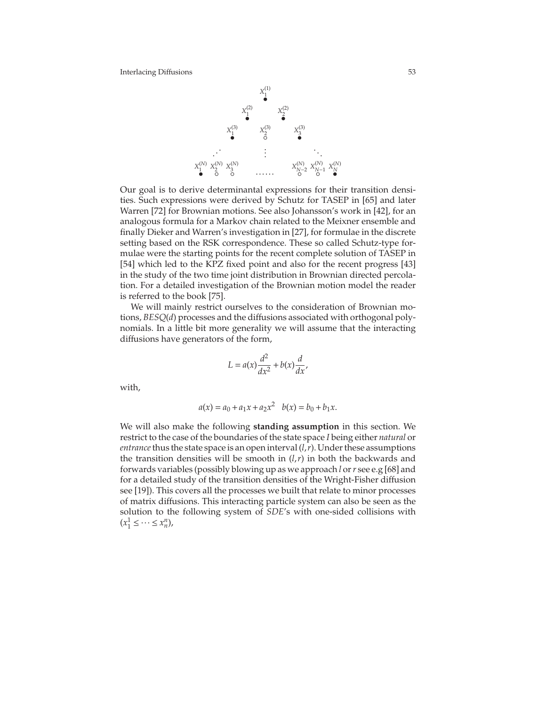

Our goal is to derive determinantal expressions for their transition densities. Such expressions were derived by Schutz for TASEP in [\[65\]](#page-76-2) and later Warren [\[72\]](#page-76-3) for Brownian motions. See also Johansson's work in [\[42\]](#page-75-13), for an analogous formula for a Markov chain related to the Meixner ensemble and finally Dieker and Warren's investigation in [\[27\]](#page-75-14), for formulae in the discrete setting based on the RSK correspondence. These so called Schutz-type formulae were the starting points for the recent complete solution of TASEP in [\[54\]](#page-76-4) which led to the KPZ fixed point and also for the recent progress [\[43\]](#page-75-15) in the study of the two time joint distribution in Brownian directed percolation. For a detailed investigation of the Brownian motion model the reader is referred to the book [\[75\]](#page-76-5).

We will mainly restrict ourselves to the consideration of Brownian motions, *BESQ*(*d*) processes and the diffusions associated with orthogonal polynomials. In a little bit more generality we will assume that the interacting diffusions have generators of the form,

$$
L = a(x)\frac{d^2}{dx^2} + b(x)\frac{d}{dx},
$$

with,

$$
a(x) = a_0 + a_1x + a_2x^2 \quad b(x) = b_0 + b_1x.
$$

We will also make the following **standing assumption** in this section. We restrict to the case of the boundaries of the state space *I* being either *natural* or *entrance* thus the state space is an open interval  $(l, r)$ . Under these assumptions the transition densities will be smooth in  $(l, r)$  in both the backwards and forwards variables (possibly blowing up as we approach *l* or*r* see e.g [\[68\]](#page-76-6) and for a detailed study of the transition densities of the Wright-Fisher diffusion see [\[19\]](#page-74-7)). This covers all the processes we built that relate to minor processes of matrix diffusions. This interacting particle system can also be seen as the solution to the following system of *SDE*'s with one-sided collisions with  $(x_1^1 \leq \cdots \leq x_n^n)$ ,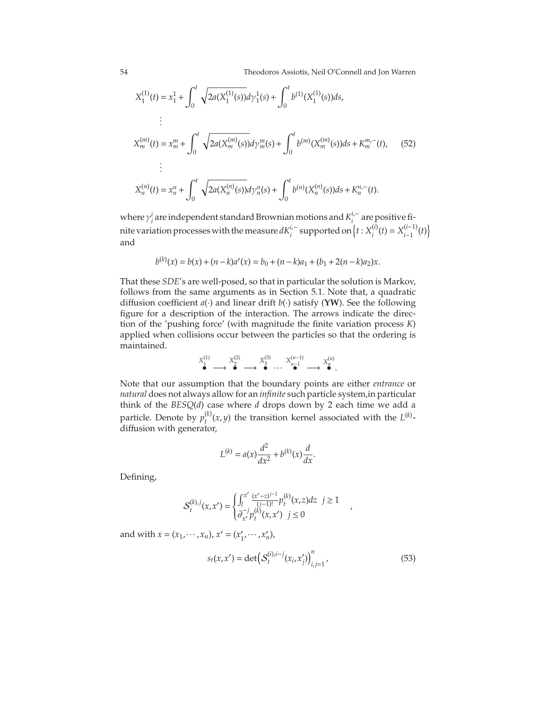54 Theodoros Assiotis, Neil O'Connell and Jon Warren

<span id="page-54-0"></span>
$$
X_1^{(1)}(t) = x_1^1 + \int_0^t \sqrt{2a(X_1^{(1)}(s))} d\gamma_1^1(s) + \int_0^t b^{(1)}(X_1^{(1)}(s)) ds,
$$
  
\n
$$
\vdots
$$
  
\n
$$
X_m^{(m)}(t) = x_m^m + \int_0^t \sqrt{2a(X_m^{(m)}(s))} d\gamma_m^m(s) + \int_0^t b^{(m)}(X_m^{(m)}(s)) ds + K_m^{m,-}(t), \quad (52)
$$
  
\n
$$
\vdots
$$
  
\n
$$
X_n^{(n)}(t) = x_n^n + \int_0^t \sqrt{2a(X_n^{(n)}(s))} d\gamma_n^n(s) + \int_0^t b^{(n)}(X_n^{(n)}(s)) ds + K_n^{n,-}(t).
$$

where  $\gamma_i^i$  are independent standard Brownian motions and  $K_i^{i,-}$  are positive finite variation processes with the measure  $dK_i^{i,-}$  supported on  $\left\{t : X_i^{(i)}\right\}$  $X_{i}^{(i)}(t) = X_{i-1}^{(i-1)}$  $\binom{(i-1)}{i-1}(t)$ and

$$
b^{(k)}(x) = b(x) + (n - k)a'(x) = b_0 + (n - k)a_1 + (b_1 + 2(n - k)a_2)x.
$$

That these *SDE*'s are well-posed, so that in particular the solution is Markov, follows from the same arguments as in Section [5.1.](#page-58-0) Note that, a quadratic diffusion coefficient *a*(·) and linear drift *b*(·) satisfy (**YW**). See the following figure for a description of the interaction. The arrows indicate the direction of the 'pushing force' (with magnitude the finite variation process *K*) applied when collisions occur between the particles so that the ordering is maintained.

$$
\overset{X_1^{(1)}}{\bullet} \longrightarrow \overset{X_2^{(2)}}{\bullet} \longrightarrow \overset{X_3^{(3)}}{\bullet} \cdots \overset{X_{n-1}^{(n-1)}}{\bullet} \longrightarrow \overset{X_n^{(n)}}{\bullet}.
$$

Note that our assumption that the boundary points are either *entrance* or *natural* does not always allow for an *infinite* such particle system,in particular think of the *BESQ*(*d*) case where *d* drops down by 2 each time we add a particle. Denote by  $p_t^{(k)}$  $t^{(k)}(x, y)$  the transition kernel associated with the  $L^{(k)}$ diffusion with generator,

$$
L^{(k)} = a(x)\frac{d^2}{dx^2} + b^{(k)}(x)\frac{d}{dx}.
$$

Defining,

$$
\mathcal{S}_{t}^{(k),j}(x,x') = \begin{cases} \int_{l}^{x'} \frac{(x'-z)^{j-1}}{(j-1)!} p_{t}^{(k)}(x,z)dz & j \geq 1\\ \partial_{x'}^{-j} p_{t}^{(k)}(x,x') & j \leq 0 \end{cases}
$$

and with  $x = (x_1, \dots, x_n)$ ,  $x' = (x'_1, \dots, x'_n)$ ,

$$
s_t(x, x') = \det \left( S_t^{(i), i-j}(x_i, x'_j) \right)_{i,j=1}^n,
$$
\n(53)

,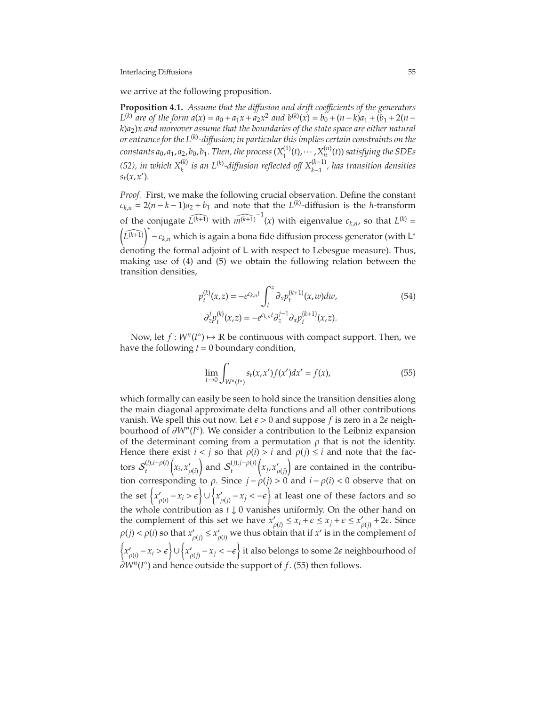we arrive at the following proposition.

<span id="page-55-2"></span>**Proposition 4.1.** *Assume that the di*ff*usion and drift coe*ffi*cients of the generators L*<sup>(*k*)</sup> are of the form  $a(x) = a_0 + a_1x + a_2x^2$  and  $b^{(k)}(x) = b_0 + (n - k)a_1 + (b_1 + 2(n - k))a_2$ *k*)*a*2)*x and moreover assume that the boundaries of the state space are either natural or entrance for the L*(*k*) *-di*ff*usion; in particular this implies certain constraints on the*  $\alpha$  constants  $a_0$  ,  $a_1$  ,  $a_2$  ,  $b_0$  ,  $b_1$  . Then , the process  $(X^{(1)}_1)$  $X_1^{(1)}(t), \cdots, X_n^{(n)}(t)$ ) satisfying the SDEs *[\(52\)](#page-54-0)*, in which  $X_k^{(k)}$  is an L<sup>(k)</sup>-diffusion reflected off  $X_{k-1}^{(k-1)}$ *k*−1 *, has transition densities st*(*x*,*x* ′ )*.*

*Proof.* First, we make the following crucial observation. Define the constant  $c_{k,n} = 2(n-k-1)a_2 + b_1$  and note that the *L*<sup>(*k*)</sup>-diffusion is the *h*-transform of the conjugate  $\widehat{L^{(k+1)}}$  with  $\widehat{m^{(k+1)}}^{-1}(x)$  with eigenvalue  $c_{k,n}$ , so that  $L^{(k)} =$  $\left(\widehat{L^{(k+1)}}\right)^* - c_{k,n}$  which is again a bona fide diffusion process generator (with L\* denoting the formal adjoint of L with respect to Lebesgue measure). Thus, making use of [\(4\)](#page-8-0) and [\(5\)](#page-8-1) we obtain the following relation between the transition densities,

<span id="page-55-1"></span>
$$
p_t^{(k)}(x, z) = -e^{c_{k,n}t} \int_l^z \partial_x p_t^{(k+1)}(x, w) dw,
$$
  
\n
$$
\partial_z^j p_t^{(k)}(x, z) = -e^{c_{k,n}t} \partial_z^{j-1} \partial_x p_t^{(k+1)}(x, z).
$$
\n(54)

Now, let  $f: W^n(I^{\circ}) \mapsto \mathbb{R}$  be continuous with compact support. Then, we have the following  $t = 0$  boundary condition,

<span id="page-55-0"></span>
$$
\lim_{t \to 0} \int_{W^n(I^{\circ})} s_t(x, x') f(x') dx' = f(x),
$$
\n(55)

which formally can easily be seen to hold since the transition densities along the main diagonal approximate delta functions and all other contributions vanish. We spell this out now. Let  $\epsilon > 0$  and suppose f is zero in a  $2\epsilon$  neighbourhood of ∂*W<sup>n</sup>* (*I* ◦ ). We consider a contribution to the Leibniz expansion of the determinant coming from a permutation  $\rho$  that is not the identity. Hence there exist  $i < j$  so that  $\rho(i) > i$  and  $\rho(j) \le i$  and note that the factors  $S_t^{(i),i-\rho(i)}$  $\left(x_i, x'_{\rho(i)}\right)$ and  $S_t^{(j),j-\rho(j)}$  $\left(x_j, x'_{\rho(j)}\right)$ are contained in the contribution corresponding to  $\rho$ . Since  $j - \rho(j) > 0$  and  $i - \rho(i) < 0$  observe that on the set  $\left\{ x'_{\rho(i)} - x_i > \epsilon \right\} \cup$  $\left\{ x'_{\rho(j)} - x_j < -\epsilon \right\}$  at least one of these factors and so the whole contribution as *t* ↓ 0 vanishes uniformly. On the other hand on the complement of this set we have  $x'_{\rho(i)} \le x_i + \epsilon \le x_j + \epsilon \le x'_{\rho(j)} + 2\epsilon$ . Since  $\rho(j) < \rho(i)$  so that  $x'_{\rho(j)} \leq x'_{\rho(i)}$  we thus obtain that if  $x'$  is in the complement of  $\left\{ x'_{\rho(i)} - x_i > \epsilon \right\} \cup$  ${x'_{\rho(j)}} - x_j < −\epsilon}$  it also belongs to some 2 $\epsilon$  neighbourhood of ∂*W<sup>n</sup>*(*I*<sup>°</sup>) and hence outside the support of *f*. [\(55\)](#page-55-0) then follows.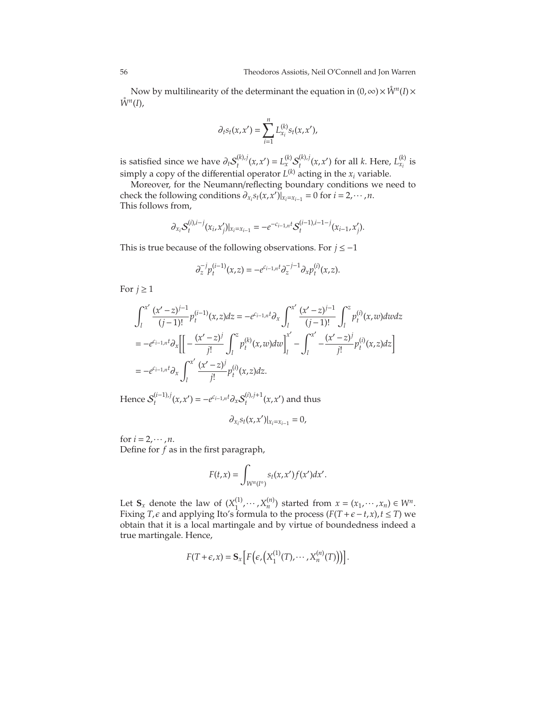Now by multilinearity of the determinant the equation in  $(0, \infty) \times \mathring{W}^n(I) \times$  $\mathring{W}^n(I)$ ,

$$
\partial_t s_t(x, x') = \sum_{i=1}^n L_{x_i}^{(k)} s_t(x, x'),
$$

is satisfied since we have  $\partial_t S_t^{(k),j}$  $L_t^{(k),j}(x, x') = L_x^{(k)} \mathcal{S}_t^{(k),j}$  $\sum_{t}^{(k),j} (x, x')$  for all *k*. Here,  $L_{x_i}^{(k)}$  is simply a copy of the differential operator  $L^{(k)}$  acting in the  $x_i$  variable.

Moreover, for the Neumann/reflecting boundary conditions we need to check the following conditions  $\partial_{x_i} s_t(x, x')|_{x_i = x_{i-1}} = 0$  for  $i = 2, \dots, n$ . This follows from,

$$
\partial_{x_i} S_t^{(i),i-j}(x_i,x'_j)|_{x_i=x_{i-1}} = -e^{-c_{i-1,n}t} S_t^{(i-1),i-1-j}(x_{i-1},x'_j).
$$

This is true because of the following observations. For *j* ≤ −1

$$
\partial_z^{-j} p_t^{(i-1)}(x,z) = -e^{c_{i-1,n}t} \partial_z^{-j-1} \partial_x p_t^{(i)}(x,z).
$$

For  $j \geq 1$ 

$$
\int_{l}^{x'} \frac{(x'-z)^{j-1}}{(j-1)!} p_t^{(i-1)}(x,z) dz = -e^{c_{i-1,n}t} \partial_x \int_{l}^{x'} \frac{(x'-z)^{j-1}}{(j-1)!} \int_{l}^{z} p_t^{(i)}(x,w) dw dz
$$
  
= 
$$
-e^{c_{i-1,n}t} \partial_x \left[ \left[ -\frac{(x'-z)^j}{j!} \int_{l}^{z} p_t^{(k)}(x,w) dw \right]_{l}^{x'} - \int_{l}^{x'} -\frac{(x'-z)^j}{j!} p_t^{(i)}(x,z) dz \right]
$$
  
= 
$$
-e^{c_{i-1,n}t} \partial_x \int_{l}^{x'} \frac{(x'-z)^j}{j!} p_t^{(i)}(x,z) dz.
$$

Hence  $S_t^{(i-1),j}(x, x') = -e^{c_{i-1,n}t} \partial_x S_t^{(i),j+1}$  $\int_t^{(1),f+1}(x,x')$  and thus

$$
\partial_{x_i} s_t(x,x')|_{x_i=x_{i-1}}=0,
$$

for  $i = 2, \dots, n$ . Define for *f* as in the first paragraph,

$$
F(t,x)=\int_{W^n(I^\circ)}s_t(x,x')f(x')dx'.
$$

Let  $S_x$  denote the law of  $(X_1^{(1)})$  $X_1^{(1)}, \dots, X_n^{(n)}$  started from  $x = (x_1, \dots, x_n) \in W^n$ . Fixing *T*, $\epsilon$  and applying Ito's formula to the process ( $F(T + \epsilon - t, x)$ ,  $t \leq T$ ) we obtain that it is a local martingale and by virtue of boundedness indeed a true martingale. Hence,

$$
F(T+\epsilon,x) = \mathbf{S}_x \left[ F \left( \epsilon, \left( X_1^{(1)}(T), \cdots, X_n^{(n)}(T) \right) \right) \right].
$$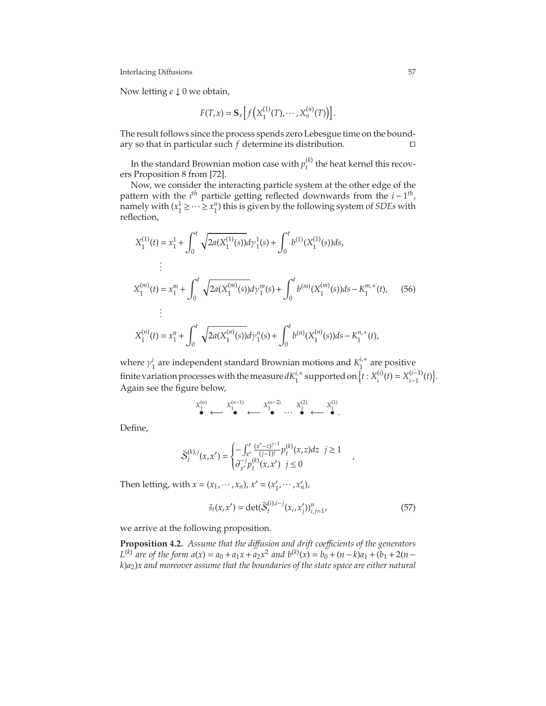Now letting  $\epsilon \downarrow 0$  we obtain,

$$
F(T, x) = \mathbf{S}_x \Big[ f\Big( X_1^{(1)}(T), \cdots, X_n^{(n)}(T) \Big) \Big].
$$

The result follows since the process spends zero Lebesgue time on the boundary so that in particular such *f* determine its distribution. ⊓⊔

In the standard Brownian motion case with  $p_{t}^{(k)}$  $t_t^{(k)}$  the heat kernel this recovers Proposition 8 from [\[72\]](#page-76-3).

Now, we consider the interacting particle system at the other edge of the pattern with the  $i^{th}$  particle getting reflected downwards from the  $i - 1^{th}$ , namely with  $(x_1^1 \geq \cdots \geq x_1^n)$  this is given by the following system of *SDEs* with reflection,

$$
X_1^{(1)}(t) = x_1^1 + \int_0^t \sqrt{2a(X_1^{(1)}(s))} d\gamma_1^1(s) + \int_0^t b^{(1)}(X_1^{(1)}(s)) ds,
$$
  
\n
$$
\vdots
$$
  
\n
$$
X_1^{(m)}(t) = x_1^m + \int_0^t \sqrt{2a(X_1^{(m)}(s))} d\gamma_1^m(s) + \int_0^t b^{(m)}(X_1^{(m)}(s)) ds - K_1^{m,+}(t), \quad (56)
$$
  
\n
$$
\vdots
$$
  
\n
$$
X_1^{(n)}(t) = x_1^n + \int_0^t \sqrt{2a(X_1^{(n)}(s))} d\gamma_1^n(s) + \int_0^t b^{(n)}(X_1^{(n)}(s)) ds - K_1^{n,+}(t),
$$

where  $\gamma_1^i$  are independent standard Brownian motions and  $K_1^{i,+}$  $i_1^{\prime +}$  are positive finite variation processes with the measure  $dK_1^{i,+}$  supported on  $\Big\{t:X_i^{(i)}\Big\}$  $X_i^{(i)}(t) = X_{i-1}^{(i-1)}$  $(i-1)(t)$ . Again see the figure below,

$$
X_1^{(n)} \xleftarrow{\mathbf{X}_1^{(n-1)}} \xleftarrow{\mathbf{X}_1^{(n-2)}} \cdots \xleftarrow{\mathbf{X}_1^{(2)}} \xleftarrow{\mathbf{X}_1^{(1)}}.
$$

Define,

$$
\bar{S}_{t}^{(k),j}(x,x') = \begin{cases} -\int_{x'}^{r} \frac{(x'-z)^{j-1}}{(j-1)!} p_{t}^{(k)}(x,z) dz & j \ge 1\\ \partial_{x'}^{-j} p_{t}^{(k)}(x,x') & j \le 0 \end{cases}
$$

Then letting, with  $x = (x_1, \dots, x_n)$ ,  $x' = (x'_1, \dots, x'_n)$ ,

$$
\bar{s}_t(x, x') = \det(\bar{S}_t^{(i), i-j}(x_i, x'_j))_{i,j=1}^n,
$$
\n(57)

<span id="page-57-0"></span>,

we arrive at the following proposition.

**Proposition 4.2.** *Assume that the di*ff*usion and drift coe*ffi*cients of the generators L*<sup>(*k*)</sup> are of the form  $a(x) = a_0 + a_1x + a_2x^2$  and  $b^{(k)}(x) = b_0 + (n - k)a_1 + (b_1 + 2(n - k))a_2$ *k*)*a*2)*x and moreover assume that the boundaries of the state space are either natural*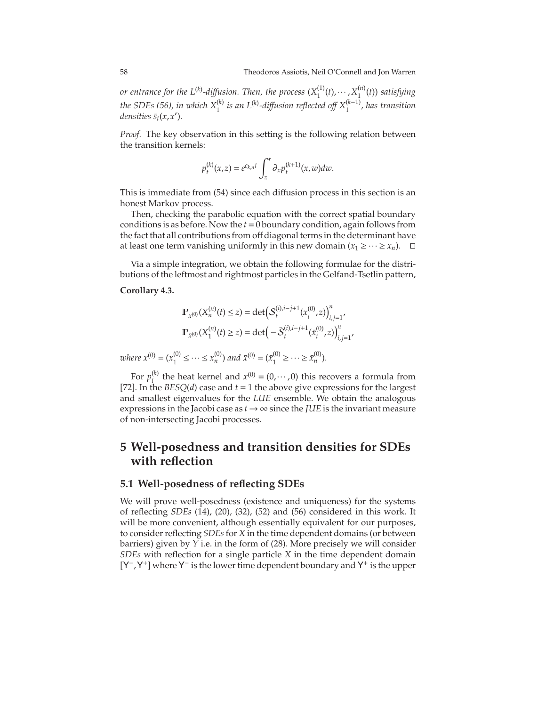*or entrance for the L*<sup>(k)</sup>-diffusion. Then, the process  $(X_1^{(1)}(t),\cdots,X_1^{(n)}(t))$  satisfying  $\mathcal{L}^{(k)}$  is an L<sup>(k)</sup>-diffusion reflected off  $X_1^{(k-1)}$ , has transition<br>the SDEs<sup>(56)</sup>, in which  $X_1^{(k)}$  is an L<sup>(k)</sup>-diffusion reflected off  $X_1^{(k-1)}$ , has transition *densities*  $\bar{s}_t(x, x')$ *.* 

*Proof.* The key observation in this setting is the following relation between the transition kernels:

$$
p_t^{(k)}(x,z) = e^{c_{k,n}t} \int_z^r \partial_x p_t^{(k+1)}(x,w)dw.
$$

This is immediate from [\(54\)](#page-55-1) since each diffusion process in this section is an honest Markov process.

Then, checking the parabolic equation with the correct spatial boundary conditions is as before. Now the *t* = 0 boundary condition, again follows from the fact that all contributions from off diagonal terms in the determinant have at least one term vanishing uniformly in this new domain  $(x_1 \geq \cdots \geq x_n)$ . □

Via a simple integration, we obtain the following formulae for the distributions of the leftmost and rightmost particles in the Gelfand-Tsetlin pattern,

#### **Corollary 4.3.**

$$
\mathbb{P}_{x^{(0)}}(X_n^{(n)}(t) \le z) = \det \left( \mathcal{S}_t^{(i), i-j+1}(x_i^{(0)}, z) \right)_{i,j=1}^n,
$$
  

$$
\mathbb{P}_{\bar{x}^{(0)}}(X_1^{(n)}(t) \ge z) = \det \left( -\bar{\mathcal{S}}_t^{(i), i-j+1}(\bar{x}_i^{(0)}, z) \right)_{i,j=1}^n,
$$

*where*  $x^{(0)} = (x_1^{(0)})$  $\tilde{x}_1^{(0)} \leq \cdots \leq x_n^{(0)}$  and  $\bar{x}^{(0)} = (\bar{x}_1^{(0)})$  $\overline{x}_1^{(0)} \ge \cdots \ge \overline{x}_n^{(0)}$ ).

For  $p_t^{(k)}$ <sup>(k)</sup> the heat kernel and  $x^{(0)} = (0, \dots, 0)$  this recovers a formula from [\[72\]](#page-76-3). In the *BESQ(d)* case and  $t = 1$  the above give expressions for the largest and smallest eigenvalues for the *LUE* ensemble. We obtain the analogous expressions in the Jacobi case as  $t \rightarrow \infty$  since the *JUE* is the invariant measure of non-intersecting Jacobi processes.

# **5 Well-posedness and transition densities for SDEs with reflection**

#### <span id="page-58-0"></span>**5.1 Well-posedness of reflecting SDEs**

We will prove well-posedness (existence and uniqueness) for the systems of reflecting *SDEs* [\(14\)](#page-13-0), [\(20\)](#page-16-0), [\(32\)](#page-23-0), [\(52\)](#page-54-0) and [\(56\)](#page-57-0) considered in this work. It will be more convenient, although essentially equivalent for our purposes, to consider reflecting *SDEs* for *X* in the time dependent domains (or between barriers) given by *Y* i.e. in the form of [\(28\)](#page-21-1). More precisely we will consider *SDEs* with reflection for a single particle *X* in the time dependent domain [Y<sup>−</sup>, Y<sup>+</sup>] where Y<sup>−</sup> is the lower time dependent boundary and Y<sup>+</sup> is the upper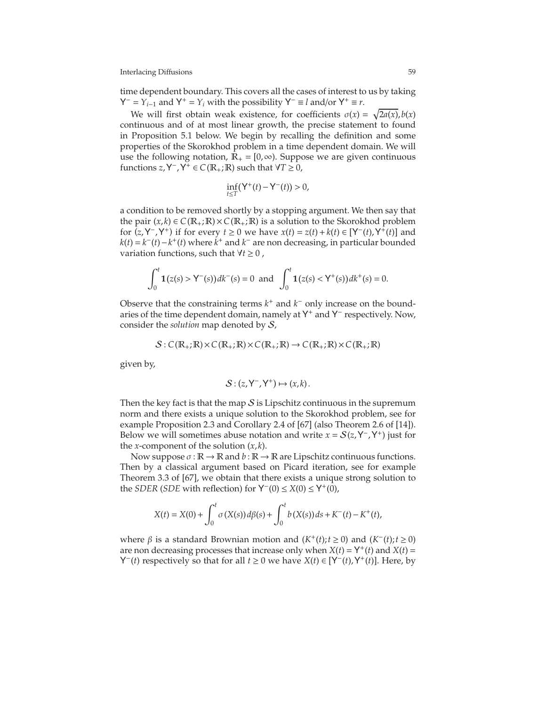time dependent boundary. This covers all the cases of interest to us by taking  $Y^- = Y_{i-1}$  and  $Y^+ = Y_i$  with the possibility  $Y^- \equiv l$  and/or  $Y^+ \equiv r$ .

We will first obtain weak existence, for coefficients  $\sigma(x) = \sqrt{2a(x)}$ ,  $b(x)$ continuous and of at most linear growth, the precise statement to found in Proposition [5.1](#page-62-0) below. We begin by recalling the definition and some properties of the Skorokhod problem in a time dependent domain. We will use the following notation,  $\mathbb{R}_+ = [0, \infty)$ . Suppose we are given continuous functions  $z, Y^-, Y^+ \in C(\mathbb{R}_+; \mathbb{R})$  such that  $\forall T \geq 0$ ,

$$
\inf_{t\leq T} \left(\mathsf{Y}^{+}(t)-\mathsf{Y}^{-}(t)\right) > 0,
$$

a condition to be removed shortly by a stopping argument. We then say that the pair  $(x, k) \in C(\mathbb{R}_+;\mathbb{R}) \times C(\mathbb{R}_+;\mathbb{R})$  is a solution to the Skorokhod problem for  $(z, Y^-, Y^+)$  if for every  $t \ge 0$  we have  $x(t) = z(t) + k(t) \in [Y^-(t), Y^+(t)]$  and  $k(t) = k^-(t) - k^+(t)$  where  $k^+$  and  $k^-$  are non decreasing, in particular bounded variation functions, such that ∀*t* ≥ 0 ,

$$
\int_0^t \mathbf{1}(z(s) > \mathsf{Y}^-(s)) \, dk^-(s) = 0 \text{ and } \int_0^t \mathbf{1}(z(s) < \mathsf{Y}^+(s)) \, dk^+(s) = 0.
$$

Observe that the constraining terms  $k^+$  and  $k^-$  only increase on the boundaries of the time dependent domain, namely at Y<sup>+</sup> and Y<sup>−</sup> respectively. Now, consider the *solution* map denoted by S,

$$
S: C(\mathbb{R}_{+}; \mathbb{R}) \times C(\mathbb{R}_{+}; \mathbb{R}) \times C(\mathbb{R}_{+}; \mathbb{R}) \to C(\mathbb{R}_{+}; \mathbb{R}) \times C(\mathbb{R}_{+}; \mathbb{R})
$$

given by,

$$
\mathcal{S}: (z, \mathsf{Y}^-, \mathsf{Y}^+) \mapsto (x, k)\,.
$$

Then the key fact is that the map  $S$  is Lipschitz continuous in the supremum norm and there exists a unique solution to the Skorokhod problem, see for example Proposition 2.3 and Corollary 2.4 of [\[67\]](#page-76-7) (also Theorem 2.6 of [\[14\]](#page-74-8)). Below we will sometimes abuse notation and write  $x = S(z, Y^-, Y^+)$  just for the *x*-component of the solution  $(x, k)$ .

Now suppose  $\sigma : \mathbb{R} \to \mathbb{R}$  and  $b : \mathbb{R} \to \mathbb{R}$  are Lipschitz continuous functions. Then by a classical argument based on Picard iteration, see for example Theorem 3.3 of [\[67\]](#page-76-7), we obtain that there exists a unique strong solution to the *SDER* (*SDE* with reflection) for  $Y^-(0) \le X(0) \le Y^+(\overline{0})$ ,

$$
X(t) = X(0) + \int_0^t \sigma(X(s)) d\beta(s) + \int_0^t b(X(s)) ds + K^-(t) - K^+(t),
$$

where *β* is a standard Brownian motion and (*K*<sup>+</sup>(*t*);*t* ≥ 0) and (*K*<sup>−</sup>(*t*);*t* ≥ 0) are non decreasing processes that increase only when  $X(t) = Y^+(t)$  and  $X(t) =$ **Y**<sup>−</sup>(*t*) respectively so that for all *t* ≥ 0 we have *X*(*t*) ∈ [**Y**<sup>−</sup>(*t*),**Y**<sup>+</sup>(*t*)]. Here, by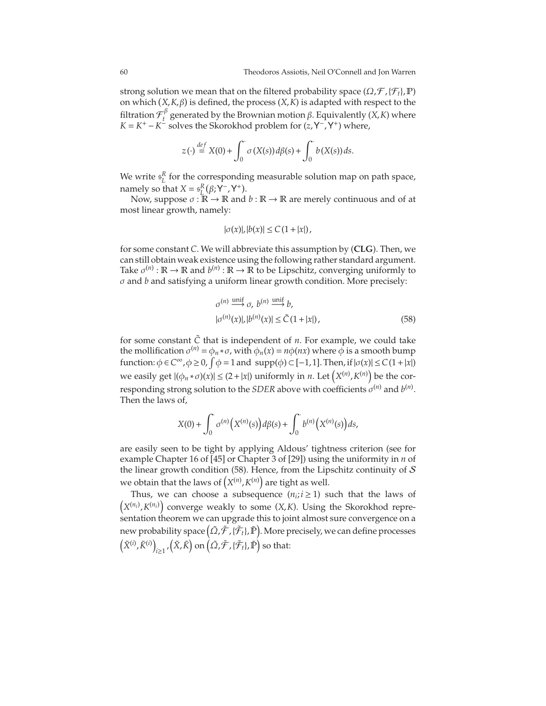strong solution we mean that on the filtered probability space  $(\Omega, \mathcal{F}, \{\mathcal{F}_t\}, P)$ on which  $(X, K, \beta)$  is defined, the process  $(X, \tilde{K})$  is adapted with respect to the filtration  $\mathcal{F}^\beta_t$ *t* generated by the Brownian motion β. Equivalently (*X*,*K*) where  $K = K^+ - K^-$  solves the Skorokhod problem for  $(z, Y^-, Y^+)$  where,

$$
z(\cdot) \stackrel{def}{=} X(0) + \int_0^\cdot \sigma(X(s)) d\beta(s) + \int_0^\cdot b(X(s)) ds.
$$

We write  $s_L^R$  for the corresponding measurable solution map on path space, namely so that  $X = s_L^R(\beta; Y^-, Y^+).$ 

Now, suppose  $\sigma : \mathbb{R} \to \mathbb{R}$  and  $b : \mathbb{R} \to \mathbb{R}$  are merely continuous and of at most linear growth, namely:

$$
|\sigma(x)|, |b(x)| \leq C(1+|x|),
$$

for some constant *C*. We will abbreviate this assumption by (**CLG**). Then, we can still obtain weak existence using the following rather standard argument. Take  $\sigma^{(n)} : \mathbb{R} \to \mathbb{R}$  and  $b^{(n)} : \mathbb{R} \to \mathbb{R}$  to be Lipschitz, converging uniformly to σ and *b* and satisfying a uniform linear growth condition. More precisely:

<span id="page-60-0"></span>
$$
\sigma^{(n)} \stackrel{\text{unif}}{\longrightarrow} \sigma, \ b^{(n)} \stackrel{\text{unif}}{\longrightarrow} b,
$$
  

$$
|\sigma^{(n)}(x)|, |b^{(n)}(x)| \le \tilde{C} (1+|x|),
$$
 (58)

for some constant  $\tilde{C}$  that is independent of  $n$ . For example, we could take the mollification  $\sigma^{(n)} = \phi_n * \sigma$ , with  $\phi_n(x) = n\phi(nx)$  where  $\bar{\phi}$  is a smooth bump function:  $\phi \in C^{\infty}$ ,  $\phi \ge 0$ ,  $\int \phi = 1$  and  $\text{supp}(\phi) \subset [-1,1]$ . Then, if  $|\sigma(x)| \le C(1+|x|)$ we easily get  $|(\phi_n * \sigma)(x)| \le (2 + |x|)$  uniformly in *n*. Let  $(X^{(n)}, K^{(n)})$  be the corresponding strong solution to the *SDER* above with coefficients  $\sigma^{(n)}$  and  $b^{(n)}$ . Then the laws of,

$$
X(0) + \int_0^{\cdot} \sigma^{(n)}(X^{(n)}(s)) d\beta(s) + \int_0^{\cdot} b^{(n)}(X^{(n)}(s)) ds,
$$

are easily seen to be tight by applying Aldous' tightness criterion (see for example Chapter 16 of [\[45\]](#page-75-16) or Chapter 3 of [\[29\]](#page-75-17)) using the uniformity in *n* of the linear growth condition [\(58\)](#page-60-0). Hence, from the Lipschitz continuity of  $S$ we obtain that the laws of  $(X^{(n)}, K^{(n)})$  are tight as well.

Thus, we can choose a subsequence  $(n_i; i \geq 1)$  such that the laws of  $(X^{(n_i)}, K^{(n_i)})$  converge weakly to some  $(X, K)$ . Using the Skorokhod representation theorem we can upgrade this to joint almost sure convergence on a new probability space  $\big(\tilde{\varOmega}, \tilde{\mathcal{F}}, \{\tilde{\mathcal{F}}_t\}, \tilde{\mathbb{P}}\big)$ . More precisely, we can define processes  $(\tilde{X}^{(i)}, \tilde{K}^{(i)})$  $\lim_{t\geq 1}$  ,  $(\tilde{X}, \tilde{K})$  on  $(\tilde{\Omega}, \tilde{\mathcal{F}}, {\{\tilde{\mathcal{F}}_t\}} , \tilde{\mathbb{P}})$  so that: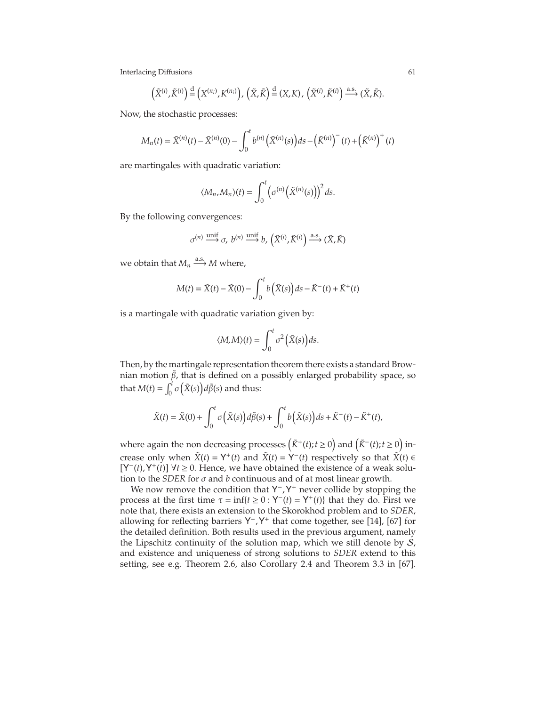$$
\left(\tilde{X}^{(i)}, \tilde{K}^{(i)}\right) \stackrel{\text{d}}{=} \left(X^{(n_i)}, K^{(n_i)}\right), \left(\tilde{X}, \tilde{K}\right) \stackrel{\text{d}}{=} \left(X, K\right), \left(\tilde{X}^{(i)}, \tilde{K}^{(i)}\right) \stackrel{\text{a.s.}}{\longrightarrow} \left(\tilde{X}, \tilde{K}\right).
$$

Now, the stochastic processes:

$$
M_n(t) = \tilde{X}^{(n)}(t) - \tilde{X}^{(n)}(0) - \int_0^t b^{(n)}(\tilde{X}^{(n)}(s))ds - (\tilde{K}^{(n)})^-(t) + (\tilde{K}^{(n)})^+(t)
$$

are martingales with quadratic variation:

$$
\langle M_n, M_n \rangle(t) = \int_0^t \left( \sigma^{(n)}\big(\tilde{X}^{(n)}(s)\big)\right)^2 ds.
$$

By the following convergences:

$$
\sigma^{(n)} \xrightarrow{\text{unif}} \sigma, \ b^{(n)} \xrightarrow{\text{unif}} b, \left(\tilde{X}^{(i)}, \tilde{K}^{(i)}\right) \xrightarrow{\text{a.s.}} (\tilde{X}, \tilde{K})
$$

we obtain that  $M_n \xrightarrow{a.s.} M$  where,

$$
M(t) = \tilde{X}(t) - \tilde{X}(0) - \int_0^t b(\tilde{X}(s))ds - \tilde{K}^-(t) + \tilde{K}^+(t)
$$

is a martingale with quadratic variation given by:

$$
\langle M, M \rangle(t) = \int_0^t \sigma^2 \left( \tilde{X}(s) \right) ds.
$$

Then, by the martingale representation theorem there exists a standard Brownian motion  $\tilde{\beta}$ , that is defined on a possibly enlarged probability space, so that  $M(t) = \int_0^t$  $\int_0^t \sigma\left(\tilde{X}(s)\right) d\tilde{\beta}(s)$  and thus:

$$
\tilde{X}(t) = \tilde{X}(0) + \int_0^t \sigma\big(\tilde{X}(s)\big)d\tilde{\beta}(s) + \int_0^t b\big(\tilde{X}(s)\big)ds + \tilde{K}^-(t) - \tilde{K}^+(t),
$$

where again the non decreasing processes  $(\tilde{K}^+(t); t \ge 0)$  and  $(\tilde{K}^-(t); t \ge 0)$  increase only when  $\tilde{X}(t) = Y^+(t)$  and  $\tilde{X}(t) = Y^-(t)$  respectively so that  $\tilde{X}(t) \in$  $[Y^-(t), Y^+(t)] \ \forall t \geq 0.$  Hence, we have obtained the existence of a weak solution to the *SDER* for  $\sigma$  and  $b$  continuous and of at most linear growth.

We now remove the condition that  $Y^-$ ,  $Y^+$  never collide by stopping the process at the first time  $\tau = \inf\{t \ge 0 : Y^-(t) = Y^+(t)\}$  that they do. First we note that, there exists an extension to the Skorokhod problem and to *SDER*, allowing for reflecting barriers Y<sup>-</sup>, Y<sup>+</sup> that come together, see [\[14\]](#page-74-8), [\[67\]](#page-76-7) for the detailed definition. Both results used in the previous argument, namely the Lipschitz continuity of the solution map, which we still denote by  $S$ , and existence and uniqueness of strong solutions to *SDER* extend to this setting, see e.g. Theorem 2.6, also Corollary 2.4 and Theorem 3.3 in [\[67\]](#page-76-7).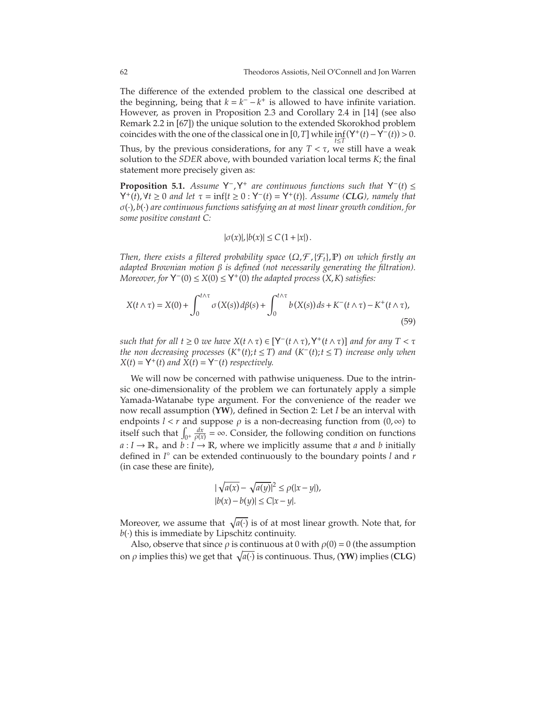The difference of the extended problem to the classical one described at the beginning, being that  $k = k^- - k^+$  is allowed to have infinite variation. However, as proven in Proposition 2.3 and Corollary 2.4 in [\[14\]](#page-74-8) (see also Remark 2.2 in [\[67\]](#page-76-7)) the unique solution to the extended Skorokhod problem coincides with the one of the classical one in [0,*T*] while  $\inf_{t \leq T} (Y^+(t) - Y^-(t)) > 0$ .

Thus, by the previous considerations, for any  $T < \tau$ , we still have a weak solution to the *SDER* above, with bounded variation local terms *K*; the final statement more precisely given as:

<span id="page-62-0"></span>**Proposition 5.1.** *Assume*  $Y^-$ ,  $Y^+$  *are continuous functions such that*  $Y^-(t) \leq$  $Y^+(t)$ ,  $\forall t \ge 0$  *and let*  $\tau = \inf\{t \ge 0 : Y^-(t) = Y^+(t)\}\)$ *. Assume (CLG), namely that* σ(·),*b*(·) *are continuous functions satisfying an at most linear growth condition, for some positive constant C:*

<span id="page-62-1"></span>
$$
|\sigma(x)|, |b(x)| \leq C(1+|x|).
$$

*Then, there exists a filtered probability space* (Ω,<sup>F</sup> ,{F*t*},P) *on which firstly an adapted Brownian motion* β *is defined (not necessarily generating the filtration).*  $Moreover, for  $Y^{-}(0) \leq X(0) \leq Y^{+}(0)$  *the adapted process*  $(X, K)$  *satisfies:*$ 

$$
X(t \wedge \tau) = X(0) + \int_0^{t \wedge \tau} \sigma(X(s)) d\beta(s) + \int_0^{t \wedge \tau} b(X(s)) ds + K^-(t \wedge \tau) - K^+(t \wedge \tau),
$$
\n(59)

*such that for all*  $t \ge 0$  *<i>we have*  $X(t \wedge \tau) \in [Y^-(t \wedge \tau), Y^+(t \wedge \tau)]$  *and for any*  $T < \tau$ *the non decreasing processes*  $(K^+(t); t \leq T)$  *and*  $(K^-(t); t \leq T)$  *increase only when*  $X(t) = Y^+(t)$  *and*  $\overline{X}(t) = Y^-(t)$  *respectively.* 

We will now be concerned with pathwise uniqueness. Due to the intrinsic one-dimensionality of the problem we can fortunately apply a simple Yamada-Watanabe type argument. For the convenience of the reader we now recall assumption (**YW**), defined in Section 2: Let *I* be an interval with endpoints *l* < *r* and suppose  $\rho$  is a non-decreasing function from  $(0, \infty)$  to itself such that  $\int_{0^+} \frac{dx}{\rho(x)} = \infty$ . Consider, the following condition on functions  $a: I \to \mathbb{R}_+$  and  $b: I \to \mathbb{R}$ , where we implicitly assume that *a* and *b* initially defined in *I* ◦ can be extended continuously to the boundary points *l* and *r* (in case these are finite),

$$
|\sqrt{a(x)} - \sqrt{a(y)}|^2 \le \rho(|x - y|),
$$
  
\n
$$
|b(x) - b(y)| \le C|x - y|.
$$

Moreover, we assume that  $\sqrt{a(\cdot)}$  is of at most linear growth. Note that, for  $b(\cdot)$  this is immediate by Lipschitz continuity.

Also, observe that since  $\rho$  is continuous at 0 with  $\rho(0) = 0$  (the assumption on  $\rho$  implies this) we get that  $\sqrt{a(\cdot)}$  is continuous. Thus, (YW) implies (CLG)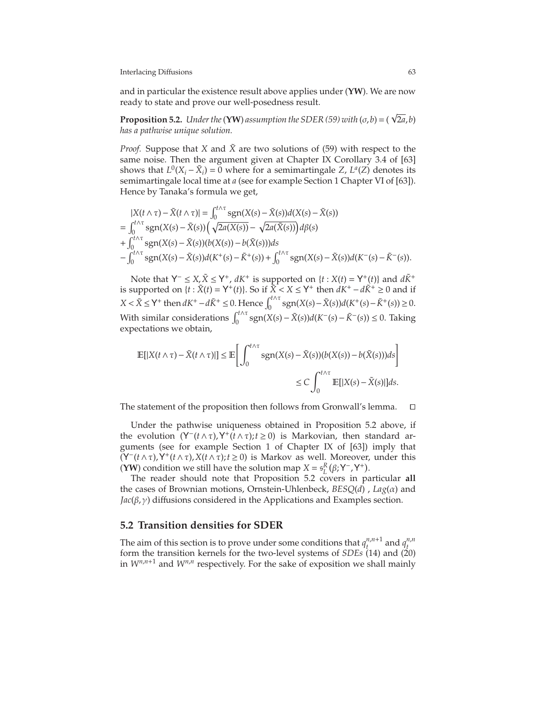and in particular the existence result above applies under (**YW**). We are now ready to state and prove our well-posedness result.

<span id="page-63-0"></span>**Proposition 5.2.** *Under the* (**YW**) *assumption the SDER* [\(59\)](#page-62-1) *with* ( $\sigma$ , $b$ ) = ( $\sqrt{2a}$ , $b$ ) *has a pathwise unique solution.*

*Proof.* Suppose that *X* and  $\tilde{X}$  are two solutions of [\(59\)](#page-62-1) with respect to the same noise. Then the argument given at Chapter IX Corollary 3.4 of [\[63\]](#page-76-8) shows that  $L^0(X_i - \tilde{X}_i) = 0$  where for a semimartingale *Z*,  $L^a(Z)$  denotes its semimartingale local time at *a* (see for example Section 1 Chapter VI of [\[63\]](#page-76-8)). Hence by Tanaka's formula we get,

$$
|X(t \wedge \tau) - \tilde{X}(t \wedge \tau)| = \int_0^{t \wedge \tau} \text{sgn}(X(s) - \tilde{X}(s))d(X(s) - \tilde{X}(s))
$$
  
= 
$$
\int_0^{t \wedge \tau} \text{sgn}(X(s) - \tilde{X}(s)) \left( \sqrt{2a(X(s))} - \sqrt{2a(\tilde{X}(s))} \right) d\beta(s)
$$
  
+ 
$$
\int_0^{t \wedge \tau} \text{sgn}(X(s) - \tilde{X}(s))(b(X(s)) - b(\tilde{X}(s)))ds
$$
  
- 
$$
\int_0^{t \wedge \tau} \text{sgn}(X(s) - \tilde{X}(s))d(K^+(s) - \tilde{K}^+(s)) + \int_0^{t \wedge \tau} \text{sgn}(X(s) - \tilde{X}(s))d(K^-(s) - \tilde{K}^-(s)).
$$

Note that  $Y^- \le X, \tilde{X} \le Y^+$ ,  $dK^+$  is supported on  $\{t : X(t) = Y^+(t)\}$  and  $d\tilde{K}^+$ is supported on  $\{t : \tilde{X}(t) = Y^+(t)\}$ . So if  $\tilde{X} < X \leq Y^+$  then  $dK^+ - d\tilde{K}^+ \geq 0$  and if *X* <  $\tilde{X}$  ≤ Y<sup>+</sup> then *dK*<sup>+</sup> −*d* $\tilde{K}$ <sup>+</sup> ≤ 0. Hence  $\int_0^{t \wedge \tau}$  sgn(*X*(*s*)−*X*̃(*s*))*d*(*K*<sup>+</sup>(*s*)−*K*<sup>+</sup>(*s*)) ≥ 0. With similar considerations  $\int_0^{t \wedge \tau}$  sgn(*X*(*s*) − *X*̃(*s*))*d*(*K*<sup>−</sup>(*s*)− *K*<sup>−</sup>(*s*)) ≤ 0. Taking expectations we obtain,

$$
\mathbb{E}[|X(t \wedge \tau) - \tilde{X}(t \wedge \tau)|] \le \mathbb{E}\left[\int_0^{t \wedge \tau} \text{sgn}(X(s) - \tilde{X}(s))(b(X(s)) - b(\tilde{X}(s)))ds\right]
$$
  

$$
\le C \int_0^{t \wedge \tau} \mathbb{E}[|X(s) - \tilde{X}(s)|]ds.
$$

The statement of the proposition then follows from Gronwall's lemma. ⊓⊔

Under the pathwise uniqueness obtained in Proposition [5.2](#page-63-0) above, if the evolution  $(Y^-(t\wedge \tau), Y^+(\tilde{t}\wedge \tau); t \ge 0)$  is Markovian, then standard arguments (see for example Section 1 of Chapter IX of [\[63\]](#page-76-8)) imply that  $(Y^-(t\wedge \tau), Y^+(t\wedge \tau), X(t\wedge \tau); t\geq 0)$  is Markov as well. Moreover, under this **(YW**) condition we still have the solution map *X* =  $s_L^R(\beta; Y^-, Y^+)$ .

The reader should note that Proposition 5.2 covers in particular **all** the cases of Brownian motions, Ornstein-Uhlenbeck, *BESQ*(*d*) , *Lag*(α) and *Jac*(β,γ) diffusions considered in the Applications and Examples section.

#### **5.2 Transition densities for SDER**

The aim of this section is to prove under some conditions that  $q_t^{n,n+1}$  $t^{n,n+1}$  and  $q^{n,n}$ *t* form the transition kernels for the two-level systems of *SDEs* [\(14\)](#page-13-0) and (20) in  $W^{n,n+1}$  and  $W^{n,n}$  respectively. For the sake of exposition we shall mainly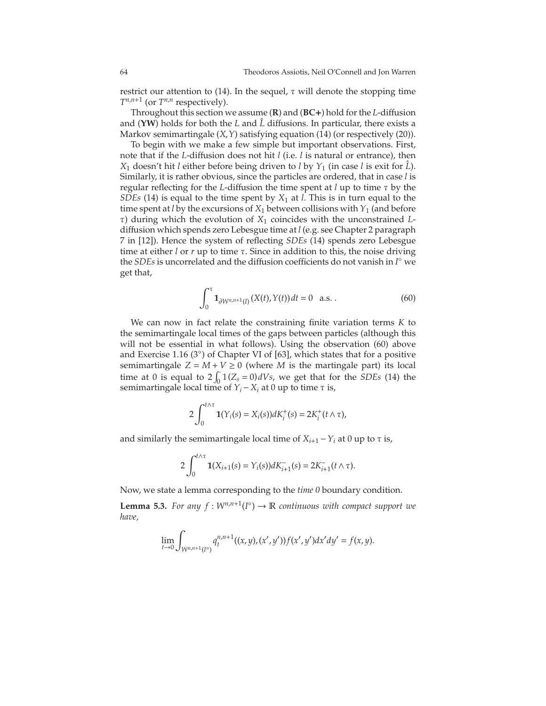restrict our attention to (14). In the sequel,  $\tau$  will denote the stopping time  $T^{n,n+1}$  (or  $T^{n,n}$  respectively).

Throughout this section we assume (**R**) and (**BC**+) hold for the *L*-diffusion and (YW) holds for both the *L* and  $\hat{L}$  diffusions. In particular, there exists a Markov semimartingale (*X*,*Y*) satisfying equation [\(14\)](#page-13-0) (or respectively (20)).

To begin with we make a few simple but important observations. First, note that if the *L*-diffusion does not hit *l* (i.e. *l* is natural or entrance), then *X*<sub>1</sub> doesn't hit *l* either before being driven to *l* by  $Y_1$  (in case *l* is exit for  $\hat{L}$ ). Similarly, it is rather obvious, since the particles are ordered, that in case *l* is regular reflecting for the *L*-diffusion the time spent at *l* up to time τ by the *SDEs* [\(14\)](#page-13-0) is equal to the time spent by  $X_1$  at *l*. This is in turn equal to the time spent at *l* by the excursions of  $X_1$  between collisions with  $Y_1$  (and before τ) during which the evolution of *X*<sup>1</sup> coincides with the unconstrained *L*diffusion which spends zero Lebesgue time at *l* (e.g. see Chapter 2 paragraph 7 in [\[12\]](#page-74-9)). Hence the system of reflecting *SDEs* [\(14\)](#page-13-0) spends zero Lebesgue time at either *l* or *r* up to time τ. Since in addition to this, the noise driving the *SDEs* is uncorrelated and the diffusion coefficients do not vanish in *I* ◦ we get that,

<span id="page-64-0"></span>
$$
\int_0^{\tau} \mathbf{1}_{\partial W^{n,n+1}(I)}(X(t), Y(t)) dt = 0 \quad \text{a.s.} \,. \tag{60}
$$

We can now in fact relate the constraining finite variation terms *K* to the semimartingale local times of the gaps between particles (although this will not be essential in what follows). Using the observation [\(60\)](#page-64-0) above and Exercise 1.16 (3◦ ) of Chapter VI of [\[63\]](#page-76-8), which states that for a positive semimartingale  $Z = M + V \ge 0$  (where *M* is the martingale part) its local time at 0 is equal to  $2 \int_0^1 (Z_s = 0) dV_s$ , we get that for the *SDEs* [\(14\)](#page-13-0) the semimartingale local time of  $Y_i - X_i$  at 0 up to time  $\tau$  is,

$$
2\int_0^{t\wedge\tau} \mathbf{1}(Y_i(s) = X_i(s))dK_i^+(s) = 2K_i^+(t\wedge\tau),
$$

and similarly the semimartingale local time of  $X_{i+1} - Y_i$  at 0 up to  $\tau$  is,

$$
2\int_0^{t\wedge\tau} \mathbf{1}(X_{i+1}(s)=Y_i(s))dK_{i+1}^-(s)=2K_{i+1}^-(t\wedge\tau).
$$

Now, we state a lemma corresponding to the *time 0* boundary condition.

<span id="page-64-1"></span>**Lemma 5.3.** For any  $f: W^{n,n+1}(I^{\circ}) \to \mathbb{R}$  continuous with compact support we *have,*

$$
\lim_{t\to 0}\int_{W^{n,n+1}(I^{\circ})}q^{n,n+1}_t((x,y),(x',y'))f(x',y')dx'dy'=f(x,y).
$$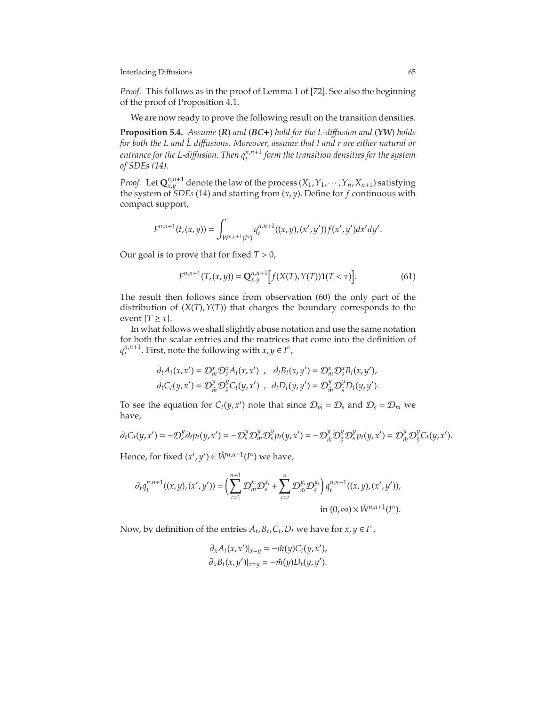*Proof.* This follows as in the proof of Lemma 1 of [\[72\]](#page-76-3). See also the beginning of the proof of Proposition [4.1.](#page-55-2)

We are now ready to prove the following result on the transition densities.

<span id="page-65-0"></span>**Proposition 5.4.** *Assume* (*R*) *and* (*BC*+) *hold for the L-di*ff*usion and* (*YW*) *holds for both the L and L diffusions. Moreover, assume that l and r are either natural or entrance for the L-di*ff*usion. Then qn*,*n*+<sup>1</sup> *t form the transition densities for the system of SDEs [\(14\)](#page-13-0).*

*Proof.* Let  $\mathbf{Q}_{x,y}^{n,n+1}$  denote the law of the process  $(X_1, Y_1, \cdots, Y_n, X_{n+1})$  satisfying the system of *SDEs* [\(14\)](#page-13-0) and starting from (*x*, *y*). Define for *f* continuous with compact support,

$$
F^{n,n+1}(t,(x,y))=\int_{W^{n,n+1}(I^c)}q_t^{n,n+1}((x,y),(x',y'))f(x',y')dx'dy'.
$$

Our goal is to prove that for fixed *T* > 0,

$$
F^{n,n+1}(T,(x,y)) = \mathbf{Q}_{x,y}^{n,n+1} \Big[ f(X(T),Y(T)) \mathbf{1}(T < \tau) \Big].\tag{61}
$$

The result then follows since from observation [\(60\)](#page-64-0) the only part of the distribution of (*X*(*T*),*Y*(*T*)) that charges the boundary corresponds to the event  ${T \geq \tau}$ .

In what follows we shall slightly abuse notation and use the same notation for both the scalar entries and the matrices that come into the definition of  $q_t^{n,n+1}$  $t^{n,n+1}$ . First, note the following with  $x, y \in I^{\circ}$ ,

$$
\begin{aligned}\n\partial_t A_t(x,x') &= \mathcal{D}_m^x \mathcal{D}_s^x A_t(x,x') , & \partial_t B_t(x,y') &= \mathcal{D}_m^x \mathcal{D}_s^x B_t(x,y') , \\
\partial_t C_t(y,x') &= \mathcal{D}_{\hat{m}}^y \mathcal{D}_s^y C_t(y,x') , & \partial_t D_t(y,y') &= \mathcal{D}_{\hat{m}}^y \mathcal{D}_s^y D_t(y,y') .\n\end{aligned}
$$

To see the equation for  $C_t(y, x')$  note that since  $\mathcal{D}_{\hat{m}} = \mathcal{D}_s$  and  $\mathcal{D}_{\hat{s}} = \mathcal{D}_m$  we have,

$$
\partial_t C_t(y,x') = -\mathcal{D}_s^y \partial_t p_t(y,x') = -\mathcal{D}_s^y \mathcal{D}_m^y \mathcal{D}_s^y p_t(y,x') = -\mathcal{D}_{\hat{m}}^y \mathcal{D}_s^y \mathcal{D}_s^y p_t(y,x') = \mathcal{D}_{\hat{m}}^y \mathcal{D}_s^y C_t(y,x').
$$

Hence, for fixed  $(x', y') \in \mathring{W}^{n, n+1}(I^{\circ})$  we have,

$$
\partial_t q_t^{n,n+1}((x,y),(x',y')) = \left(\sum_{i=1}^{n+1} \mathcal{D}_m^{x_i} \mathcal{D}_s^{x_i} + \sum_{i=i}^n \mathcal{D}_{\hat{m}}^{y_i} \mathcal{D}_{\hat{s}}^{y_i}\right) q_t^{n,n+1}((x,y),(x',y')),
$$
  
in  $(0,\infty) \times \hat{W}^{n,n+1}(I^{\circ}).$ 

Now, by definition of the entries  $A_t$ ,  $B_t$ ,  $C_t$ ,  $D_t$  we have for  $x, y \in I^{\circ}$ ,

$$
\partial_x A_t(x, x')|_{x=y} = -\hat{m}(y)C_t(y, x'),
$$
  

$$
\partial_x B_t(x, y')|_{x=y} = -\hat{m}(y)D_t(y, y').
$$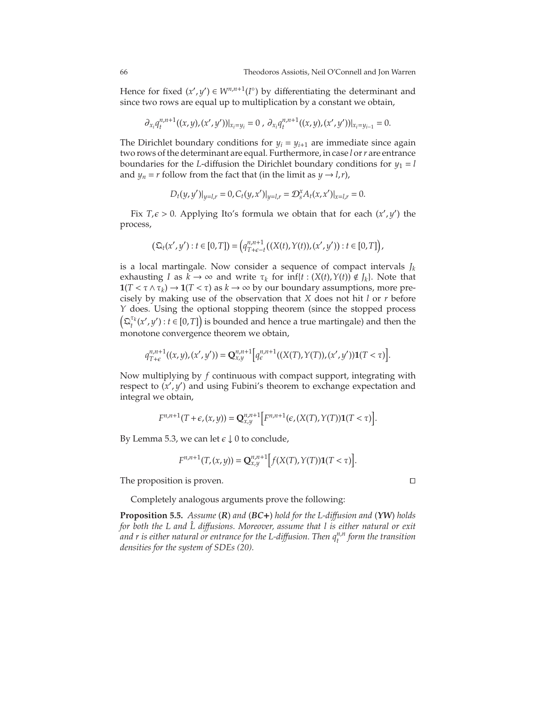Hence for fixed  $(x', y') \in W^{n, n+1}(I^{\circ})$  by differentiating the determinant and since two rows are equal up to multiplication by a constant we obtain,

$$
\partial_{x_i}q_t^{n,n+1}((x,y),(x',y'))|_{x_i=y_i}=0\ ,\ \partial_{x_i}q_t^{n,n+1}((x,y),(x',y'))|_{x_i=y_{i-1}}=0.
$$

The Dirichlet boundary conditions for  $y_i = y_{i+1}$  are immediate since again two rows of the determinant are equal. Furthermore, in case *l* or*r* are entrance boundaries for the *L*-diffusion the Dirichlet boundary conditions for  $y_1 = l$ and *y<sub>n</sub>* = *r* follow from the fact that (in the limit as *y*  $\rightarrow$  *l*,*r*),

$$
D_t(y, y')|_{y=l,r} = 0, C_t(y, x')|_{y=l,r} = \mathcal{D}_s^x A_t(x, x')|_{x=l,r} = 0.
$$

Fix  $T,\epsilon > 0$ . Applying Ito's formula we obtain that for each  $(x', y')$  the process,

$$
\big(\mathfrak{Q}_{t}(x',y') : t\in [0,T]\big) = \big(q_{T+\epsilon-t}^{n,n+1}\big((X(t),Y(t)),(x',y')\big) : t\in [0,T]\big),
$$

is a local martingale. Now consider a sequence of compact intervals  $J_k$ exhausting *I* as  $k \to \infty$  and write  $\tau_k$  for  $\inf\{t : (X(t), Y(t)) \notin J_k\}$ . Note that **1**(*T* <  $\tau \wedge \tau_k$ ) → **1**(*T* <  $\tau$ ) as *k* → ∞ by our boundary assumptions, more precisely by making use of the observation that *X* does not hit *l* or *r* before *Y* does. Using the optional stopping theorem (since the stopped process  $(\Omega_t^{\tau_k}(x', y') : t \in [0, T])$  is bounded and hence a true martingale) and then the monotone convergence theorem we obtain,

$$
q_{T+\epsilon}^{n,n+1}((x,y),(x',y')) = \mathbf{Q}_{x,y}^{n,n+1}\Big[q_{\epsilon}^{n,n+1}((X(T),Y(T)),(x',y'))\mathbf{1}(T<\tau)\Big].
$$

Now multiplying by *f* continuous with compact support, integrating with respect to  $(x', y')$  and using Fubini's theorem to exchange expectation and integral we obtain,

$$
F^{n,n+1}(T+\epsilon,(x,y))=\mathbf{Q}^{n,n+1}_{x,y}\Big[F^{n,n+1}\big(\epsilon,(X(T),Y(T))\mathbf{1}(T<\tau)\Big].
$$

By Lemma [5.3,](#page-64-1) we can let  $\epsilon \downarrow 0$  to conclude,

$$
F^{n,n+1}(T,(x,y)) = \mathbf{Q}_{x,y}^{n,n+1}\Big[f(X(T),Y(T))\mathbf{1}(T<\tau)\Big].
$$

The proposition is proven. ⊓⊔

Completely analogous arguments prove the following:

<span id="page-66-0"></span>**Proposition 5.5.** *Assume* (*R*) *and* (*BC*+) *hold for the L-di*ff*usion and* (*YW*) *holds for both the L and L diffusions. Moreover, assume that l is either natural or exit and r is either natural or entrance for the L-di*ff*usion. Then qn*,*<sup>n</sup> t form the transition densities for the system of SDEs [\(20\)](#page-16-0).*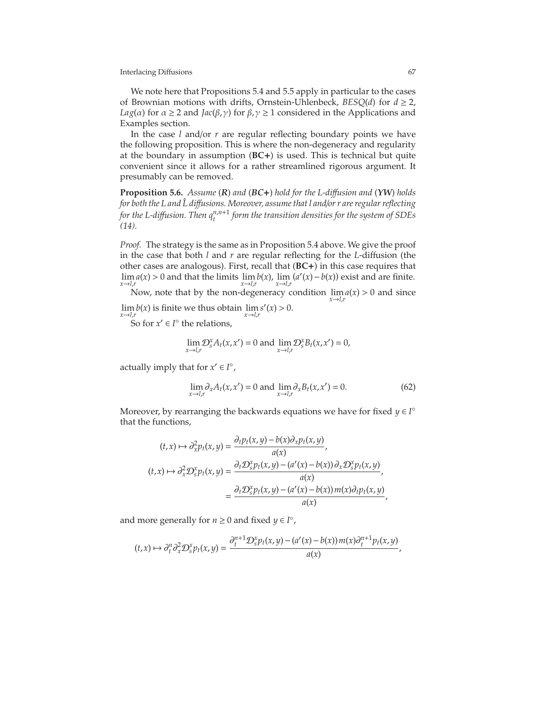We note here that Propositions [5.4](#page-65-0) and [5.5](#page-66-0) apply in particular to the cases of Brownian motions with drifts, Ornstein-Uhlenbeck,  $BESQ(d)$  for  $d \geq 2$ , *Lag*( $\alpha$ ) for  $\alpha \ge 2$  and *Jac*( $\beta$ , $\gamma$ ) for  $\beta$ , $\gamma \ge 1$  considered in the Applications and Examples section.

In the case *l* and/or *r* are regular reflecting boundary points we have the following proposition. This is where the non-degeneracy and regularity at the boundary in assumption (**BC**+) is used. This is technical but quite convenient since it allows for a rather streamlined rigorous argument. It presumably can be removed.

**Proposition 5.6.** *Assume* (*R*) *and* (*BC*+) *hold for the L-di*ff*usion and* (*YW*) *holds for both the L and L diffusions. Moreover, assume that l and/or r are regular reflecting for the L-di*ff*usion. Then qn*,*n*+<sup>1</sup> *t form the transition densities for the system of SDEs [\(14\)](#page-13-0).*

*Proof.* The strategy is the same as in Proposition [5.4](#page-65-0) above. We give the proof in the case that both *l* and *r* are regular reflecting for the *L*-diffusion (the other cases are analogous). First, recall that (**BC**+) in this case requires that lim *a*(*x*) > 0 and that the limits  $\lim_{x \to l} b(x)$ ,  $\lim_{x \to l} (a'(x) - b(x))$  exist and are finite. *x*→*l*,*r x*→*l*,*r x*→*l*,*r*

Now, note that by the non-degeneracy condition lim *a*(*x*) > 0 and since *x*→*l*,*r*  $s'(x) > 0.$ 

lim *x*→*l*,*r*  $b(x)$  is finite we thus obtain  $\lim$ *x*→*l*,*r*

So for  $x' \in I^{\circ}$  the relations,

$$
\lim_{x \to l,r} \mathcal{D}_s^x A_t(x, x') = 0 \text{ and } \lim_{x \to l,r} \mathcal{D}_s^x B_t(x, x') = 0,
$$

actually imply that for  $x' \in I^{\circ}$ ,

<span id="page-67-0"></span>
$$
\lim_{x \to l,r} \partial_x A_t(x, x') = 0 \text{ and } \lim_{x \to l,r} \partial_x B_t(x, x') = 0. \tag{62}
$$

Moreover, by rearranging the backwards equations we have for fixed *y* ∈ *I* ◦ that the functions,

$$
(t,x) \mapsto \partial_x^2 p_t(x,y) = \frac{\partial_t p_t(x,y) - b(x)\partial_x p_t(x,y)}{a(x)},
$$
  

$$
(t,x) \mapsto \partial_x^2 \mathcal{D}_s^x p_t(x,y) = \frac{\partial_t \mathcal{D}_s^x p_t(x,y) - (a'(x) - b(x))\partial_x \mathcal{D}_s^x p_t(x,y)}{a(x)},
$$
  

$$
= \frac{\partial_t \mathcal{D}_s^x p_t(x,y) - (a'(x) - b(x))m(x)\partial_t p_t(x,y)}{a(x)},
$$

and more generally for  $n \geq 0$  and fixed  $y \in I^{\circ}$ ,

$$
(t,x)\mapsto \partial_t^n \partial_x^2 \mathcal{D}_s^x p_t(x,y)=\frac{\partial_t^{n+1} \mathcal{D}_s^x p_t(x,y)-(a'(x)-b(x))\,m(x)\partial_t^{n+1} p_t(x,y)}{a(x)},
$$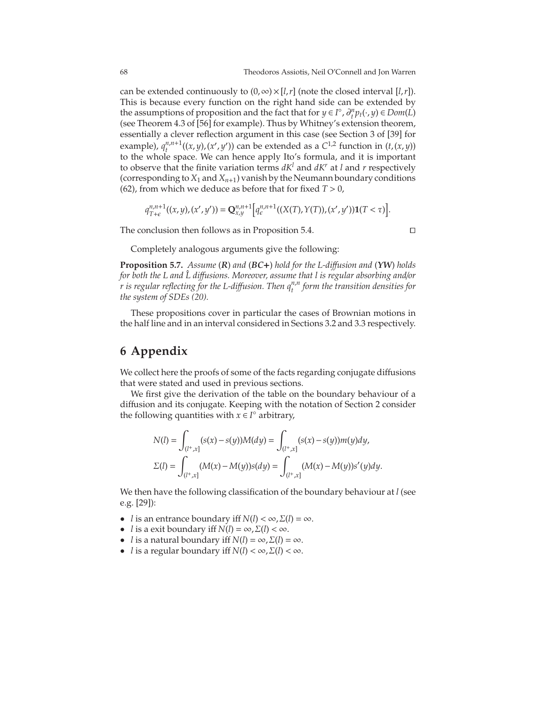can be extended continuously to  $(0, \infty) \times [l, r]$  (note the closed interval [*l,r*]). This is because every function on the right hand side can be extended by the assumptions of proposition and the fact that for *y* ∈ *I*<sup>°</sup>,  $\partial_t^n p_t(\cdot, y) \in Dom(L)$ (see Theorem 4.3 of [\[56\]](#page-76-1) for example). Thus by Whitney's extension theorem, essentially a clever reflection argument in this case (see Section 3 of [\[39\]](#page-75-18) for example),  $q_t^{n,n+1}$  $\binom{n}{t}$  ((*x*, *y*),(*x'*, *y'*)) can be extended as a *C*<sup>1,2</sup> function in (*t*,(*x*, *y*)) to the whole space. We can hence apply Ito's formula, and it is important to observe that the finite variation terms  $dK^l$  and  $dK^r$  at *l* and *r* respectively (corresponding to  $X_1$  and  $X_{n+1}$ ) vanish by the Neumann boundary conditions [\(62\)](#page-67-0), from which we deduce as before that for fixed  $T > 0$ ,

$$
q_{T+\epsilon}^{n,n+1}((x,y),(x',y')) = \mathbf{Q}_{x,y}^{n,n+1}\Big[q_{\epsilon}^{n,n+1}((X(T),Y(T)),(x',y'))\mathbf{1}(T<\tau)\Big].
$$

The conclusion then follows as in Proposition [5.4.](#page-65-0) □

Completely analogous arguments give the following:

**Proposition 5.7.** *Assume* (*R*) *and* (*BC*+) *hold for the L-di*ff*usion and* (*YW*) *holds for both the L and L diffusions. Moreover, assume that l is regular absorbing and/or r is regular reflecting for the L-di*ff*usion. Then qn*,*<sup>n</sup> t form the transition densities for the system of SDEs [\(20\)](#page-16-0).*

These propositions cover in particular the cases of Brownian motions in the half line and in an interval considered in Sections 3.2 and 3.3 respectively.

# **6 Appendix**

We collect here the proofs of some of the facts regarding conjugate diffusions that were stated and used in previous sections.

We first give the derivation of the table on the boundary behaviour of a diffusion and its conjugate. Keeping with the notation of Section 2 consider the following quantities with  $x \in I^{\circ}$  arbitrary,

$$
N(l) = \int_{(l^+,x]} (s(x) - s(y))M(dy) = \int_{(l^+,x]} (s(x) - s(y))m(y)dy,
$$
  
\n
$$
\Sigma(l) = \int_{(l^+,x]} (M(x) - M(y))s(dy) = \int_{(l^+,x]} (M(x) - M(y))s'(y)dy.
$$

We then have the following classification of the boundary behaviour at *l* (see e.g. [\[29\]](#page-75-17)):

- *l* is an entrance boundary iff  $N(l) < \infty$ ,  $\Sigma(l) = \infty$ .
- *l* is a exit boundary iff  $N(l) = \infty$ ,  $\Sigma(l) < \infty$ .
- *l* is a natural boundary iff  $N(l) = \infty$ ,  $\Sigma(l) = \infty$ .
- *l* is a regular boundary iff  $N(l) < \infty$ ,  $\Sigma(l) < \infty$ .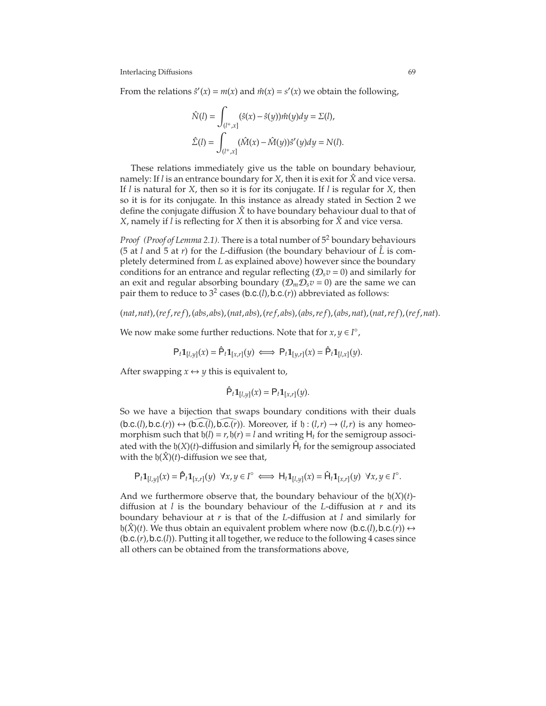From the relations  $\hat{s}'(x) = m(x)$  and  $\hat{m}(x) = s'(x)$  we obtain the following,

$$
\hat{N}(l) = \int_{(l^+,x]} (\hat{s}(x) - \hat{s}(y)) \hat{m}(y) dy = \Sigma(l),
$$
  

$$
\hat{\Sigma}(l) = \int_{(l^+,x]} (\hat{M}(x) - \hat{M}(y)) \hat{s}'(y) dy = N(l).
$$

These relations immediately give us the table on boundary behaviour, namely: If *l* is an entrance boundary for *X*, then it is exit for *X*ˆ and vice versa. If *l* is natural for *X*, then so it is for its conjugate. If *l* is regular for *X*, then so it is for its conjugate. In this instance as already stated in Section 2 we define the conjugate diffusion  $\hat{X}$  to have boundary behaviour dual to that of *X*, namely if *l* is reflecting for *X* then it is absorbing for *X*ˆ and vice versa.

*Proof (Proof of Lemma 2.1).* There is a total number of  $5<sup>2</sup>$  boundary behaviours (5 at *l* and 5 at *r*) for the *L*-diffusion (the boundary behaviour of  $\hat{L}$  is completely determined from *L* as explained above) however since the boundary conditions for an entrance and regular reflecting  $(D_s v = 0)$  and similarly for an exit and regular absorbing boundary  $(D_mD_sv=0)$  are the same we can pair them to reduce to  $3^2$  cases (b.c.(*l*), b.c.(*r*)) abbreviated as follows:

 $(nat, nat), (ref, ref), (abs, abs), (nat, abs), (ref, abs), (abs, ref), (abs, nat), (nat, ref), (ref, nat).$ 

We now make some further reductions. Note that for  $x, y \in I^{\circ}$ ,

$$
\mathsf{P}_t \mathbf{1}_{[l,y]}(x) = \hat{\mathsf{P}}_t \mathbf{1}_{[x,r]}(y) \iff \mathsf{P}_t \mathbf{1}_{[y,r]}(x) = \hat{\mathsf{P}}_t \mathbf{1}_{[l,x]}(y).
$$

After swapping  $x \leftrightarrow y$  this is equivalent to,

$$
\hat{\mathsf{P}}_t \mathbf{1}_{[l,y]}(x) = \mathsf{P}_t \mathbf{1}_{[x,r]}(y).
$$

So we have a bijection that swaps boundary conditions with their duals  $(b.c.(l), b.c.(r)) \leftrightarrow (b.c.(\overline{l}), b.c.(\overline{r}))$ . Moreover, if  $b:(l,r) \rightarrow (l,r)$  is any homeomorphism such that  $h(l) = r$ ,  $h(r) = l$  and writing  $H_t$  for the semigroup associated with the  $\mathfrak{h}(X)(t)$ -diffusion and similarly  $\hat{\mathsf{H}}_t$  for the semigroup associated with the  $h(\hat{X})(t)$ -diffusion we see that,

$$
\mathsf{P}_t\mathbf{1}_{[l,y]}(x)=\hat{\mathsf{P}}_t\mathbf{1}_{[x,r]}(y)~~\forall x,y\in I^\circ\iff \mathsf{H}_t\mathbf{1}_{[l,y]}(x)=\hat{\mathsf{H}}_t\mathbf{1}_{[x,r]}(y)~~\forall x,y\in I^\circ.
$$

And we furthermore observe that, the boundary behaviour of the  $h(X)(t)$ diffusion at *l* is the boundary behaviour of the *L*-diffusion at *r* and its boundary behaviour at *r* is that of the *L*-diffusion at *l* and similarly for  $h(\hat{X})(t)$ . We thus obtain an equivalent problem where now (b.c.(*l*), b.c.(*r*))  $\leftrightarrow$ (b.c.(*r*),b.c.(*l*)). Putting it all together, we reduce to the following 4 cases since all others can be obtained from the transformations above,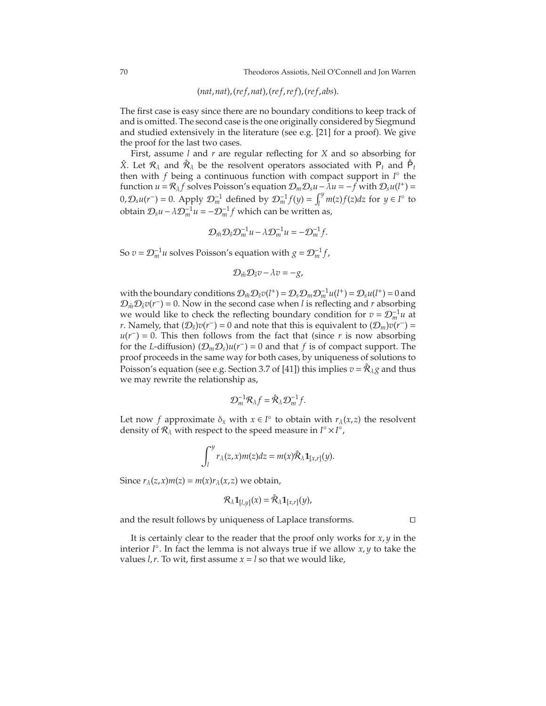(*nat*,*nat*),(*re f*,*nat*),(*re f*,*re f*),(*re f*, *abs*).

The first case is easy since there are no boundary conditions to keep track of and is omitted. The second case is the one originally considered by Siegmund and studied extensively in the literature (see e.g. [\[21\]](#page-74-10) for a proof). We give the proof for the last two cases.

First, assume *l* and *r* are regular reflecting for *X* and so absorbing for  $\hat{X}$ . Let  $\mathcal{R}_{\lambda}$  and  $\hat{\mathcal{R}}_{\lambda}$  be the resolvent operators associated with  $P_t$  and  $\hat{P}_t$ then with *f* being a continuous function with compact support in *I* ◦ the function  $u = \mathcal{R}_{\lambda} f$  solves Poisson's equation  $\mathcal{D}_m \mathcal{D}_s u - \lambda u = -f$  with  $\mathcal{D}_s u(l^+) =$  $(0, \mathcal{D}_s u(r^-)) = 0$ . Apply  $\mathcal{D}_m^{-1}$  defined by  $\mathcal{D}_m^{-1} f(y) = \int_l^y$  $\int_l^y m(z) f(z) dz$  for  $y \in l^{\circ}$  to obtain  $\mathcal{D}_s u - \lambda \mathcal{D}_m^{-1} u = -\mathcal{D}_m^{-1} f$  which can be written as,

$$
\mathcal{D}_{\hat{m}}\mathcal{D}_{\hat{s}}\mathcal{D}_{m}^{-1}u - \lambda \mathcal{D}_{m}^{-1}u = -\mathcal{D}_{m}^{-1}f.
$$

So  $v = \mathcal{D}_m^{-1}u$  solves Poisson's equation with  $g = \mathcal{D}_m^{-1}f$ ,

$$
\mathcal{D}_{\hat{m}}\mathcal{D}_{\hat{s}}v - \lambda v = -g,
$$

with the boundary conditions  $\mathcal{D}_{\hat{m}}\mathcal{D}_{\hat{s}}v(l^+) = \mathcal{D}_{s}\mathcal{D}_{m}\mathcal{D}_{m}^{-1}u(l^+) = \mathcal{D}_{s}u(l^+) = 0$  and  $\mathcal{D}_{\hat{m}}\mathcal{D}_{\hat{s}}v(r^-) = 0$ . Now in the second case when *l* is reflecting and *r* absorbing we would like to check the reflecting boundary condition for  $v = \mathcal{D}_m^{-1} u$  at *r*. Namely, that  $(D_s)v(r^-) = 0$  and note that this is equivalent to  $(D_m)v(r^-) =$  $u(r^-) = 0$ . This then follows from the fact that (since *r* is now absorbing for the *L*-diffusion)  $(D_mD_s)u(r^-)=0$  and that *f* is of compact support. The proof proceeds in the same way for both cases, by uniqueness of solutions to Poisson's equation (see e.g. Section 3.7 of [\[41\]](#page-75-8)) this implies  $v = \hat{\mathcal{R}}_{\lambda} g$  and thus we may rewrite the relationship as,

$$
\mathcal{D}_m^{-1} \mathcal{R}_\lambda f = \hat{\mathcal{R}}_\lambda \mathcal{D}_m^{-1} f.
$$

Let now *f* approximate  $\delta_x$  with  $x \in I^\circ$  to obtain with  $r_\lambda(x, z)$  the resolvent density of  $\mathcal{R}_{\lambda}$  with respect to the speed measure in  $I^{\circ} \times I^{\circ}$ ,

$$
\int_l^y r_\lambda(z,x)m(z)dz = m(x)\hat{\mathcal{R}}_\lambda \mathbf{1}_{[x,r]}(y).
$$

Since  $r_{\lambda}(z, x) m(z) = m(x) r_{\lambda}(x, z)$  we obtain,

$$
\mathcal{R}_{\lambda}\mathbf{1}_{[l,y]}(x)=\hat{\mathcal{R}}_{\lambda}\mathbf{1}_{[x,r]}(y),
$$

and the result follows by uniqueness of Laplace transforms. ⊓⊔

It is certainly clear to the reader that the proof only works for *x*, *y* in the interior *I* ◦ . In fact the lemma is not always true if we allow *x*, *y* to take the values  $l$ , $r$ . To wit, first assume  $x = l$  so that we would like,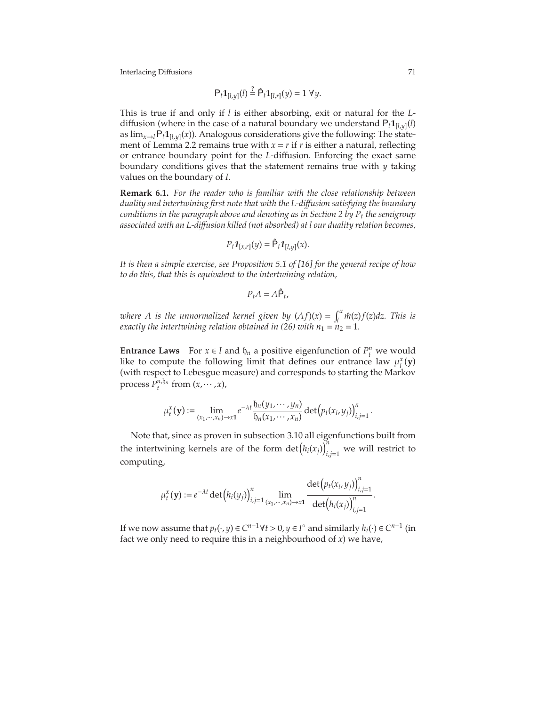$$
P_t \mathbf{1}_{[l,y]}(l) \stackrel{?}{=} \hat{P}_t \mathbf{1}_{[l,r]}(y) = 1 \ \forall y.
$$

This is true if and only if *l* is either absorbing, exit or natural for the *L*diffusion (where in the case of a natural boundary we understand  $P_t 1_{[l,y]}(l)$ as  $\lim_{x\to l} P_t \mathbf{1}_{[l,y]}(x)$ . Analogous considerations give the following: The state-ment of Lemma [2.2](#page-8-2) remains true with  $x = r$  if  $r$  is either a natural, reflecting or entrance boundary point for the *L*-diffusion. Enforcing the exact same boundary conditions gives that the statement remains true with *y* taking values on the boundary of *I*.

**Remark 6.1.** *For the reader who is familiar with the close relationship between duality and intertwining first note that with the L-di*ff*usion satisfying the boundary conditions in the paragraph above and denoting as in Section 2 by P<sup>t</sup> the semigroup associated with an L-di*ff*usion killed (not absorbed) at l our duality relation becomes,*

$$
P_t \mathbf{1}_{[x,r]}(y) = \hat{\mathsf{P}}_t \mathbf{1}_{[l,y]}(x).
$$

*It is then a simple exercise, see Proposition 5.1 of [\[16\]](#page-74-11) for the general recipe of how to do this, that this is equivalent to the intertwining relation,*

$$
P_t\varLambda=\varLambda\hat{\mathsf{P}}_t,
$$

*where*  $\Lambda$  *is the unnormalized kernel given by*  $(\Lambda f)(x) = \int_{0}^{x}$  $\int_l^{\infty} \hat{m}(z) f(z) dz$ . This is *exactly the intertwining relation obtained in* [\(26\)](#page-19-1) *with*  $n_1 = n_2 = 1$ *.* 

**Entrance Laws** For  $x \in I$  and  $\mathfrak{h}_n$  a positive eigenfunction of  $P_t^n$  we would like to compute the following limit that defines our entrance law  $\mu_t^x(y)$ (with respect to Lebesgue measure) and corresponds to starting the Markov process  $P_t^{n,b_n}$  from  $(x, \dots, x)$ ,

$$
\mu_t^x(\mathbf{y}) := \lim_{(x_1,\cdots,x_n)\to x_1} e^{-\lambda t} \frac{b_n(y_1,\cdots,y_n)}{b_n(x_1,\cdots,x_n)} \det(p_t(x_i,y_j))_{i,j=1}^n.
$$

Note that, since as proven in subsection [3.10](#page-50-2) all eigenfunctions built from the intertwining kernels are of the form  $\det (h_i(x_j))$ <sup>n</sup><sub>i</sub> *i*,*j*=1 we will restrict to computing,

$$
\mu_t^x(\mathbf{y}) := e^{-\lambda t} \det (h_i(y_j))_{i,j=1}^n \lim_{(x_1, \dots, x_n) \to x_1} \frac{\det (p_t(x_i, y_j))_{i,j=1}^n}{\det (h_i(x_j))_{i,j=1}^n}
$$

.

If we now assume that  $p_t(\cdot, y) \in C^{n-1} \forall t > 0, y \in I^\circ$  and similarly  $h_i(\cdot) \in C^{n-1}$  (in fact we only need to require this in a neighbourhood of *x*) we have,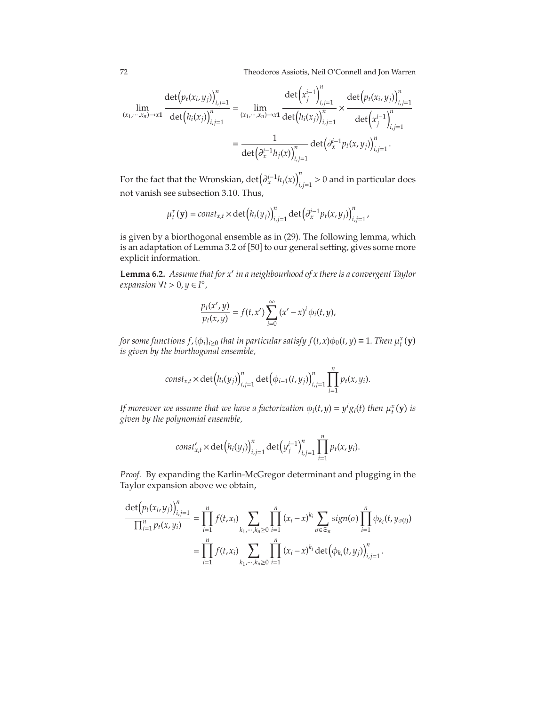72 Theodoros Assiotis, Neil O'Connell and Jon Warren

$$
\lim_{(x_1, \dots, x_n) \to x1} \frac{\det (p_t(x_i, y_j))_{i,j=1}^n}{\det (h_i(x_j))_{i,j=1}^n} = \lim_{(x_1, \dots, x_n) \to x1} \frac{\det (x_j^{i-1})_{i,j=1}^n}{\det (h_i(x_j))_{i,j=1}^n} \times \frac{\det (p_t(x_i, y_j))_{i,j=1}^n}{\det (x_j^{i-1})_{i,j=1}^n}
$$
\n
$$
= \frac{1}{\det (\partial_x^{i-1} h_j(x))_{i,j=1}^n} \det (\partial_x^{i-1} p_t(x, y_j))_{i,j=1}^n.
$$

For the fact that the Wronskian,  $\det\left(\frac{\partial^{i-1}_x h_j(x)}{\partial x^i}\right)$ *i*,*j*=1 > 0 and in particular does not vanish see subsection [3.10.](#page-50-0) Thus,

$$
\mu_t^x(\mathbf{y}) = const_{x,t} \times \det(h_i(y_j))_{i,j=1}^n \det(\partial_x^{i-1} p_t(x,y_j))_{i,j=1}^n,
$$

is given by a biorthogonal ensemble as in [\(29\)](#page-22-0). The following lemma, which is an adaptation of Lemma 3.2 of [50] to our general setting, gives some more explicit information.

**Lemma 6.2.** *Assume that for x*′ *in a neighbourhood of x there is a convergent Taylor expansion* ∀*t* > 0, *y* ∈ *I* ◦ *,*

$$
\frac{p_t(x',y)}{p_t(x,y)} = f(t,x')\sum_{i=0}^{\infty} (x'-x)^i \phi_i(t,y),
$$

*for some functions f,* { $\phi_i$ }<sub>*i*≥0</sub> *that in particular satisfy f*(*t,x*) $\phi_0(t, y) \equiv 1$ *. Then*  $\mu_t^x(y)$ *is given by the biorthogonal ensemble,*

$$
const_{x,t} \times \det(h_i(y_j))_{i,j=1}^n \det(\phi_{i-1}(t,y_j))_{i,j=1}^n \prod_{i=1}^n p_t(x,y_i).
$$

*If moreover we assume that we have a factorization*  $\phi_i(t, y) = y^i g_i(t)$  then  $\mu_t^x(\mathbf{y})$  is *given by the polynomial ensemble,*

$$
const'_{x,t} \times \det(h_i(y_j))_{i,j=1}^n \det(y_j^{i-1})_{i,j=1}^n \prod_{i=1}^n p_t(x,y_i).
$$

*Proof.* By expanding the Karlin-McGregor determinant and plugging in the Taylor expansion above we obtain,

$$
\frac{\det(p_t(x_i, y_j))_{i,j=1}^n}{\prod_{i=1}^n p_t(x, y_i)} = \prod_{i=1}^n f(t, x_i) \sum_{k_1, \dots, k_n \ge 0} \prod_{i=1}^n (x_i - x)^{k_i} \sum_{\sigma \in \mathfrak{S}_n} sign(\sigma) \prod_{i=1}^n \phi_{k_i}(t, y_{\sigma(i)})
$$

$$
= \prod_{i=1}^n f(t, x_i) \sum_{k_1, \dots, k_n \ge 0} \prod_{i=1}^n (x_i - x)^{k_i} \det(\phi_{k_i}(t, y_j))_{i,j=1}^n.
$$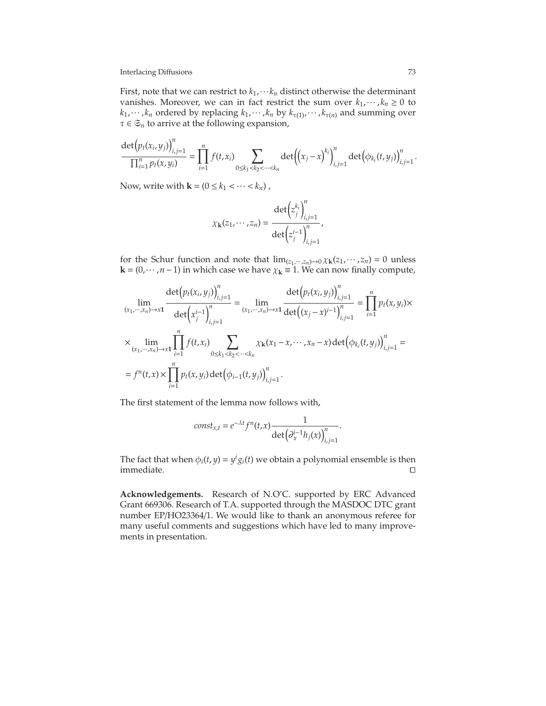## Interlacing Diffusions 73

First, note that we can restrict to  $k_1$ ,  $\cdots k_n$  distinct otherwise the determinant vanishes. Moreover, we can in fact restrict the sum over  $k_1$ ,  $\cdots$ ,  $k_n \geq 0$  to  $k_1$ ,  $\cdots$  ,  $k_n$  ordered by replacing  $k_1$ ,  $\cdots$  ,  $k_n$  by  $k_{\tau(1)}$ ,  $\cdots$  ,  $k_{\tau(n)}$  and summing over  $\tau \in \mathfrak{S}_n$  to arrive at the following expansion,

$$
\frac{\det(p_t(x_i, y_j))_{i,j=1}^n}{\prod_{i=1}^n p_t(x, y_i)} = \prod_{i=1}^n f(t, x_i) \sum_{0 \le k_1 < k_2 < \dots < k_n} \det((x_j - x)^{k_i})_{i,j=1}^n \det(\phi_{k_i}(t, y_j))_{i,j=1}^n.
$$

Now, write with  $\mathbf{k} = (0 \leq k_1 < \cdots < k_n)$ ,

$$
\chi_{\mathbf{k}}(z_1,\cdots,z_n) = \frac{\det\left(z_j^{k_i}\right)_{i,j=1}^n}{\det\left(z_j^{i-1}\right)_{i,j=1}^n},
$$

for the Schur function and note that  $\lim_{(z_1, \dots, z_n) \to 0} \chi_{\mathbf{k}}(z_1, \dots, z_n) = 0$  unless **k** =  $(0, \dots, n-1)$  in which case we have  $\chi$ **k** ≡ 1. We can now finally compute,

$$
\lim_{(x_1, \dots, x_n) \to x_1} \frac{\det(p_t(x_i, y_j))_{i,j=1}^n}{\det(x_j^{i-1})_{i,j=1}^n} = \lim_{(x_1, \dots, x_n) \to x_1} \frac{\det(p_t(x_i, y_j))_{i,j=1}^n}{\det((x_j - x)^{i-1})_{i,j=1}^n} = \prod_{i=1}^n p_t(x, y_i) \times \lim_{(x_1, \dots, x_n) \to x_1} \prod_{i=1}^n f(t, x_i) \times \sum_{0 \le k_1 < k_2 < \dots < k_n} \chi_k(x_1 - x, \dots, x_n - x) \det(\phi_{k_i}(t, y_j))_{i,j=1}^n = \lim_{t \to t_1} f(t, x) \times \prod_{i=1}^n p_t(x, y_i) \det(\phi_{i-1}(t, y_j))_{i,j=1}^n.
$$

The first statement of the lemma now follows with,

$$
const_{x,t}=e^{-\lambda t}f^{n}(t,x)\frac{1}{\det(\partial_{x}^{i-1}h_{j}(x))_{i,j=1}^{n}}.
$$

The fact that when  $\phi_i(t, y) = y^i g_i(t)$  we obtain a polynomial ensemble is then immediate. ⊓⊔

**Acknowledgements.** Research of N.O'C. supported by ERC Advanced Grant 669306. Research of T.A. supported through the MASDOC DTC grant number EP/HO23364/1. We would like to thank an anonymous referee for many useful comments and suggestions which have led to many improvements in presentation.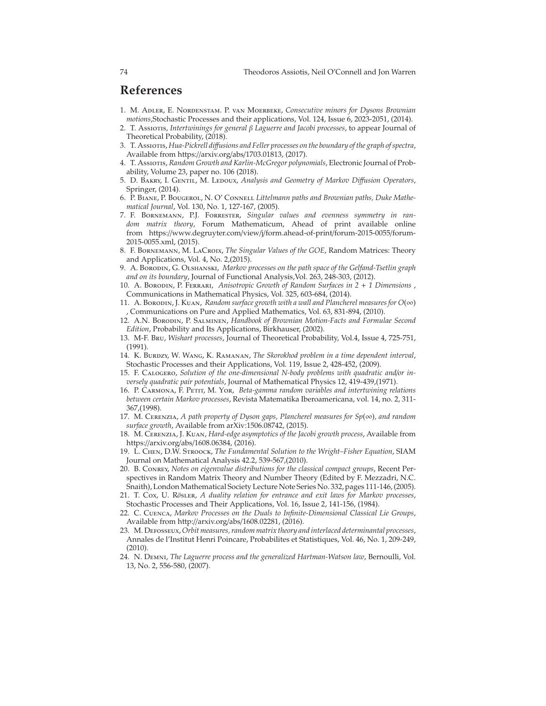## **References**

- 1. M. Adler, E. Nordenstam. P. van Moerbeke, *Consecutive minors for Dysons Brownian motions*,Stochastic Processes and their applications, Vol. 124, Issue 6, 2023-2051, (2014).
- 2. T. Assiotis, *Intertwinings for general* β *Laguerre and Jacobi processes*, to appear Journal of Theoretical Probability, (2018).
- 3. T. Assiotis, *Hua-Pickrell di*ff*usions and Feller processes on the boundary of the graph of spectra*, Available from https://arxiv.org/abs/1703.01813, (2017).
- 4. T. Assiotis, *Random Growth and Karlin-McGregor polynomials*, Electronic Journal of Probability, Volume 23, paper no. 106 (2018).
- 5. D. BAKRY, I. GENTIL, M. LEDOUX, *Analysis and Geometry of Markov Diffusion Operators*, Springer, (2014).
- 6. P. Biane, P. Bougerol, N. O' Connell *Littelmann paths and Brownian paths, Duke Mathematical Journal*, Vol. 130, No. 1, 127-167, (2005).
- 7. F. Bornemann, P.J. Forrester, *Singular values and evenness symmetry in random matrix theory*, Forum Mathematicum, Ahead of print available online from https://www.degruyter.com/view/j/form.ahead-of-print/forum-2015-0055/forum-2015-0055.xml, (2015).
- 8. F. BORNEMANN, M. LACROIX, *The Singular Values of the GOE*, Random Matrices: Theory and Applications, Vol. 4, No. 2,(2015).
- 9. A. Borodin, G. Olshanski, *Markov processes on the path space of the Gelfand-Tsetlin graph and on its boundary*, Journal of Functional Analysis,Vol. 263, 248-303, (2012).
- 10. A. Borodin, P. Ferrari, *Anisotropic Growth of Random Surfaces in 2* + *1 Dimensions* , Communications in Mathematical Physics, Vol. 325, 603-684, (2014).
- 11. A. Borodin, J. Kuan, *Random surface growth with a wall and Plancherel measures for O*(∞) , Communications on Pure and Applied Mathematics, Vol. 63, 831-894, (2010).
- 12. A.N. Borodin, P. Salminen, *Handbook of Brownian Motion-Facts and Formulae Second Edition*, Probability and Its Applications, Birkhauser, (2002).
- 13. M-F. Bru, *Wishart processes*, Journal of Theoretical Probability, Vol.4, Issue 4, 725-751, (1991).
- 14. K. Burdzy, W. Wang, K. Ramanan, *The Skorokhod problem in a time dependent interval*, Stochastic Processes and their Applications, Vol. 119, Issue 2, 428-452, (2009).
- 15. F. Calogero, *Solution of the one-dimensional N-body problems with quadratic and*/*or inversely quadratic pair potentials*, Journal of Mathematical Physics 12, 419-439,(1971).
- 16. P. Carmona, F. Petit, M. Yor, *Beta-gamma random variables and intertwining relations between certain Markov processes*, Revista Matematika Iberoamericana, vol. 14, no. 2, 311- 367,(1998).
- 17. M. Cerenzia, *A path property of Dyson gaps, Plancherel measures for Sp*(∞)*, and random surface growth*, Available from arXiv:1506.08742, (2015).
- 18. M. Cerenzia, J. Kuan, *Hard-edge asymptotics of the Jacobi growth process*, Available from https://arxiv.org/abs/1608.06384, (2016).
- 19. L. Chen, D.W. Stroock, *The Fundamental Solution to the Wright–Fisher Equation*, SIAM Journal on Mathematical Analysis 42.2, 539-567,(2010).
- 20. B. Conrey, *Notes on eigenvalue distributions for the classical compact groups*, Recent Perspectives in Random Matrix Theory and Number Theory (Edited by F. Mezzadri, N.C. Snaith), London Mathematical Society Lecture Note Series No. 332, pages 111-146, (2005).
- 21. T. Cox, U. R*o*¨sler, *A duality relation for entrance and exit laws for Markov processes*, Stochastic Processes and Their Applications, Vol. 16, Issue 2, 141-156, (1984).
- 22. C. Cuenca, *Markov Processes on the Duals to Infinite-Dimensional Classical Lie Groups*, Available from http://arxiv.org/abs/1608.02281, (2016).
- 23. M. Defosseux, *Orbit measures, random matrix theory and interlaced determinantal processes*, Annales de l'Institut Henri Poincare, Probabilites et Statistiques, Vol. 46, No. 1, 209-249,  $(2010).$
- 24. N. Demni, *The Laguerre process and the generalized Hartman-Watson law*, Bernoulli, Vol. 13, No. 2, 556-580, (2007).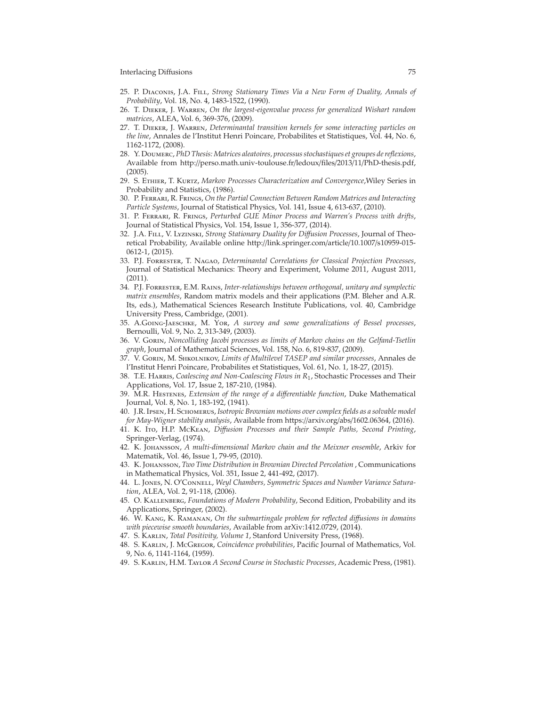## Interlacing Diffusions 75

- 25. P. Diaconis, J.A. Fill, *Strong Stationary Times Via a New Form of Duality, Annals of Probability*, Vol. 18, No. 4, 1483-1522, (1990).
- 26. T. Dieker, J. Warren, *On the largest-eigenvalue process for generalized Wishart random matrices*, ALEA, Vol. 6, 369-376, (2009).
- 27. T. Dieker, J. Warren, *Determinantal transition kernels for some interacting particles on the line*, Annales de l'Institut Henri Poincare, Probabilites et Statistiques, Vol. 44, No. 6, 1162-1172, (2008).
- 28. Y. Doumerc, *PhD Thesis: Matrices aleatoires, processus stochastiques et groupes de reflexions*, Available from http://perso.math.univ-toulouse.fr/ledoux/files/2013/11/PhD-thesis.pdf, (2005).
- 29. S. Ethier, T. Kurtz, *Markov Processes Characterization and Convergence*,Wiley Series in Probability and Statistics, (1986).
- 30. P. Ferrari, R. Frings, *On the Partial Connection Between Random Matrices and Interacting Particle Systems*, Journal of Statistical Physics, Vol. 141, Issue 4, 613-637, (2010).
- 31. P. Ferrari, R. Frings, *Perturbed GUE Minor Process and Warren's Process with drifts*, Journal of Statistical Physics, Vol. 154, Issue 1, 356-377, (2014).
- 32. J.A. Fill, V. Lyzinski, *Strong Stationary Duality for Di*ff*usion Processes*, Journal of Theoretical Probability, Available online http://link.springer.com/article/10.1007/s10959-015- 0612-1, (2015).
- 33. P.J. Forrester, T. Nagao, *Determinantal Correlations for Classical Projection Processes*, Journal of Statistical Mechanics: Theory and Experiment, Volume 2011, August 2011,  $(2011)$ .
- 34. P.J. Forrester, E.M. Rains, *Inter-relationships between orthogonal, unitary and symplectic matrix ensembles*, Random matrix models and their applications (P.M. Bleher and A.R. Its, eds.), Mathematical Sciences Research Institute Publications, vol. 40, Cambridge University Press, Cambridge, (2001).
- 35. A.Going-Jaeschke, M. Yor, *A survey and some generalizations of Bessel processes*, Bernoulli, Vol. 9, No. 2, 313-349, (2003).
- 36. V. Gorin, *Noncolliding Jacobi processes as limits of Markov chains on the Gelfand-Tsetlin graph*, Journal of Mathematical Sciences, Vol. 158, No. 6, 819-837, (2009).
- 37. V. Gorin, M. Shkolnikov, *Limits of Multilevel TASEP and similar processes*, Annales de l'Institut Henri Poincare, Probabilites et Statistiques, Vol. 61, No. 1, 18-27, (2015).
- 38. T.E. Harris, *Coalescing and Non-Coalescing Flows in R*1, Stochastic Processes and Their Applications, Vol. 17, Issue 2, 187-210, (1984).
- 39. M.R. Hestenes, *Extension of the range of a di*ff*erentiable function*, Duke Mathematical Journal, Vol. 8, No. 1, 183-192, (1941).
- 40. J.R. Ipsen, H. Schomerus, *Isotropic Brownian motions over complex fields as a solvable model for May-Wigner stability analysis*, Available from https://arxiv.org/abs/1602.06364, (2016).
- 41. K. Ito, H.P. McKean, *Di*ff*usion Processes and their Sample Paths, Second Printing*, Springer-Verlag, (1974).
- 42. K. Johansson, *A multi-dimensional Markov chain and the Meixner ensemble*, Arkiv for Matematik, Vol. 46, Issue 1, 79-95, (2010).
- 43. K. Johansson, *Two Time Distribution in Brownian Directed Percolation* , Communications in Mathematical Physics, Vol. 351, Issue 2, 441-492, (2017).
- 44. L. Jones, N. O'Connell, *Weyl Chambers, Symmetric Spaces and Number Variance Saturation*, ALEA, Vol. 2, 91-118, (2006).
- 45. O. Kallenberg, *Foundations of Modern Probability*, Second Edition, Probability and its Applications, Springer, (2002).
- 46. W. Kang, K. Ramanan, *On the submartingale problem for reflected di*ff*usions in domains with piecewise smooth boundaries*, Available from arXiv:1412.0729, (2014).
- 47. S. Karlin, *Total Positivity, Volume 1*, Stanford University Press, (1968).
- 48. S. Karlin, J. McGregor, *Coincidence probabilities*, Pacific Journal of Mathematics, Vol. 9, No. 6, 1141-1164, (1959).
- 49. S. Karlin, H.M. Taylor *A Second Course in Stochastic Processes*, Academic Press, (1981).